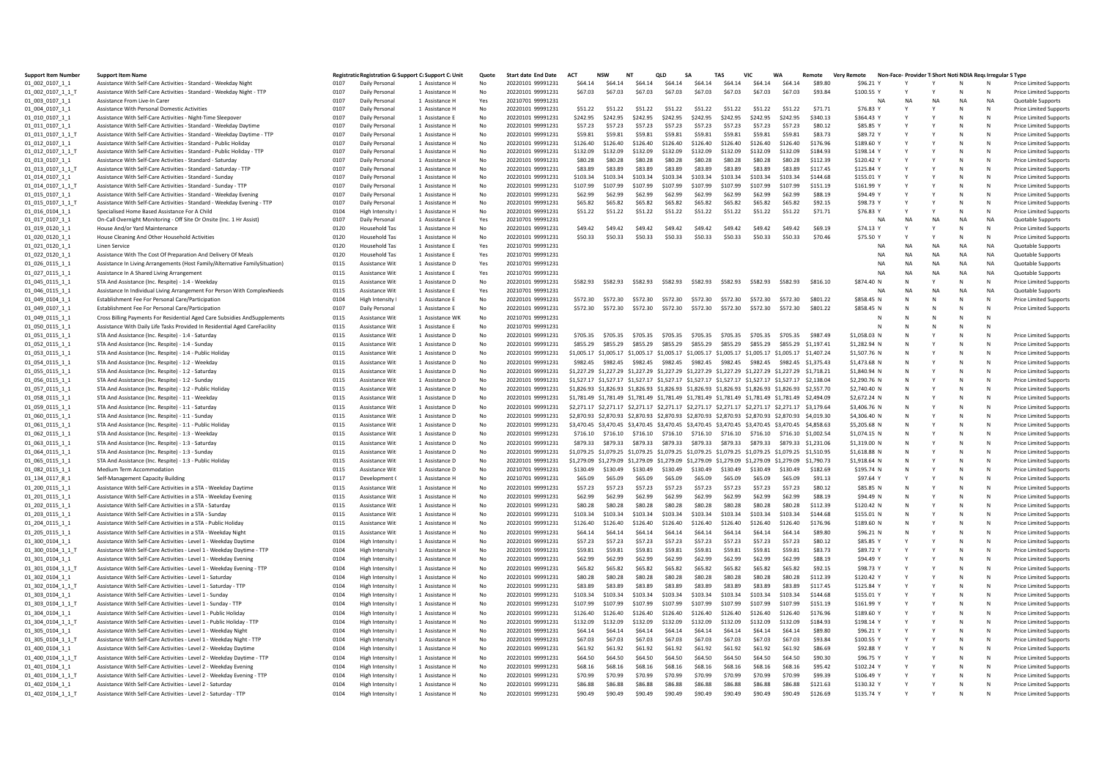| <b>Support Item Number</b> | Support Item Name                                                           |      | Registratic Registration G Support C; Support C; Unit |                 | Quote     | <b>Start date End Date</b> |          |                   | N <sub>1</sub> | <b>OLD</b><br>SΑ                                                                                   |          | <b>TAS</b> | VIC               | <b>WA</b>           | Ver      | note         |              |           |              |                | Face- Provider T Short Noti NDIA Regulrregular | S Type                        |
|----------------------------|-----------------------------------------------------------------------------|------|-------------------------------------------------------|-----------------|-----------|----------------------------|----------|-------------------|----------------|----------------------------------------------------------------------------------------------------|----------|------------|-------------------|---------------------|----------|--------------|--------------|-----------|--------------|----------------|------------------------------------------------|-------------------------------|
| 01_002_0107_1_1            | Assistance With Self-Care Activities - Standard - Weekday Night             | 0107 | Daily Personal                                        | 1 Assistance F  | No        | 20220101 99991231          | \$64.14  | S64.14            | \$64.14        | \$64.14                                                                                            | S64.14   | \$64.14    | \$64.14           | \$64.14             | \$89.80  | \$96.21 Y    |              |           |              | N              | N                                              | <b>Price Limited Supports</b> |
| 01_002_0107_1_1_T          | Assistance With Self-Care Activities - Standard - Weekday Night - TTP       | 0107 | Daily Personal                                        | 1 Assistance H  | No        | 20220101 99991231          | \$67.03  | \$67.03           | \$67.03        | \$67.03                                                                                            | \$67.03  | \$67.03    | \$67.03           | \$67.03             | \$93.8   | \$100.55 Y   | Y            |           |              | N              | N                                              | Price Limited Supports        |
| 01_003_0107_1_1            | Assistance From Live-In Carer                                               | 0107 | Daily Personal                                        | 1 Assistance H  | Yes       | 20210701 99991231          |          |                   |                |                                                                                                    |          |            |                   |                     |          | NA           | <b>NA</b>    |           | NA           | <b>NA</b>      | <b>NA</b>                                      | Quotable Supports             |
| 01_004_0107_1_1            | Assistance With Personal Domestic Activities                                | 0107 | Daily Personal                                        | 1 Assistance H  | No        | 20220101 99991231          | \$51.22  | \$51.22           | \$51.22        | \$51.22                                                                                            | \$51.22  | \$51.22    | \$51.22           | \$51.22             | \$71.71  | \$76.83 Y    |              |           |              | N              | N                                              | <b>Price Limited Support</b>  |
| 01_010_0107_1_1            | Assistance With Self-Care Activities - Night-Time Sleepover                 | 0107 | Daily Personal                                        | 1 Assistance E  | No        | 20220101 99991231          | \$242.95 | \$242.95          | \$242.95       | \$242.95                                                                                           | \$242.95 | \$242.95   | \$242.95          | \$242.95            | \$340.13 | \$364.43 Y   |              |           |              | N              | N                                              | Price Limited Supports        |
| 01 011 0107 1 1            | Assistance With Self-Care Activities - Standard - Weekday Daytime           | 0107 | Daily Personal                                        | 1 Assistance H  | No        | 20220101 99991231          | \$57.23  | \$57.23           | \$57.23        | \$57.23                                                                                            | \$57.23  | \$57.23    | \$57.23           | \$57.23             | \$80.12  | \$85.85 Y    |              |           |              | <b>N</b>       | $\mathbf N$                                    | Price Limited Supports        |
| 01_011_0107_1_1_T          | Assistance With Self-Care Activities - Standard - Weekday Daytime - TTF     | 0107 | Daily Personal                                        | 1 Assistance H  | No        | 20220101 99991231          | \$59.81  | \$59.81           | \$59.81        | \$59.81                                                                                            | \$59.81  | \$59.81    | \$59.81           | \$59.81             | \$83.73  | \$89.72 Y    |              |           |              | <b>N</b>       | N                                              | Price Limited Supports        |
| 01_012_0107_1_1            | Assistance With Self-Care Activities - Standard - Public Holiday            | 0107 | Daily Personal                                        | 1 Assistance H  | No        | 20220101 99991231          | \$126.40 | \$126.40          | \$126.40       | \$126.40                                                                                           | \$126.40 | \$126.40   | \$126.40          | \$126.40            | \$176.96 | \$189.60     |              |           |              | $\overline{N}$ | $\mathbb{N}$                                   | Price Limited Supports        |
| 01_012_0107_1_1_T          | Assistance With Self-Care Activities - Standard - Public Holiday - TTP      | 0107 | Daily Personal                                        | 1 Assistance H  | No        | 20220101 99991231          | \$132.09 | \$132.09          | \$132.09       | \$132.09                                                                                           | \$132.09 | \$132.09   | \$132.09          | \$132.09            | \$184.93 | \$198.14 Y   |              |           |              | N              | $\mathbb{N}$                                   | Price Limited Supports        |
| 01_013_0107_1_1            | Assistance With Self-Care Activities - Standard - Saturday                  | 0107 | Daily Personal                                        | 1 Assistance H  | No        | 20220101 99991231          | \$80.28  | \$80.28           | \$80.28        | \$80.28                                                                                            | \$80.28  | \$80.28    | \$80.28           | \$80.28             | \$112.39 | \$120.42 Y   |              |           |              |                | N                                              | Price Limited Supports        |
| 01_013_0107_1_1_T          | Assistance With Self-Care Activities - Standard - Saturday - TTP            | 0107 | Daily Personal                                        | 1 Assistance H  | No        | 20220101 99991231          | \$83.89  | \$83.89           | \$83.89        | \$83.89                                                                                            | \$83.89  | \$83.89    | \$83.89           | \$83.89             | \$117.45 | \$125.84 Y   |              |           |              | N              | N                                              | Price Limited Supports        |
|                            |                                                                             |      |                                                       |                 |           |                            |          |                   | \$103.34       | \$103.34                                                                                           |          |            |                   |                     | \$144.68 |              |              |           |              | N              |                                                |                               |
| 01_014_0107_1_1            | Assistance With Self-Care Activities - Standard - Sunday                    | 0107 | Daily Personal                                        | 1 Assistance H  | No        | 20220101 99991231          | \$103.34 | \$103.34          |                |                                                                                                    | \$103.34 | \$103.34   | \$103.34          | \$103.34            |          | \$155.01 Y   |              |           |              |                | N                                              | Price Limited Supports        |
| 01_014_0107_1_1_T          | Assistance With Self-Care Activities - Standard - Sunday - TTP              | 0107 | Daily Personal                                        | 1 Assistance H  | No        | 20220101 99991231          | \$107.99 | \$107.99          | \$107.99       | \$107.99                                                                                           | \$107.99 | \$107.99   | \$107.99          | \$107.99            | \$151.19 | $$161.99$ \  |              |           |              |                | N                                              | Price Limited Supports        |
| 01_015_0107_1_1            | Assistance With Self-Care Activities - Standard - Weekday Evening           | 0107 | Daily Personal                                        | 1 Assistance H  | No        | 20220101 99991231          | \$62.99  | \$62.99           | \$62.99        | \$62.99                                                                                            | \$62.99  | \$62.99    | \$62.99           | \$62.99             | \$88.19  | \$94.49 Y    |              |           |              | N              | N                                              | Price Limited Supports        |
| 01 015 0107 1 1 T          | Assistance With Self-Care Activities - Standard - Weekday Evening - TTP     | 0107 | Daily Personal                                        | 1 Assistance H  | No        | 20220101 99991231          | \$65.82  | \$65.82           | \$65.82        | \$65.82                                                                                            | \$65.82  | \$65.82    | \$65.82           | \$65.82             | \$92.15  | \$98.73 Y    |              |           |              |                | N                                              | <b>Price Limited Supports</b> |
| 01 016 0104 1 1            | Specialised Home Based Assistance For A Child                               | 0104 | <b>High Intensity</b>                                 | 1 Assistance H  | No        | 20220101 99991231          | \$51.22  | \$51.22           | \$51.22        | \$51.22                                                                                            | \$51.22  | \$51.22    | \$51.22           | \$51.22             | \$71.71  | \$76.83 Y    |              |           |              |                | N                                              | <b>Price Limited Supports</b> |
| 01_017_0107_1_1            | On-Call Overnight Monitoring - Off Site Or Onsite (Inc. 1 Hr Assist)        | 0107 | Daily Personal                                        | 1 Assistance F  | Yes       | 20210701 99991231          |          |                   |                |                                                                                                    |          |            |                   |                     |          | NA           | <b>NA</b>    |           | <b>NA</b>    | <b>NA</b>      | NA                                             | Quotable Supports             |
| 01_019_0120_1_1            | House And/or Yard Maintenance                                               | 0120 | <b>Household Tas</b>                                  | 1 Assistance H  | No        | 20220101 99991231          | \$49.42  | \$49.42           | \$49.42        | \$49.42                                                                                            | \$49.42  | \$49.42    | \$49.42           | \$49.42             | \$69.19  | \$74.13 Y    | Y            |           |              | N              | N                                              | <b>Price Limited Support</b>  |
| 01_020_0120_1_1            | House Cleaning And Other Household Activities                               | 0120 | <b>Household Tas</b>                                  | 1 Assistance H  | <b>No</b> | 20220101 99991231          | \$50.33  | \$50.33           | \$50.33        | \$50.33                                                                                            | \$50.33  | \$50.33    | \$50.33           | \$50.33             | \$70.46  | \$75.50 Y    |              |           |              | N              | N                                              | <b>Price Limited Support</b>  |
| 01_021_0120_1_1            | Linen Service                                                               | 0120 | Household Tas                                         | 1 Assistance E  | Yes       | 20210701 99991231          |          |                   |                |                                                                                                    |          |            |                   |                     |          | NA           | <b>NA</b>    |           | <b>NA</b>    | <b>NA</b>      | N <sub>A</sub>                                 | Quotable Supports             |
| 01_022_0120_1_1            | Assistance With The Cost Of Preparation And Delivery Of Meals               | 0120 | <b>Household Tas</b>                                  | 1 Assistance E  | Yes       | 20210701 99991231          |          |                   |                |                                                                                                    |          |            |                   |                     |          | NA           |              | <b>NA</b> | NA           | <b>NA</b>      | NA                                             | Quotable Supports             |
| 01 026 0115 1 1            | Assistance In Living Arrangements (Host Family/Alternative FamilySituation) | 0115 | <b>Assistance Wit</b>                                 | 1 Assistance D  | Yes       | 20210701 99991231          |          |                   |                |                                                                                                    |          |            |                   |                     |          | NA           | <b>NA</b>    |           | <b>NA</b>    | <b>NA</b>      | <b>NA</b>                                      | Quotable Supports             |
|                            |                                                                             | 0115 | <b>Assistance Wit</b>                                 |                 |           | 20210701 99991231          |          |                   |                |                                                                                                    |          |            |                   |                     |          | <b>NA</b>    |              | <b>NA</b> | <b>NA</b>    | <b>NA</b>      | <b>NA</b>                                      |                               |
| 01_027_0115_1_1            | Assistance In A Shared Living Arrangement                                   |      |                                                       | 1 Assistance E  | Yes       |                            |          |                   |                |                                                                                                    |          |            |                   |                     |          |              |              |           |              |                |                                                | Quotable Supports             |
| 01_045_0115_1_1            | STA And Assistance (Inc. Respite) - 1:4 - Weekday                           | 0115 | Assistance Wit                                        | 1 Assistance D  | No        | 20220101 99991231          | \$582.93 | \$582.93          | \$582.93       | \$582.93                                                                                           | \$582.93 | \$582.93   | \$582.93          | \$582.93            | \$816.10 | \$874.40 N   | N            |           |              |                | N                                              | Price Limited Supports        |
| 01_046_0115_1_1            | Assistance In Individual Living Arrangement For Person With ComplexNeeds    | 0115 | Assistance Wit                                        | 1 Assistance E  | Yes       | 20210701 99991231          |          |                   |                |                                                                                                    |          |            |                   |                     |          | NA           |              | <b>NA</b> | <b>NA</b>    | N <sub>A</sub> | NA                                             | Quotable Supports             |
| 01_049_0104_1_1            | Establishment Fee For Personal Care/Participation                           | 0104 | <b>High Intensity</b>                                 | 1 Assistance E  | No        | 20220101 99991231          | \$572.30 | \$572.30          | \$572.30       | \$572.30                                                                                           | \$572.30 |            | \$572.30 \$572.30 | \$572.30            | \$801.22 | \$858.45 N   | N            |           | N            |                | N                                              | <b>Price Limited Support</b>  |
| 01_049_0107_1_1            | Establishment Fee For Personal Care/Participation                           | 0107 | Daily Personal                                        | 1 Assistance E  | No        | 20220101 99991231          | \$572.30 | \$572.30          | \$572.30       | \$572.30                                                                                           | \$572.30 | \$572.30   | \$572.30          | \$572.30            | \$801.22 | \$858.45 N   | N            |           | N            | N              | $\mathsf{N}$                                   | Price Limited Supports        |
| 01_049_0115_1_1            | Cross Billing Payments For Residential Aged Care Subsidies AndSupplements   | 0115 | Assistance Wit                                        | 1 Assistance WK | No        | 20210701 99991231          |          |                   |                |                                                                                                    |          |            |                   |                     |          | N            | N            |           | N            | N              | $\mathbb{N}$                                   |                               |
| 01_050_0115_1_1            | Assistance With Daily Life Tasks Provided In Residential Aged CareFacility  | 0115 | Assistance Wit                                        | 1 Assistance E  | No        | 20210701 99991231          |          |                   |                |                                                                                                    |          |            |                   |                     |          | N            | N            |           | $\mathsf{N}$ | N              | N                                              |                               |
| 01_051_0115_1_1            | STA And Assistance (Inc. Respite) - 1:4 - Saturday                          | 0115 | Assistance Wit                                        | 1 Assistance D  | No        | 20220101 99991231          | \$705.35 | \$705.35          | \$705.35       | \$705.35 \$705.35                                                                                  |          | \$705.35   | \$705.35          | \$705.35            | \$987.49 | \$1,058,03 N | N            |           |              | $\mathbf{N}$   | $\mathbb{N}$                                   | <b>Price Limited Supports</b> |
|                            |                                                                             |      | Assistance Wit                                        |                 | No        | 20220101 99991231          | \$855.29 | \$855.29          | \$855.29       | \$855.29                                                                                           | \$855.29 | \$855.29   | \$855.29          | \$855.29 \$1.197.41 |          | \$1,282.94 N |              |           |              |                | N                                              |                               |
| 01_052_0115_1_1            | STA And Assistance (Inc. Respite) - 1:4 - Sunday                            | 0115 |                                                       | 1 Assistance D  |           |                            |          |                   |                |                                                                                                    |          |            |                   |                     |          |              |              |           |              |                |                                                | Price Limited Supports        |
| 01_053_0115_1_1            | STA And Assistance (Inc. Respite) - 1:4 - Public Holiday                    | 0115 | Assistance Wit                                        | 1 Assistance D  | No        | 20220101 99991231          |          |                   |                | \$1,005.17 \$1,005.17 \$1,005.17 \$1,005.17 \$1,005.17 \$1,005.17 \$1,005.17 \$1,005.17 \$1,407.24 |          |            |                   |                     |          | \$1,507.76 N | N            |           |              |                | N                                              | <b>Price Limited Support</b>  |
| 01_054_0115_1_1            | STA And Assistance (Inc. Respite) - 1:2 - Weekday                           | 0115 | Assistance Wit                                        | 1 Assistance D  | No        | 20220101 99991231          | \$982.45 | \$982.45 \$982.45 |                | \$982.45 \$982.45                                                                                  |          | \$982.45   | \$982.45          | \$982.45 \$1.375.43 |          | \$1,473.68 N |              |           |              |                | N                                              | <b>Price Limited Supports</b> |
| 01_055_0115_1_1            | STA And Assistance (Inc. Respite) - 1:2 - Saturday                          | 0115 | Assistance Wit                                        | 1 Assistance D  | No        | 20220101 99991231          |          |                   |                | \$1,227.29 \$1,227.29 \$1,227.29 \$1,227.29 \$1,227.29 \$1,227.29 \$1,227.29 \$1,227.29 \$1,718.21 |          |            |                   |                     |          | \$1,840.94 N | N            |           |              | N              | N                                              | Price Limited Supports        |
| 01_056_0115_1_1            | STA And Assistance (Inc. Respite) - 1:2 - Sunday                            | 0115 | Assistance Wit                                        | 1 Assistance D  | No        | 20220101 99991231          |          |                   |                | \$1,527.17 \$1,527.17 \$1,527.17 \$1,527.17 \$1,527.17 \$1,527.17 \$1,527.17 \$1,527.17 \$2,138.04 |          |            |                   |                     |          | \$2,290.76 N | N            |           |              | N              | N                                              | <b>Price Limited Support</b>  |
| 01_057_0115_1_1            | STA And Assistance (Inc. Respite) - 1:2 - Public Holiday                    | 0115 | Assistance Wit                                        | 1 Assistance D  | No        | 20220101 99991231          |          |                   |                | \$1,826.93 \$1,826.93 \$1,826.93 \$1,826.93 \$1,826.93 \$1,826.93 \$1,826.93 \$1,826.93 \$2,557.70 |          |            |                   |                     |          | \$2,740.40 N | N            |           |              | N              | N                                              | Price Limited Supports        |
| 01_058_0115_1_1            | STA And Assistance (Inc. Respite) - 1:1 - Weekday                           | 0115 | Assistance Wit                                        | 1 Assistance D  | No        | 20220101 99991231          |          |                   |                | \$1,781.49 \$1,781.49 \$1,781.49 \$1,781.49 \$1,781.49 \$1,781.49 \$1,781.49 \$1,781.49 \$2,494.09 |          |            |                   |                     |          | \$2,672.24 N | N            |           |              |                | N                                              | <b>Price Limited Support</b>  |
| 01_059_0115_1_1            | STA And Assistance (Inc. Respite) - 1:1 - Saturday                          | 0115 | Assistance Wit                                        | 1 Assistance D  | No        | 20220101 99991231          |          |                   |                | \$2,271.17 \$2,271.17 \$2,271.17 \$2,271.17 \$2,271.17 \$2,271.17 \$2,271.17 \$2,271.17 \$3.179.64 |          |            |                   |                     |          | \$3,406,76 N | N            |           |              |                | $\mathbb{N}$                                   | Price Limited Supports        |
| 01_060_0115_1_1            | STA And Assistance (Inc. Respite) - 1:1 - Sunday                            | 0115 | Assistance Wit                                        | 1 Assistance D  | No        | 20220101 99991231          |          |                   |                | \$2,870.93 \$2,870.93 \$2,870.93 \$2,870.93 \$2,870.93 \$2,870.93 \$2,870.93 \$2,870.93 \$4,019.30 |          |            |                   |                     |          | \$4,306.40 N | N            |           |              |                | $\mathbb{N}$                                   | <b>Price Limited Supports</b> |
|                            |                                                                             |      | Assistance Wit                                        | 1 Assistance D  | No        | 20220101 99991231          |          |                   |                |                                                                                                    |          |            |                   |                     |          | \$5,205,68 N |              |           |              |                | N                                              |                               |
| 01_061_0115_1_1            | STA And Assistance (Inc. Respite) - 1:1 - Public Holiday                    | 0115 |                                                       |                 |           |                            |          |                   |                | \$3,470.45 \$3,470.45 \$3,470.45 \$3,470.45 \$3,470.45 \$3,470.45 \$3,470.45 \$3,470.45 \$4,858.63 |          |            |                   |                     |          |              |              |           |              |                |                                                | Price Limited Supports        |
| 01_062_0115_1_1            | STA And Assistance (Inc. Respite) - 1:3 - Weekday                           | 0115 | Assistance Wit                                        | 1 Assistance D  | No        | 20220101 99991231          | \$716.10 | \$716.10          | \$716.10       | \$716.10 \$716.10 \$716.10                                                                         |          |            | \$716.10          | \$716.10 \$1.002.54 |          | \$1,074.15 N | N            |           |              | N              | N                                              | <b>Price Limited Support</b>  |
| 01_063_0115_1_1            | STA And Assistance (Inc. Respite) - 1:3 - Saturday                          | 0115 | Assistance Wit                                        | 1 Assistance D  | No        | 20220101 99991231          | \$879.33 | \$879.33          | \$879.33       | \$879.33                                                                                           | \$879.33 | \$879.33   | \$879.33          | \$879.33 \$1,231.06 |          | \$1,319.00 N | N            |           |              | N              | N                                              | Price Limited Supports        |
| 01_064_0115_1_1            | STA And Assistance (Inc. Respite) - 1:3 - Sunday                            | 0115 | Assistance Wit                                        | 1 Assistance D  | No        | 20220101 99991231          |          |                   |                | \$1,079.25 \$1,079.25 \$1,079.25 \$1,079.25 \$1,079.25 \$1,079.25 \$1,079.25 \$1,079.25 \$1,510.95 |          |            |                   |                     |          | \$1,618.88 N | N            |           |              |                | N                                              | <b>Price Limited Supports</b> |
| 01_065_0115_1_1            | STA And Assistance (Inc. Respite) - 1:3 - Public Holiday                    | 0115 | Assistance Wit                                        | 1 Assistance D  | No        | 20220101 99991231          |          |                   |                | \$1,279.09 \$1,279.09 \$1,279.09 \$1,279.09 \$1,279.09 \$1,279.09 \$1,279.09 \$1,279.09 \$1,790.73 |          |            |                   |                     |          | \$1,918.64 N | N            |           |              |                | N                                              | <b>Price Limited Support</b>  |
| 01_082_0115_1_1            | Medium Term Accommodation                                                   | 0115 | <b>Assistance Wit</b>                                 | 1 Assistance D  | No        | 20210701 99991231          | \$130.49 | \$130.49          | \$130.49       | \$130.49                                                                                           | \$130.49 | \$130.49   | \$130.49          | \$130.49            | \$182.69 | \$195.74 N   | N            |           |              | $\mathbf{M}$   | N                                              | <b>Price Limited Support</b>  |
| 01_134_0117_8_1            | Self-Management Capacity Building                                           | 0117 | Development (                                         | 1 Assistance H  | No        | 20210701 99991231          | \$65.09  | \$65.09           | \$65.09        | \$65.09                                                                                            | \$65.09  | \$65.09    | \$65.09           | \$65.09             | \$91.13  | \$97.64 Y    |              |           |              | N              | $\mathbb{N}$                                   | Price Limited Supports        |
| 01_200_0115_1_1            | Assistance With Self-Care Activities in a STA - Weekday Daytime             | 0115 | Assistance Wit                                        | 1 Assistance H  | No        | 20220101 99991231          | \$57.23  | \$57.23           | \$57.23        | \$57.23                                                                                            | \$57.23  | \$57.23    | \$57.23           | \$57.23             | \$80.12  | \$85.85 N    |              |           |              |                | N                                              | Price Limited Supports        |
|                            |                                                                             |      |                                                       |                 |           | 20220101 99991231          | \$62.99  | \$62.99           | \$62.99        | \$62.99                                                                                            | \$62.99  | \$62.99    | \$62.99           | \$62.99             | \$88.19  | \$94.49 N    | N            |           |              |                |                                                |                               |
| 01_201_0115_1_1            | Assistance With Self-Care Activities in a STA - Weekday Evening             | 0115 | <b>Assistance Wit</b>                                 | 1 Assistance H  | No        |                            |          |                   |                |                                                                                                    |          |            |                   |                     |          |              |              |           |              | N              | N                                              | <b>Price Limited Support</b>  |
| 01_202_0115_1_1            | Assistance With Self-Care Activities in a STA - Saturday                    | 0115 | Assistance Wit                                        | 1 Assistance H  | No        | 20220101 99991231          | \$80.28  | \$80.28           | \$80.28        | \$80.28                                                                                            | \$80.28  | \$80.28    | \$80.28           | \$80.28             | \$112.39 | \$120.42 N   | N            |           |              | N              | N                                              | Price Limited Supports        |
| 01_203_0115_1_1            | Assistance With Self-Care Activities in a STA - Sunday                      | 0115 | Assistance Wit                                        | 1 Assistance H  | No        | 20220101 99991231          | \$103.34 | \$103.34          | \$103.34       | \$103.34                                                                                           | \$103.34 | \$103.34   | \$103.34          | \$103.34            | \$144.68 | \$155.01 N   | N            |           |              | N              | N                                              | <b>Price Limited Support</b>  |
| 01_204_0115_1_1            | Assistance With Self-Care Activities in a STA - Public Holiday              | 0115 | Assistance Wit                                        | 1 Assistance H  | No        | 20220101 99991231          | \$126.40 | \$126.40          | \$126.40       | \$126.40                                                                                           | \$126.40 | \$126.40   | \$126.40          | \$126.40            | \$176.96 | \$189.60 N   | N            |           |              |                | N                                              | <b>Price Limited Supports</b> |
| 01_205_0115_1_1            | Assistance With Self-Care Activities in a STA - Weekday Night               | 0115 | Assistance Wit                                        | 1 Assistance H  | No        | 20220101 99991231          | \$64.14  | \$64.14           | S64.14         | \$64.14                                                                                            | S64.14   | S64.14     | \$64.14           | \$64.14             | \$89.80  | \$96.21 N    | N            |           |              | $\overline{N}$ | N                                              | <b>Price Limited Support</b>  |
| 01_300_0104_1_1            | Assistance With Self-Care Activities - Level 1 - Weekday Daytime            | 0104 | <b>High Intensity</b>                                 | 1 Assistance H  | No        | 20220101 99991231          | \$57.23  | \$57.23           | \$57.23        | \$57.23                                                                                            | \$57.23  | \$57.23    | \$57.23           | \$57.23             | \$80.12  | \$85.85 Y    |              |           |              |                | N                                              | Price Limited Supports        |
| 01_300_0104_1_1_T          | Assistance With Self-Care Activities - Level 1 - Weekday Daytime - TTP      | 0104 | <b>High Intensity</b>                                 | 1 Assistance H  | No        | 20220101 99991231          | \$59.81  | \$59.81           | \$59.81        | \$59.81                                                                                            | \$59.81  | \$59.81    | \$59.81           | \$59.81             | \$83.73  | \$89.72 Y    |              |           |              |                | $\mathbb{N}$                                   | Price Limited Supports        |
| 01 301 0104 1 1            | Assistance With Self-Care Activities - Level 1 - Weekday Evening            | 0104 | <b>High Intensity</b>                                 | 1 Assistance F  | No        | 20220101 99991231          | \$62.99  | \$62.99           | \$62.99        | \$62.99                                                                                            | \$62.99  | \$62.99    | \$62.99           | \$62.99             | \$88.19  | \$94.49 Y    |              |           |              |                | N                                              | <b>Price Limited Supports</b> |
|                            | Assistance With Self-Care Activities - Level 1 - Weekday Evening - TTP      | 0104 | <b>High Intensity</b>                                 | 1 Assistance H  | No        | 20220101 99991231          | \$65.82  | \$65.82           | \$65.82        | \$65.82                                                                                            | \$65.82  | \$65.82    | \$65.82           | \$65.82             | \$92.15  | \$98.73 Y    | ۷            |           |              | <b>N</b>       | N                                              |                               |
| 01_301_0104_1_1_T          |                                                                             |      |                                                       |                 |           |                            |          |                   |                |                                                                                                    |          |            |                   |                     |          |              |              |           |              |                |                                                | Price Limited Supports        |
| 01_302_0104_1_1            | Assistance With Self-Care Activities - Level 1 - Saturday                   | 0104 | <b>High Intensity</b>                                 | 1 Assistance H  | No        | 20220101 99991231          | \$80.28  | \$80.28           | \$80.28        | \$80.28                                                                                            | \$80.28  | \$80.28    | \$80.28           | \$80.28             | \$112.39 | \$120.42 Y   | Y            |           |              | N              | N                                              | Price Limited Supports        |
| 01_302_0104_1_1_T          | Assistance With Self-Care Activities - Level 1 - Saturday - TTF             | 0104 | <b>High Intensity</b>                                 | 1 Assistance H  | No        | 20220101 99991231          | \$83.89  | \$83.89           | \$83.89        | \$83.89                                                                                            | \$83.89  | \$83.89    | \$83.89           | \$83.89             | \$117.45 | \$125.84 Y   |              |           |              |                | N                                              | <b>Price Limited Supports</b> |
| 01_303_0104_1_1            | Assistance With Self-Care Activities - Level 1 - Sunday                     | 0104 | High Intensity                                        | 1 Assistance H  | No        | 20220101 99991231          | \$103.34 | \$103.34          | \$103.34       | \$103.34                                                                                           | \$103.34 | \$103.34   | \$103.34          | \$103.34            | \$144.68 | \$155.01 Y   |              |           |              | <b>N</b>       | N                                              | <b>Price Limited Support</b>  |
| 01_303_0104_1_1_T          | Assistance With Self-Care Activities - Level 1 - Sunday - TTP               | 0104 | High Intensity                                        | 1 Assistance H  | No        | 20220101 99991231          | \$107.99 | \$107.99          | \$107.99       | \$107.99                                                                                           | \$107.99 | \$107.99   | \$107.99          | \$107.99            | \$151.19 | \$161.99 Y   |              |           |              | N              | $\mathbb{N}$                                   | Price Limited Supports        |
| 01_304_0104_1_1            | Assistance With Self-Care Activities - Level 1 - Public Holiday             | 0104 | <b>High Intensity</b>                                 | 1 Assistance H  | No        | 20220101 99991231          | \$126.40 | \$126.40          | \$126.40       | \$126.40                                                                                           | \$126.40 | \$126.40   | \$126.40          | \$126.40            | \$176.96 | \$189.60 \   |              |           |              |                | $\mathbb{N}$                                   | <b>Price Limited Support</b>  |
| 01_304_0104_1_1_T          | Assistance With Self-Care Activities - Level 1 - Public Holiday - TTP       | 0104 | <b>High Intensity</b>                                 | 1 Assistance H  | <b>No</b> | 20220101 99991231          | \$132.09 | \$132.09          | \$132.09       | \$132.09                                                                                           | \$132.09 | \$132.09   | \$132.09          | \$132.09            | \$184.93 | \$198.14 Y   |              |           |              | N              | N                                              | <b>Price Limited Support</b>  |
| 01_305_0104_1_1            | Assistance With Self-Care Activities - Level 1 - Weekday Night              | 0104 | High Intensity                                        | 1 Assistance H  | <b>No</b> | 20220101 99991231          | \$64.14  | \$64.14           | \$64.14        | \$64.14                                                                                            | \$64.14  | S64.14     | \$64.14           | S64.14              | \$89.80  | \$96.21 Y    |              |           |              | N              | N                                              | <b>Price Limited Support</b>  |
| 01_305_0104_1_1_T          | Assistance With Self-Care Activities - Level 1 - Weekday Night - TTP        | 0104 | <b>High Intensity</b>                                 | 1 Assistance H  | No        | 20220101 99991231          | \$67.03  | \$67.03           | \$67.03        | \$67.03                                                                                            | \$67.03  | \$67.03    | \$67.03           | \$67.03             | \$93.84  | \$100.55 Y   |              |           |              | N              | N                                              | Price Limited Supports        |
|                            | Assistance With Self-Care Activities - Level 2 - Weekday Daytime            | 0104 |                                                       |                 |           |                            |          |                   | \$61.92        |                                                                                                    |          |            |                   |                     | \$86.69  |              |              |           |              |                |                                                |                               |
| 01_400_0104_1_1            |                                                                             |      | ligh Intensity                                        | 1 Assistance H  | No        | 20220101 99991231          | \$61.92  | \$61.92           |                | \$61.92                                                                                            | \$61.92  | \$61.92    | \$61.92           | \$61.92             |          | \$92.88 Y    |              |           |              | N              | N                                              | <b>Price Limited Supports</b> |
| 01 400 0104 1 1 T          | Assistance With Self-Care Activities - Level 2 - Weekday Daytime - TTP      | 0104 | <b>High Intensity</b>                                 | 1 Assistance H  | No        | 20220101 99991231          | \$64.50  | \$64.50           | \$64.50        | \$64.50                                                                                            | \$64.50  | \$64.50    | \$64.50           | \$64.50             | \$90.30  | \$96.75 Y    |              |           |              | $\sim$         | N                                              | <b>Price Limited Supports</b> |
| 01_401_0104_1_1            | Assistance With Self-Care Activities - Level 2 - Weekday Evening            | 0104 | <b>High Intensity</b>                                 | 1 Assistance H  | No        | 20220101 99991231          | \$68.16  | S68.16            | S68.16         | \$68.16                                                                                            | S68.16   | \$68.16    | \$68.16           | \$68.16             | \$95.42  | \$102.24 Y   |              |           |              | $\sim$         | $\mathbb{N}$                                   | <b>Price Limited Supports</b> |
| 01_401_0104_1_1_T          | Assistance With Self-Care Activities - Level 2 - Weekday Evening - TTP      | 0104 | <b>High Intensity</b>                                 | 1 Assistance H  | No        | 20220101 99991231          | \$70.99  | \$70.99           | \$70.99        | \$70.99                                                                                            | \$70.99  | \$70.99    | \$70.99           | \$70.99             | \$99.39  | \$106.49 \   |              |           |              |                | $\mathbb{N}$                                   | Price Limited Supports        |
| 01 402 0104 1 1            | Assistance With Self-Care Activities - Level 2 - Saturday                   | 0104 | High Intensity                                        | 1 Assistance H  | No        | 20220101 99991231          | \$86.88  | \$86.88           | \$86.88        | \$86.88                                                                                            | \$86.88  | \$86.88    | \$86.88           | \$86.88             | \$121.63 | \$130.32 Y   | Y            |           |              |                | N                                              | <b>Price Limited Supports</b> |
| 01_402_0104_1_1_T          | Assistance With Self-Care Activities - Level 2 - Saturday - TTP             | 0104 | High Intensity I                                      | 1 Assistance H  | No        | 20220101 99991231          | \$90.49  | \$90.49           | \$90.49        | \$90.49                                                                                            | \$90.49  | \$90.49    | \$90.49           | \$90.49             | \$126.69 | \$135.74 Y   | $\mathbf{v}$ |           |              | <b>N</b>       | N                                              | <b>Price Limited Supports</b> |
|                            |                                                                             |      |                                                       |                 |           |                            |          |                   |                |                                                                                                    |          |            |                   |                     |          |              |              |           |              |                |                                                |                               |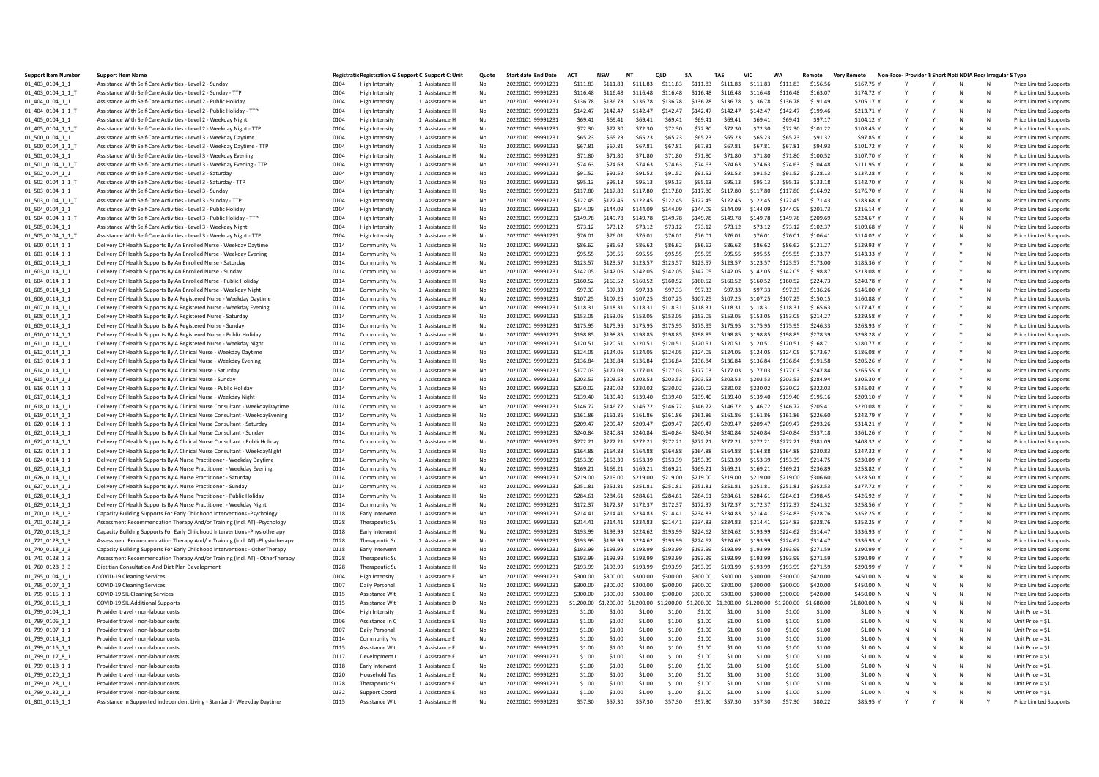| <b>Support Item Number</b>           | <b>Support Item Name</b>                                                                                                                        |              | Registratic Registration G Support C Support C Unit |                                  | Quote    | <b>Start date End Date</b>             | AC <sub>1</sub>      | <b>NSW</b>           | N <sub>1</sub>       | <b>OLD</b>           | SA                   | <b>TAS</b>           | VIC                              | <b>WA</b>            | Remote               | Ver<br>Remote            | Non-Face- Provider T Short Noti NDIA Requirregular S Type |   |              |                   |                                                              |
|--------------------------------------|-------------------------------------------------------------------------------------------------------------------------------------------------|--------------|-----------------------------------------------------|----------------------------------|----------|----------------------------------------|----------------------|----------------------|----------------------|----------------------|----------------------|----------------------|----------------------------------|----------------------|----------------------|--------------------------|-----------------------------------------------------------|---|--------------|-------------------|--------------------------------------------------------------|
| 01 403 0104 1 1                      | Assistance With Self-Care Activities - Level 2 - Sunday                                                                                         | 0104         | High Intensity                                      | 1 Assistance H                   | No       | 20220101 99991231                      | \$111.83             | \$111.83             | \$111.83             | \$111.83             | \$111.83             | \$111.83             | \$111.83                         | \$111.83             | \$156.56             | \$167.75 Y               |                                                           |   | N            | N                 | <b>Price Limited Supports</b>                                |
| 01_403_0104_1_1_T                    | Assistance With Self-Care Activities - Level 2 - Sunday - TTP                                                                                   | 0104         | High Intensity                                      | 1 Assistance H                   | No       | 20220101 99991231                      | \$116.48             | \$116.48             | \$116.48             | \$116.48             | \$116.48             | \$116.48             | \$116.48                         | \$116.48             | \$163.07             | \$174.72 Y               |                                                           |   |              | N                 | <b>Price Limited Support</b>                                 |
| 01 404 0104 1 1                      | Assistance With Self-Care Activities - Level 2 - Public Holiday                                                                                 | 0104         | High Intensity                                      | 1 Assistance H                   | No       | 20220101 99991231                      | \$136.78             | \$136.78             | \$136.78             | \$136.78             | \$136.78             | \$136.78             | \$136.78                         | \$136.78             | \$191.49             | \$205.17 Y               |                                                           |   | N            | N                 | <b>Price Limited Support</b>                                 |
| 01_404_0104_1_1_T                    | Assistance With Self-Care Activities - Level 2 - Public Holiday - TTP                                                                           | 0104         | <b>High Intensity</b>                               | 1 Assistance H                   | No       | 20220101 99991231                      | \$142.47             | \$142.47             | \$142.47             | \$142.47             | \$142.47             | \$142.47             | \$142.47                         | \$142.47             | \$199.46             | \$213.71 Y               |                                                           |   |              | N                 | <b>Price Limited Support</b>                                 |
| 01_405_0104_1_1<br>01_405_0104_1_1_T | Assistance With Self-Care Activities - Level 2 - Weekday Night<br>Assistance With Self-Care Activities - Level 2 - Weekday Night - TTP          | 0104<br>0104 | High Intensity<br>High Intensity                    | 1 Assistance H<br>1 Assistance H | No<br>No | 20220101 99991231<br>20220101 99991231 | \$69.41<br>\$72.30   | \$69.41<br>\$72.30   | \$69.41<br>\$72.30   | \$69.41<br>\$72.30   | \$69.41<br>\$72.30   | \$69.41<br>\$72.30   | \$69.41<br>\$72.30               | \$69.41<br>\$72.30   | \$97.17<br>\$101.22  | S104.12 Y<br>\$108.45 Y  |                                                           |   |              | N<br>$\mathbb{N}$ | <b>Price Limited Support</b><br><b>Price Limited Support</b> |
| 01_500_0104_1_1                      | Assistance With Self-Care Activities - Level 3 - Weekday Daytime                                                                                | 0104         | <b>High Intensity</b>                               | 1 Assistance H                   | No       | 20220101 99991231                      | \$65.23              | \$65.23              | \$65.23              | \$65.23              | \$65.23              | \$65.23              | \$65.23                          | \$65.23              | \$91.32              | \$97.85 Y                |                                                           |   |              | N                 | <b>Price Limited Supports</b>                                |
| 01_500_0104_1_1_T                    | Assistance With Self-Care Activities - Level 3 - Weekday Daytime - TTP                                                                          | 0104         | <b>High Intensity</b>                               | 1 Assistance H                   | No       | 20220101 99991231                      | \$67.81              | \$67.81              | \$67.81              | \$67.81              | \$67.81              | \$67.81              | \$67.81                          | \$67.81              | \$94.93              | \$101.72 Y               |                                                           |   |              | $\mathbb{N}$      | Price Limited Supports                                       |
| 01_501_0104_1_1                      | Assistance With Self-Care Activities - Level 3 - Weekday Evening                                                                                | 0104         | <b>High Intensity</b>                               | 1 Assistance H                   | No       | 20220101 99991231                      | \$71.80              | \$71.80              | \$71.80              | \$71.80              | \$71.80              | \$71.80              | \$71.80                          | \$71.80              | \$100.52             | \$107.70 Y               |                                                           |   |              | N                 | <b>Price Limited Support</b>                                 |
| 01_501_0104_1_1_T                    | Assistance With Self-Care Activities - Level 3 - Weekday Evening - TTP                                                                          | 0104         | <b>High Intensity</b>                               | 1 Assistance H                   | No       | 20220101 99991231                      | \$74.63              | \$74.63              | \$74.63              | \$74.63              | \$74.63              | \$74.63              | \$74.63                          | \$74.63              | \$104.48             | \$111.95 Y               |                                                           |   |              | N                 | Price Limited Supports                                       |
| 01_502_0104_1_1                      | Assistance With Self-Care Activities - Level 3 - Saturday                                                                                       | 0104         | High Intensity                                      | 1 Assistance H                   | No       | 20220101 99991231                      | \$91.52              | \$91.52              | \$91.52              | \$91.52              | \$91.52              | \$91.52              | \$91.52                          | \$91.52              | \$128.13             | \$137.28 Y               |                                                           |   |              | N                 | <b>Price Limited Support</b>                                 |
| 01 502 0104 1 1 T                    | Assistance With Self-Care Activities - Level 3 - Saturday - TTP                                                                                 | 0104         | High Intensity                                      | 1 Assistance H                   | No       | 20220101 99991231                      | \$95.13              | \$95.13              | \$95.13              | \$95.13              | \$95.13              | \$95.13              | \$95.13                          | \$95.13              | \$133.18             | \$142.70 Y               |                                                           |   |              | N                 | Price Limited Supports                                       |
| 01_503_0104_1_1                      | Assistance With Self-Care Activities - Level 3 - Sunday                                                                                         | 0104         | <b>High Intensity</b>                               | 1 Assistance H                   | No       | 20220101 99991231                      | \$117.80             | \$117.80             | \$117.80             | \$117.80             | \$117.80             | \$117.80             | \$117.80                         | \$117.80             | \$164.92             | \$176,70 Y               |                                                           |   |              | N                 | Price Limited Supports                                       |
| 01_503_0104_1_1_T                    | Assistance With Self-Care Activities - Level 3 - Sunday - TTP                                                                                   | 0104         | <b>High Intensity</b>                               | 1 Assistance H                   | No       | 20220101 99991231                      | \$122.45             | \$122.45             | \$122.45             | \$122.45             | \$122.45             | \$122.45             | \$122.45                         | \$122.45             | \$171.43             | \$183.68 Y               |                                                           |   |              | N                 | <b>Price Limited Support</b>                                 |
| 01 504 0104 1 1                      | Assistance With Self-Care Activities - Level 3 - Public Holiday                                                                                 | 0104         | <b>High Intensity</b>                               | 1 Assistance H                   | No       | 20220101 99991231                      | \$144.09             | \$144.09             | \$144.09             | \$144.09             | \$144.09             | \$144.09             | \$144.09                         | \$144.09             | \$201.73             | \$216.14 Y               |                                                           |   |              | N                 | <b>Price Limited Support</b>                                 |
| 01_504_0104_1_1_T                    | Assistance With Self-Care Activities - Level 3 - Public Holiday - TTP                                                                           | 0104         | High Intensity                                      | 1 Assistance H                   | No       | 20220101 99991231                      | \$149.78             | \$149.78             | \$149.78             | \$149.78             | \$149.78             | \$149.78             | \$149.78                         | \$149.78             | \$209.69             | \$224.67 Y               |                                                           |   |              | N                 | <b>Price Limited Support</b>                                 |
| 01_505_0104_1_1                      | Assistance With Self-Care Activities - Level 3 - Weekday Night                                                                                  | 0104         | <b>High Intensity</b>                               | 1 Assistance H                   | No       | 20220101 99991231                      | \$73.12              | \$73.12              | \$73.12              | \$73.12              | \$73.12              | \$73.12              | \$73.12                          | \$73.12              | \$102.37             | \$109.68 Y               |                                                           |   |              | N                 | <b>Price Limited Support</b>                                 |
| 01_505_0104_1_1_T                    | Assistance With Self-Care Activities - Level 3 - Weekday Night - TTP                                                                            | 0104         | <b>High Intensity</b>                               | 1 Assistance H                   | No       | 20220101 99991231                      | \$76.01              | \$76.01              | \$76.01              | \$76.01              | \$76.01              | \$76.01              | \$76.01                          | \$76.01              | \$106.41             | \$114.02 Y               |                                                           |   |              | N                 | <b>Price Limited Support</b>                                 |
| 01_600_0114_1_1<br>01_601_0114_1_1   | Delivery Of Health Supports By An Enrolled Nurse - Weekday Daytime<br>Delivery Of Health Supports By An Enrolled Nurse - Weekday Evening        | 0114<br>0114 | Community Nu<br>Community Nu                        | 1 Assistance H<br>1 Assistance H | No<br>No | 20210701 99991231<br>20210701 99991231 | \$86.62<br>\$95.55   | \$86.62<br>\$95.55   | \$86.62<br>\$95.55   | \$86.62<br>\$95.55   | \$86.62<br>\$95.55   | \$86.62<br>\$95.55   | \$86.62<br>\$95.55               | \$86.62<br>\$95.55   | \$121.27<br>\$133.77 | \$129.93 Y<br>\$143.33 Y |                                                           |   |              | N<br>N            | Price Limited Supports<br><b>Price Limited Support</b>       |
| 01_602_0114_1_1                      | Delivery Of Health Supports By An Enrolled Nurse - Saturday                                                                                     | 0114         | Community Nu                                        | 1 Assistance H                   | No       | 20210701 99991231                      | \$123.57             | \$123.57             | \$123.57             | \$123.57             | \$123.57             | \$123.57             | \$123.57                         | \$123.57             | \$173.00             | \$185.36 Y               |                                                           |   |              | N                 | <b>Price Limited Support</b>                                 |
| 01_603_0114_1_1                      | Delivery Of Health Supports By An Enrolled Nurse - Sunday                                                                                       | 0114         | Community Nu                                        | 1 Assistance H                   | No       | 20210701 99991231                      | \$142.05             | \$142.05             | \$142.05             | \$142.05             | \$142.05             | \$142.05             | \$142.05                         | \$142.05             | \$198.87             | \$213.08 Y               |                                                           |   |              | N                 | Price Limited Supports                                       |
| 01_604_0114_1_1                      | Delivery Of Health Supports By An Enrolled Nurse - Public Holiday                                                                               | 0114         | Community Nu                                        | 1 Assistance H                   | No       | 20210701 99991231                      | \$160.52             | \$160.52             | \$160.52             | \$160.52             | \$160.52             | \$160.52             | \$160.52                         | \$160.52             | \$224.73             | \$240.78 Y               |                                                           |   |              | N                 | <b>Price Limited Support</b>                                 |
| 01_605_0114_1_1                      | Delivery Of Health Supports By An Enrolled Nurse - Weekday Night                                                                                | 0114         | Community Nu                                        | 1 Assistance H                   | No       | 20210701 99991231                      | \$97.33              | \$97.33              | \$97.33              | \$97.33              | \$97.33              | \$97.33              | \$97.33                          | \$97.33              | \$136.26             | \$146.00 Y               |                                                           |   |              | N                 | <b>Price Limited Supports</b>                                |
| 01_606_0114_1_1                      | Delivery Of Health Supports By A Registered Nurse - Weekday Daytime                                                                             | 0114         | Community Nu                                        | 1 Assistance H                   | No       | 20210701 99991231                      | \$107.25             | \$107.25             | \$107.25             | \$107.25             | \$107.25             | \$107.25             | \$107.25                         | \$107.25             | \$150.15             | \$160,88 Y               |                                                           |   |              | N                 | <b>Price Limited Support</b>                                 |
| 01_607_0114_1_1                      | Delivery Of Health Supports By A Registered Nurse - Weekday Evening                                                                             | 0114         | Community Nu                                        | 1 Assistance H                   | No       | 20210701 99991231                      | \$118.31             | \$118.31             | \$118.31             | \$118.31             | \$118.31             | \$118.31             | \$118.31                         | \$118.31             | \$165.63             | \$177.47 Y               |                                                           |   |              | N                 | <b>Price Limited Support</b>                                 |
| 01_608_0114_1_1                      | Delivery Of Health Supports By A Registered Nurse - Saturday                                                                                    | 0114         | Community Nu                                        | 1 Assistance H                   | No       | 20210701 99991231                      | \$153.05             | \$153.05             | \$153.05             | \$153.05             | \$153.05             | \$153.05             | \$153.05                         | \$153.05             | \$214.27             | \$229.58 Y               |                                                           |   |              | $\mathbb{N}$      | Price Limited Supports                                       |
| 01_609_0114_1_1                      | Delivery Of Health Supports By A Registered Nurse - Sunday                                                                                      | 0114         | Community Nu                                        | 1 Assistance H                   | No       | 20210701 99991231                      | \$175.95             | \$175.95             | \$175.95             | \$175.95             | \$175.95             | \$175.95             | \$175.95                         | \$175.95             | \$246.33             | \$263.93 Y               |                                                           |   |              | N                 | Price Limited Supports                                       |
| 01_610_0114_1_1                      | Delivery Of Health Supports By A Registered Nurse - Public Holiday                                                                              | 0114         | Community Nu                                        | 1 Assistance H                   | No       | 20210701 99991231                      | \$198.85             | \$198.85             | \$198.85             | \$198.85             | \$198.85             | \$198.85             | \$198.85                         | \$198.85             | \$278.39             | \$298.28 Y               |                                                           |   |              | N                 | Price Limited Supports                                       |
| 01_611_0114_1_1                      | Delivery Of Health Supports By A Registered Nurse - Weekday Night                                                                               | 0114         | Community Nu                                        | 1 Assistance H                   | No       | 20210701 99991231                      | \$120.51             | \$120.51             | \$120.51             | \$120.51             | \$120.51             | \$120.51             | \$120.51                         | \$120.51             | \$168.71             | \$180,77 Y               |                                                           |   |              | N                 | <b>Price Limited Support</b>                                 |
| 01_612_0114_1_1                      | Delivery Of Health Supports By A Clinical Nurse - Weekday Daytime                                                                               | 0114         | Community Nu                                        | 1 Assistance H                   | No       | 20210701 99991231                      | \$124.05             | \$124.05             | \$124.05             | \$124.05             | \$124.05             | \$124.05             | \$124.05                         | \$124.05             | \$173.67             | \$186.08 Y               |                                                           |   |              | N                 | <b>Price Limited Support</b>                                 |
| 01_613_0114_1_1                      | Delivery Of Health Supports By A Clinical Nurse - Weekday Evening                                                                               | 0114         | Community Nu                                        | 1 Assistance H                   | No       | 20210701 99991231                      | \$136.84             | \$136.84             | \$136.84             | \$136.84             | \$136.84             | \$136.84             | \$136.84                         | \$136.84             | \$191.58             | \$205.26 Y               |                                                           |   |              | N                 | <b>Price Limited Support</b>                                 |
| 01_614_0114_1_1                      | Delivery Of Health Supports By A Clinical Nurse - Saturday                                                                                      | 0114         | Community Nu                                        | 1 Assistance H                   | No<br>No | 20210701 99991231                      | \$177.03<br>\$203.53 | \$177.03             | \$177.03             | \$177.03<br>\$203.53 | \$177.03             | \$177.03<br>\$203.53 | \$177.03<br>\$203.53             | \$177.03             | \$247.84<br>\$284.94 | \$265.55 Y               |                                                           |   |              | N<br>N            | <b>Price Limited Supports</b>                                |
| 01_615_0114_1_1                      | Delivery Of Health Supports By A Clinical Nurse - Sunday<br>Delivery Of Health Supports By A Clinical Nurse - Public Holiday                    | 0114<br>0114 | Community Nu<br>Community Nu                        | 1 Assistance H<br>1 Assistance H | No       | 20210701 99991231<br>20210701 99991231 | \$230.02             | \$203.53<br>\$230.02 | \$203.53<br>\$230.02 | \$230.02             | \$203.53<br>\$230.02 | \$230.02             | \$230.02                         | \$203.53<br>\$230.02 | \$322.03             | \$305.30 Y<br>\$345.03 Y |                                                           |   |              | N                 | <b>Price Limited Support</b><br><b>Price Limited Support</b> |
| 01_616_0114_1_1<br>01_617_0114_1_1   | Delivery Of Health Supports By A Clinical Nurse - Weekday Night                                                                                 | 0114         | Community Nu                                        | 1 Assistance H                   | No       | 20210701 99991231                      | \$139.40             | \$139.40             | \$139.40             | \$139.40             | \$139.40             | \$139.40             | \$139.40                         | \$139.40             | \$195.16             | \$209.10 Y               |                                                           |   |              | N                 | Price Limited Supports                                       |
| 01_618_0114_1_1                      | Delivery Of Health Supports By A Clinical Nurse Consultant - WeekdayDaytime                                                                     | 0114         | Community Nu                                        | 1 Assistance H                   | No       | 20210701 99991231                      | \$146.72             | \$146.72             | \$146.72             | \$146.72             | \$146.72             | \$146.72             | \$146.72                         | \$146.72             | \$205.41             | \$220.08 Y               |                                                           |   |              | N                 | Price Limited Supports                                       |
| 01_619_0114_1_1                      | Delivery Of Health Supports By A Clinical Nurse Consultant - WeekdayEvening                                                                     | 0114         | Community Nu                                        | 1 Assistance H                   | No       | 20210701 99991231                      | \$161.86             | \$161.86             | \$161.86             | \$161.86             | \$161.86             | \$161.86             | \$161.86                         | \$161.86             | \$226.60             | \$242.79 Y               |                                                           |   |              | N                 | <b>Price Limited Support</b>                                 |
| 01_620_0114_1_1                      | Delivery Of Health Supports By A Clinical Nurse Consultant - Saturday                                                                           | 0114         | Community Nu                                        | 1 Assistance H                   | No       | 20210701 99991231                      | \$209.47             | \$209.47             | \$209.47             | \$209.47             | \$209.47             | \$209.47             | \$209.47                         | \$209.47             | \$293.26             | \$314.21 Y               |                                                           |   |              | N                 | <b>Price Limited Support</b>                                 |
| 01 621 0114 1 1                      | Delivery Of Health Supports By A Clinical Nurse Consultant - Sunday                                                                             | 0114         | Community Nu                                        | 1 Assistance H                   | No       | 20210701 99991231                      | \$240.84             | \$240.84             | \$240.84             | \$240.84             | \$240.84             | \$240.84             | \$240.84                         | \$240.84             | \$337.18             | \$361.26 Y               |                                                           |   |              | N                 | <b>Price Limited Support</b>                                 |
| 01_622_0114_1_1                      | Delivery Of Health Supports By A Clinical Nurse Consultant - PublicHoliday                                                                      | 0114         | Community Nu                                        | 1 Assistance H                   | No       | 20210701 99991231                      | \$272.21             | \$272.21             | \$272.21             | \$272.21             | \$272.21             | \$272.21             | \$272.21                         | \$272.21             | \$381.09             | \$408.32 Y               |                                                           |   |              | N                 | Price Limited Supports                                       |
| 01_623_0114_1_1                      | Delivery Of Health Supports By A Clinical Nurse Consultant - WeekdayNight                                                                       | 0114         | Community Nu                                        | 1 Assistance H                   | No       | 20210701 99991231                      | \$164.88             | \$164.88             | \$164.88             | \$164.88             | \$164.88             | \$164.88             | \$164.88                         | \$164.88             | \$230.83             | \$247.32 Y               |                                                           |   |              | N                 | <b>Price Limited Support</b>                                 |
| 01_624_0114_1_1                      | Delivery Of Health Supports By A Nurse Practitioner - Weekday Daytime                                                                           | 0114         | Community Nu                                        | 1 Assistance H                   | No       | 20210701 99991231                      | \$153.39             | \$153.39             | \$153.39             | \$153.39             | \$153.39             | \$153.39             | \$153.39                         | \$153.39             | \$214.75             | \$230.09 Y               |                                                           |   |              | $\mathbb{N}$      | <b>Price Limited Support</b>                                 |
| 01_625_0114_1_1                      | Delivery Of Health Supports By A Nurse Practitioner - Weekday Evening                                                                           | 0114         | Community Nu                                        | 1 Assistance H                   | No       | 20210701 99991231                      | \$169.21             | \$169.21             | \$169.21             | \$169.21             | \$169.21             | \$169.21             | \$169.21                         | \$169.21             | \$236.89             | \$253.82 Y               |                                                           |   |              | N                 | <b>Price Limited Support</b>                                 |
| 01_626_0114_1_1                      | Delivery Of Health Supports By A Nurse Practitioner - Saturday                                                                                  | 0114         | Community Nu                                        | 1 Assistance H                   | No       | 20210701 99991231                      | \$219.00             | \$219.00             | \$219.00             | \$219.00             | \$219.00             | \$219.00             | \$219.00                         | \$219.00             | \$306.60             | \$328.50 Y               |                                                           |   |              | N                 | <b>Price Limited Support</b>                                 |
| 01_627_0114_1_1                      | Delivery Of Health Supports By A Nurse Practitioner - Sunday                                                                                    | 0114         | Community Nu                                        | 1 Assistance H                   | No       | 20210701 99991231                      | \$251.81             | \$251.81             | \$251.81             | \$251.81             | \$251.81             | \$251.81             | \$251.81                         | \$251.81             | \$352.53             | \$377.72 Y               |                                                           |   |              | N                 | Price Limited Supports                                       |
| 01_628_0114_1_1                      | Delivery Of Health Supports By A Nurse Practitioner - Public Holiday                                                                            | 0114         | Community Nu                                        | 1 Assistance H                   | No       | 20210701 99991231                      | \$284.61             | \$284.61             | \$284.61             | \$284.61             | \$284.61             | \$284.61             | \$284.61                         | \$284.61             | \$398.45             | \$426.92 Y               |                                                           |   |              |                   | <b>Price Limited Supports</b>                                |
| 01_629_0114_1_1<br>01_700_0118_1_3   | Delivery Of Health Supports By A Nurse Practitioner - Weekday Night<br>Capacity Building Supports For Early Childhood Interventions -Psychology | 0114<br>0118 | Community Nu<br>Early Intervent                     | 1 Assistance H<br>1 Assistance H | No<br>No | 20210701 99991231<br>20210701 99991231 | \$172.37<br>\$214.41 | \$172.37<br>\$214.41 | \$172.37<br>\$234.83 | \$172.37<br>\$214.41 | \$172.37<br>\$234.83 | \$172.37<br>\$234.83 | \$172.37<br>\$214.41             | \$172.37<br>\$234.83 | \$241.32<br>\$328.76 | \$258.56 Y<br>\$352.25 Y |                                                           |   |              | N<br>N            | Price Limited Supports<br><b>Price Limited Support</b>       |
| 01_701_0128_1_3                      | Assessment Recommendation Therapy And/or Training (Incl. AT) -Psychology                                                                        | 0128         | Therapeutic Su                                      | 1 Assistance H                   | No       | 20210701 99991231                      | \$214.41             | \$214.41             | \$234.83             | <b>S21441</b>        | 5234.83              | \$234.83             | \$214.41                         | \$234.83             | \$328.76             | \$352.25 Y               |                                                           |   |              | N                 | Price Limited Supports                                       |
| 01_720_0118_1_3                      | Capacity Building Supports For Early Childhood Interventions -Physiotherapy                                                                     | 0118         | Early Intervent                                     | 1 Assistance H                   | No       | 20210701 99991231                      | \$193.99             | \$193.99             | \$224.62             | \$193.99             | \$224.62             | \$224.62             | \$193.99                         | \$224.62             | \$314.47             | \$336.93 Y               |                                                           |   |              | N                 | Price Limited Supports                                       |
| 01_721_0128_1_3                      | Assessment Recommendation Therapy And/or Training (Incl. AT) -Physiotherapy                                                                     | 0128         | Therapeutic Su                                      | 1 Assistance H                   | No       | 20210701 99991231                      | \$193.99             | \$193.99             | \$224.62             | \$193.99             | \$224.62             | \$224.62             | \$193.99                         | \$224.62             | \$314.47             | \$336.93 Y               |                                                           |   |              | N                 | <b>Price Limited Support</b>                                 |
| 01_740_0118_1_3                      | Capacity Building Supports For Early Childhood Interventions - OtherTherapy                                                                     | 0118         | Early Intervent                                     | 1 Assistance H                   | No       | 20210701 99991231                      | \$193.99             | \$193.99             | \$193.99             | \$193.99             | \$193.99             | \$193.99             | \$193.99                         | \$193.99             | \$271.59             | \$290.99 Y               |                                                           |   |              | N                 | <b>Price Limited Support</b>                                 |
| 01_741_0128_1_3                      | Assessment Recommendation Therapy And/or Training (Incl. AT) - OtherTherap                                                                      | 0128         | Therapeutic Su                                      | 1 Assistance H                   | No       | 20210701 99991231                      | \$193.99             | \$193.99             | \$193.99             | \$193.99             | \$193.99             | \$193.99             | \$193.99                         | \$193.99             | \$271.59             | \$290.99 Y               |                                                           |   |              | N                 | <b>Price Limited Support</b>                                 |
| 01_760_0128_3_3                      | Dietitian Consultation And Diet Plan Development                                                                                                | 0128         | Therapeutic Su                                      | 1 Assistance H                   | No       | 20210701 99991231                      | \$193.99             | \$193.99             | \$193.99             | \$193.99             | \$193.99             | \$193.99             | \$193.99                         | \$193.99             | \$271.59             | \$290.99 Y               |                                                           |   |              | N                 | Price Limited Supports                                       |
| 01_795_0104_1_1                      | <b>COVID-19 Cleaning Services</b>                                                                                                               | 0104         | <b>High Intensity</b>                               | 1 Assistance E                   | No       | 20210701 99991231                      | \$300.00             | \$300.00             | \$300.00             | \$300.00             | \$300.00             | \$300.00             | \$300,00                         | \$300.00             | \$420.00             | \$450.00 N               |                                                           |   |              | N                 | <b>Price Limited Support</b>                                 |
| 01_795_0107_1_1                      | COVID-19 Cleaning Services                                                                                                                      | 0107         | Daily Personal                                      | 1 Assistance E                   | No       | 20210701 99991231                      | \$300.00             | \$300.00             | \$300.00             | \$300.00             | \$300.00             | \$300.00             | \$300.00                         | \$300.00             | \$420.00             | \$450.00 N               |                                                           |   |              | N                 | <b>Price Limited Support</b>                                 |
| 01_795_0115_1_1                      | COVID-19 SIL Cleaning Services                                                                                                                  | 0115         | Assistance Wit                                      | 1 Assistance E                   | No       | 20210701 99991231                      | \$300.00             | \$300.00             | \$300.00             | \$300.00             | \$300.00             | \$300.00             | \$300.00                         | \$300.00             | \$420.00             | \$450.00 N               |                                                           |   |              | N                 | <b>Price Limited Support</b>                                 |
| 01 796 0115 1 1                      | COVID-19 SIL Additional Supports                                                                                                                | 0115         | <b>Assistance Wit</b>                               | 1 Assistance D                   | No       | 20210701 99991231                      | \$1,200.00           | .200.00              | \$1,200.00           | \$1,200.00           | \$1,200.00           |                      | \$1,200.00 \$1,200.00 \$1,200.00 |                      | \$1,680.00           | \$1,800.00 N             | N                                                         | N | <b>N</b>     | N                 | <b>Price Limited Supports</b>                                |
| 01_799_0104_1_1                      | Provider travel - non-labour costs                                                                                                              | 0104         | High Intensity                                      | 1 Assistance E                   | No       | 20210701 99991231                      | \$1.00               | \$1.00               | \$1.00               | \$1.00               | \$1.00               | \$1.00               | \$1.00                           | \$1.00               | \$1.00               | \$1.00 N                 | N                                                         |   |              | N                 | Unit Price = \$1                                             |
| 01_799_0106_1_1                      | Provider travel - non-labour costs                                                                                                              | 0106         | Assistance In C                                     | 1 Assistance E                   | No<br>No | 20210701 99991231<br>20210701 99991231 | \$1.00               | \$1.00               | \$1.00<br>\$1.00     | \$1.00<br>\$1.00     | \$1.00<br>\$1.00     | \$1.00<br>\$1.00     | \$1.00                           | \$1.00               | \$1.00<br>\$1.00     | \$1.00 N                 | N<br>N                                                    |   |              | N<br>N            | Unit Price = \$1                                             |
| 01_799_0107_1_1<br>01_799_0114_1_1   | Provider travel - non-labour costs<br>Provider travel - non-labour costs                                                                        | 0107<br>0114 | Daily Personal<br>Community Nu                      | 1 Assistance E<br>1 Assistance E | No       | 20210701 99991231                      | \$1.00<br>\$1.00     | \$1.00<br>\$1.00     | \$1.00               | \$1.00               | \$1.00               | \$1.00               | \$1.00<br>\$1.00                 | \$1.00<br>\$1.00     | \$1.00               | \$1.00 N<br>$$1.00$ N    | N                                                         |   |              | N                 | Unit Price = \$1<br>Unit Price = \$1                         |
| 01_799_0115_1_1                      | Provider travel - non-labour costs                                                                                                              | 0115         | Assistance Wit                                      | 1 Assistance E                   | No       | 20210701 99991231                      | \$1.00               | \$1.00               | \$1.00               | \$1.00               | \$1.00               | \$1.00               | \$1.00                           | \$1.00               | \$1.00               | \$1.00 N                 | N                                                         |   | $\mathbf{M}$ | N                 | Unit Price = \$1                                             |
| 01_799_0117_8_1                      | Provider travel - non-labour costs                                                                                                              | 0117         | Development (                                       | 1 Assistance E                   | No       | 20210701 99991231                      | \$1.00               | \$1.00               | \$1.00               | \$1.00               | \$1.00               | \$1.00               | \$1.00                           | \$1.00               | \$1.00               | \$1.00 N                 | N                                                         |   |              | N                 | Unit Price = \$1                                             |
| 01_799_0118_1_1                      | Provider travel - non-labour costs                                                                                                              | 0118         | Early Intervent                                     | 1 Assistance E                   | No       | 20210701 99991231                      | \$1.00               | \$1.00               | \$1.00               | \$1.00               | \$1.00               | \$1.00               | \$1.00                           | \$1.00               | \$1.00               | $$1.00$ N                | N                                                         |   |              | N                 | Unit Price = \$1                                             |
| 01_799_0120_1_1                      | Provider travel - non-labour costs                                                                                                              | 0120         | Household Tas                                       | 1 Assistance E                   | No       | 20210701 99991231                      | \$1.00               | \$1.00               | \$1.00               | \$1.00               | \$1.00               | \$1.00               | \$1.00                           | \$1.00               | \$1.00               | \$1.00 N                 |                                                           |   |              | N                 | Unit Price = \$1                                             |
| 01 799 0128 1 1                      | Provider travel - non-labour costs                                                                                                              | 0128         | Therapeutic Su                                      | 1 Assistance F                   | No       | 20210701 99991231                      | \$1.00               | \$1.00               | \$1.00               | \$1.00               | \$1.00               | \$1.00               | \$1.00                           | \$1.00               | \$1.00               | \$1.00 N                 | N                                                         | N | -N           | N                 | Unit Price = \$1                                             |
| 01_799_0132_1_1                      | Provider travel - non-labour costs                                                                                                              | 0132         | Support Coord                                       | 1 Assistance E                   | No       | 20210701 99991231                      | \$1.00               | \$1.00               | \$1.00               | \$1.00               | \$1.00               | \$1.00               | \$1.00                           | \$1.00               | \$1.00               | \$1.00 N                 | N                                                         | Ν | N            | N                 | Unit Price = \$1                                             |
| 01_801_0115_1_1                      | Assistance in Supported independent Living - Standard - Weekday Daytime                                                                         | 0115         | Assistance Wit                                      | 1 Assistance H                   | No       | 20220101 99991231                      | \$57.30              | \$57.30              | \$57.30              | \$57.30              | \$57.30              | \$57.30              | \$57.30                          | \$57.30              | \$80.22              | \$85.95 Y                |                                                           |   |              |                   | <b>Price Limited Supports</b>                                |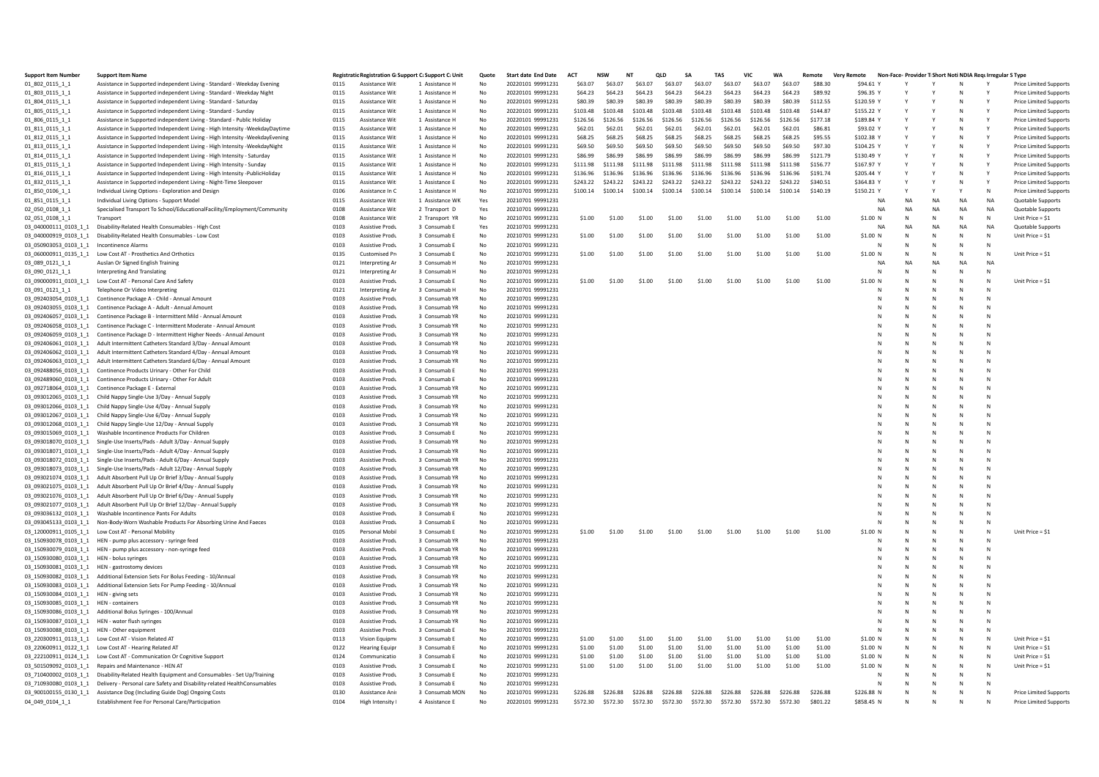| <b>Support Item Number</b>                  | <b>Support Item Name</b>                                                                                                                                     |              | Registratic Registration G Support C Support C Unit |                                  | Quote    | <b>Start date End Date</b>             | A <sub>0</sub>       | <b>NSW</b>           | N <sub>1</sub>       | <b>OLD</b>           | <b>SA</b>            | <b>TAS</b>           | VIC                  | <b>WA</b>            | Remote               | <b>Very Remote</b>       |           |           |               | Non-Face- Provider T Short Noti NDIA Requirregular S Type |                                                       |
|---------------------------------------------|--------------------------------------------------------------------------------------------------------------------------------------------------------------|--------------|-----------------------------------------------------|----------------------------------|----------|----------------------------------------|----------------------|----------------------|----------------------|----------------------|----------------------|----------------------|----------------------|----------------------|----------------------|--------------------------|-----------|-----------|---------------|-----------------------------------------------------------|-------------------------------------------------------|
| 01_802_0115_1_1                             | Assistance in Supported independent Living - Standard - Weekday Evening                                                                                      | 0115         | Assistance Wit                                      | 1 Assistance H                   | No       | 20220101 99991231                      | \$63.07              | \$63.07              | \$63.07              | \$63.07              | \$63.07              | \$63.07              | \$63.07              | \$63.07              | \$88.30              | \$94.61 Y                |           |           | N             |                                                           | <b>Price Limited Support</b>                          |
| 01_803_0115_1_1                             | Assistance in Supported independent Living - Standard - Weekday Night                                                                                        | 0115         | Assistance Wit                                      | 1 Assistance H                   | No       | 20220101 99991231                      | \$64.23              | \$64.23              | \$64.23              | \$64.23              | \$64.23              | \$64.23              | \$64.23              | \$64.23              | \$89.92              | \$96.35                  |           |           |               | Y                                                         | <b>Price Limited Support</b>                          |
| 01_804_0115_1_1                             | Assistance in Supported independent Living - Standard - Saturday                                                                                             | 0115         | Assistance Wit                                      | 1 Assistance H                   | No       | 20220101 99991231                      | \$80.39              | \$80.39              | \$80.39              | \$80.39              | \$80.39              | \$80.39              | \$80.39              | \$80.39              | \$112.55             | \$120.59                 |           |           |               |                                                           | Price Limited Supports                                |
| 01_805_0115_1_1                             | Assistance in Supported independent Living - Standard - Sunday                                                                                               | 0115         | <b>Assistance Wit</b>                               | 1 Assistance H                   | No       | 20220101 99991231                      | \$103.48<br>\$126.56 | \$103.48<br>\$126.56 | \$103.48<br>\$126.56 | \$103.48<br>\$126.56 | \$103.48<br>\$126.56 | \$103.48<br>\$126.56 | \$103.48<br>\$126.56 | \$103.48<br>\$126.56 | \$144.87<br>\$177.18 | \$155.22 V<br>\$189.84 Y |           |           |               |                                                           | Price Limited Support                                 |
| 01_806_0115_1_1                             | Assistance in Supported independent Living - Standard - Public Holiday                                                                                       | 0115         | Assistance Wit<br>Assistance Wit                    | 1 Assistance H<br>1 Assistance H | No<br>No | 20220101 99991231<br>20220101 99991231 | \$62.01              | \$62.01              | \$62.01              | \$62.01              | \$62.01              | \$62.01              | \$62.01              | \$62.01              | \$86.81              |                          |           |           | N<br><b>N</b> |                                                           | <b>Price Limited Support</b>                          |
| 01_811_0115_1_1<br>01_812_0115_1_1          | Assistance in Supported Independent Living - High Intensity - WeekdayDaytime<br>Assistance in Supported Independent Living - High Intensity - WeekdayEvening | 0115<br>0115 | Assistance Wit                                      | 1 Assistance H                   | No       | 20220101 99991231                      | \$68.25              | \$68.25              | \$68.25              | \$68.25              | \$68.25              | \$68.25              | \$68.25              | \$68.25              | \$95.55              | \$93.02 Y<br>\$102.38 Y  |           |           |               |                                                           | Price Limited Support<br><b>Price Limited Support</b> |
| 01 813 0115 1 1                             | Assistance in Supported Independent Living - High Intensity - WeekdayNigh                                                                                    | 0115         | Assistance Wit                                      | 1 Assistance H                   | No       | 20220101 99991231                      | \$69.50              | \$69.50              | \$69.50              | \$69.50              | \$69.50              | \$69.50              | \$69.50              | \$69.50              | \$97.30              | \$104.25 Y               |           |           |               |                                                           | <b>Price Limited Support</b>                          |
| 01_814_0115_1_1                             | Assistance in Supported Independent Living - High Intensity - Saturday                                                                                       | 0115         | Assistance Wit                                      | 1 Assistance H                   | No       | 20220101 99991231                      | \$86.99              | \$86.99              | \$86.99              | \$86.99              | \$86.99              | \$86.99              | \$86.99              | \$86.99              | \$121.79             | \$130.49                 |           |           |               |                                                           | <b>Price Limited Support</b>                          |
| 01_815_0115_1_1                             | Assistance in Supported Independent Living - High Intensity - Sunday                                                                                         | 0115         | Assistance Wit                                      | 1 Assistance H                   | No       | 20220101 99991231                      | \$111.98             | \$111.98             | \$111.98             | \$111.98             | \$111.98             | \$111.98             | \$111.98             | \$111.98             | \$156.77             | \$167.97 Y               |           |           |               |                                                           | <b>Price Limited Support</b>                          |
| 01_816_0115_1_1                             | Assistance in Supported Independent Living - High Intensity -PublicHoliday                                                                                   | 0115         | Assistance Wit                                      | 1 Assistance H                   | No       | 20220101 99991231                      | \$136.96             | \$136.96             | \$136.96             | \$136.96             | \$136.96             | \$136.96             | \$136.96             | \$136.96             | \$191.74             | \$205.44 Y               |           |           |               |                                                           | <b>Price Limited Support</b>                          |
| 01_832_0115_1_1                             | Assistance in Supported independent Living - Night-Time Sleepover                                                                                            | 0115         | Assistance Wit                                      | 1 Assistance E                   | No       | 20220101 99991231                      | \$243.22             | \$243.22             | \$243.22             | \$243.22             | \$243.22             | \$243.22             | \$243.22             | \$243.22             | \$340.51             | \$364.83 Y               |           |           |               |                                                           | Price Limited Supports                                |
| 01_850_0106_1_1                             | Individual Living Options - Exploration and Design                                                                                                           | 0106         | Assistance In C                                     | 1 Assistance H                   | No       | 20210701 99991231                      | \$100.14             | \$100.14             | \$100.14             | \$100.14             | \$100.14             | \$100.14             | \$100.14             | \$100.14             | \$140.19             | \$150.21 Y               |           |           |               | N                                                         | <b>Price Limited Support</b>                          |
| 01 851 0115 1 1                             | Individual Living Options - Support Model                                                                                                                    | 0115         | Assistance Wit                                      | 1 Assistance WK                  | Yes      | 20210701 99991231                      |                      |                      |                      |                      |                      |                      |                      |                      |                      | NA                       | <b>NA</b> | <b>NA</b> | <b>NA</b>     | <b>NA</b>                                                 | Quotable Supports                                     |
| 02_050_0108_1_1                             | Specialised Transport To School/EducationalFacility/Employment/Community                                                                                     | 0108         | Assistance Wit                                      | 2 Transport D                    | Yes      | 20210701 99991231                      |                      |                      |                      |                      |                      |                      |                      |                      |                      | NA                       | <b>NA</b> | <b>NA</b> | <b>NA</b>     | <b>NA</b>                                                 | Quotable Supports                                     |
| 02 051 0108 1 1                             | Transpor                                                                                                                                                     | 0108         | Assistance Wit                                      | 2 Transport YR                   | No       | 20210701 99991231                      | \$1.00               | \$1.00               | \$1.00               | \$1.00               | \$1.00               | \$1.00               | \$1.00               | \$1.00               | \$1.00               | \$1.00 N                 | N         | N         | N             | N                                                         | Unit Price = \$1                                      |
| 03_040000111_0103_1_1                       | Disability-Related Health Consumables - High Cost                                                                                                            | 0103         | <b>Assistive Produ</b>                              | 3 Consumab E                     | Yes      | 20210701 99991231                      |                      |                      |                      |                      |                      |                      |                      |                      |                      | NA                       | <b>NA</b> | <b>NA</b> | <b>NA</b>     | NA                                                        | Quotable Supports                                     |
| 03_040000919_0103_1_1                       | Disability-Related Health Consumables - Low Cost                                                                                                             | 0103         | <b>Assistive Produ</b>                              | 3 Consumab E                     | No       | 20210701 99991231                      | \$1.00               | \$1.00               | \$1.00               | \$1.00               | \$1.00               | \$1.00               | \$1.00               | \$1.00               | \$1.00               | $$1.00$ N                | N         | N         | N             | N                                                         | Unit Price = \$1                                      |
| 03_050903053_0103_1_1                       | <b>Incontinence Alarms</b>                                                                                                                                   | 0103         | <b>Assistive Prodi</b>                              | 3 Consumab E                     | No       | 20210701 99991231                      |                      |                      |                      |                      |                      |                      |                      |                      |                      | N                        |           | N         | N             | N                                                         |                                                       |
|                                             | 03_060000911_0135_1_1    Low Cost AT - Prosthetics And Orthotics                                                                                             | 0135         | <b>Customised Pro</b>                               | 3 Consumab E                     | No       | 20210701 99991231                      | \$1.00               | \$1.00               | \$1.00               | \$1.00               | \$1.00               | \$1.00               | \$1.00               | \$1.00               | \$1.00               | \$1.00 N                 |           | N         | N             | N                                                         | Unit Price = \$1                                      |
| 03_089_0121_1_1                             | Auslan Or Signed English Training                                                                                                                            | 0121         | Interpreting A                                      | 3 Consumab H                     | No<br>No | 20210701 99991231<br>20210701 99991231 |                      |                      |                      |                      |                      |                      |                      |                      |                      | NA                       | <b>NA</b> | <b>NA</b> | <b>NA</b>     | N <sub>A</sub>                                            |                                                       |
| 03 090 0121 1 1<br>03_090000911_0103_1_1    | <b>Interpreting And Translating</b>                                                                                                                          | 0121<br>0103 | Interpreting Ar<br><b>Assistive Produ</b>           | 3 Consumab H<br>3 Consumab E     | No       | 20210701 99991231                      | \$1.00               | \$1.00               | \$1.00               | \$1.00               | \$1.00               | \$1.00               | \$1.00               | \$1.00               | \$1.00               | \$1.00 N                 |           |           |               | N                                                         | Unit Price = \$1                                      |
| 03 091 0121 1 1                             | Low Cost AT - Personal Care And Safety<br>Telephone Or Video Interpreting                                                                                    | 0121         | Interpreting A                                      | 3 Consumab H                     | No       | 20210701 99991231                      |                      |                      |                      |                      |                      |                      |                      |                      |                      |                          |           |           |               | N                                                         |                                                       |
| 03_092403054_0103_1_1                       | Continence Package A - Child - Annual Amount                                                                                                                 | 0103         | <b>Assistive Produ</b>                              | 3 Consumab YR                    | No       | 20210701 99991231                      |                      |                      |                      |                      |                      |                      |                      |                      |                      | N                        | N         |           |               |                                                           |                                                       |
| 03 092403055 0103 1 1                       | Continence Package A - Adult - Annual Amount                                                                                                                 | 0103         | <b>Assistive Produ</b>                              | 3 Consumab YR                    | No       | 20210701 99991231                      |                      |                      |                      |                      |                      |                      |                      |                      |                      | N                        |           |           |               |                                                           |                                                       |
|                                             | 03_092406057_0103_1_1 Continence Package B - Intermittent Mild - Annual Amount                                                                               | 0103         | <b>Assistive Produ</b>                              | 3 Consumab YR                    | No       | 20210701 99991231                      |                      |                      |                      |                      |                      |                      |                      |                      |                      |                          |           |           |               |                                                           |                                                       |
|                                             | 03_092406058_0103_1_1 Continence Package C - Intermittent Moderate - Annual Amount                                                                           | 0103         | <b>Assistive Produ</b>                              | 3 Consumab YR                    | No       | 20210701 99991231                      |                      |                      |                      |                      |                      |                      |                      |                      |                      |                          |           |           |               |                                                           |                                                       |
|                                             | 03_092406059_0103_1_1 Continence Package D - Intermittent Higher Needs - Annual Amount                                                                       | 0103         | <b>Assistive Produ</b>                              | 3 Consumab YR                    | No       | 20210701 99991231                      |                      |                      |                      |                      |                      |                      |                      |                      |                      |                          |           |           |               |                                                           |                                                       |
|                                             | 03_092406061_0103_1_1 Adult Intermittent Catheters Standard 3/Day - Annual Amount                                                                            | 0103         | <b>Assistive Produ</b>                              | 3 Consumab YR                    | No       | 20210701 99991231                      |                      |                      |                      |                      |                      |                      |                      |                      |                      | N                        |           |           |               |                                                           |                                                       |
|                                             | 03_092406062_0103_1_1 Adult Intermittent Catheters Standard 4/Day - Annual Amount                                                                            | 0103         | <b>Assistive Produ</b>                              | 3 Consumab YR                    | No       | 20210701 99991231                      |                      |                      |                      |                      |                      |                      |                      |                      |                      | N                        |           |           |               |                                                           |                                                       |
|                                             | 03 092406063 0103 1 1 Adult Intermittent Catheters Standard 6/Day - Annual Amount                                                                            | 0103         | <b>Assistive Produ</b>                              | 3 Consumab YR                    | No       | 20210701 99991231                      |                      |                      |                      |                      |                      |                      |                      |                      |                      | N                        |           |           |               |                                                           |                                                       |
|                                             | 03_092488056_0103_1_1    Continence Products Urinary - Other For Child                                                                                       | 0103         | <b>Assistive Produ</b>                              | 3 Consumab E                     | No       | 20210701 99991231                      |                      |                      |                      |                      |                      |                      |                      |                      |                      | N                        | N         |           |               | N                                                         |                                                       |
|                                             | 03_092489060_0103_1_1    Continence Products Urinary - Other For Adult                                                                                       | 0103         | <b>Assistive Produ</b>                              | 3 Consumab E                     | No       | 20210701 99991231                      |                      |                      |                      |                      |                      |                      |                      |                      |                      | N                        | N         | N         | N             | N                                                         |                                                       |
|                                             | 03_092718064_0103_1_1 Continence Package E - External                                                                                                        | 0103         | <b>Assistive Produ</b>                              | 3 Consumab YR                    | No       | 20210701 99991231                      |                      |                      |                      |                      |                      |                      |                      |                      |                      | N                        | N         | N         |               | N                                                         |                                                       |
|                                             | 03_093012065_0103_1_1 Child Nappy Single-Use 3/Day - Annual Supply                                                                                           | 0103         | <b>Assistive Produ</b>                              | 3 Consumab YR                    | No       | 20210701 99991231                      |                      |                      |                      |                      |                      |                      |                      |                      |                      |                          | N         |           |               |                                                           |                                                       |
|                                             | 03_093012066_0103_1_1 Child Nappy Single-Use 4/Day - Annual Supply                                                                                           | 0103         | <b>Assistive Produ</b>                              | 3 Consumab YR                    | No       | 20210701 99991231                      |                      |                      |                      |                      |                      |                      |                      |                      |                      | N                        | N         |           |               |                                                           |                                                       |
|                                             | 03_093012067_0103_1_1 Child Nappy Single-Use 6/Day - Annual Supply                                                                                           | 0103         | Assistive Produ                                     | 3 Consumab YR                    | No       | 20210701 99991231                      |                      |                      |                      |                      |                      |                      |                      |                      |                      | $\mathbf{N}$             | N         |           |               | N                                                         |                                                       |
|                                             | 03_093012068_0103_1_1 Child Nappy Single-Use 12/Day - Annual Supply                                                                                          | 0103         | <b>Assistive Produ</b>                              | 3 Consumab YR                    | No       | 20210701 99991231                      |                      |                      |                      |                      |                      |                      |                      |                      |                      | N<br>N                   | N<br>N    |           |               | N<br>N                                                    |                                                       |
| 03 093015069 0103 1 1                       | Washable Incontinence Products For Children<br>03_093018070_0103_1_1 Single-Use Inserts/Pads - Adult 3/Day - Annual Supply                                   | 0103<br>0103 | <b>Assistive Produ</b><br><b>Assistive Produ</b>    | 3 Consumab E<br>3 Consumab YR    | No<br>No | 20210701 99991231<br>20210701 99991231 |                      |                      |                      |                      |                      |                      |                      |                      |                      |                          |           |           |               |                                                           |                                                       |
|                                             | 03 093018071 0103 1 1 Single-Use Inserts/Pads - Adult 4/Day - Annual Supply                                                                                  | 0103         | <b>Assistive Produ</b>                              | 3 Consumab YR                    | No       | 20210701 99991231                      |                      |                      |                      |                      |                      |                      |                      |                      |                      |                          |           |           |               |                                                           |                                                       |
|                                             | 03_093018072_0103_1_1 Single-Use Inserts/Pads - Adult 6/Day - Annual Supply                                                                                  | 0103         | <b>Assistive Produ</b>                              | 3 Consumab YR                    | No       | 20210701 99991231                      |                      |                      |                      |                      |                      |                      |                      |                      |                      | N                        | N         | N         |               |                                                           |                                                       |
| 03_093018073_0103_1_1                       | Single-Use Inserts/Pads - Adult 12/Day - Annual Supply                                                                                                       | 0103         | <b>Assistive Produ</b>                              | 3 Consumab YR                    | No       | 20210701 99991231                      |                      |                      |                      |                      |                      |                      |                      |                      |                      | N                        | N         |           |               |                                                           |                                                       |
|                                             | 03_093021074_0103_1_1 Adult Absorbent Pull Up Or Brief 3/Day - Annual Supply                                                                                 | 0103         | Assistive Produ                                     | 3 Consumab YR                    | No       | 20210701 99991231                      |                      |                      |                      |                      |                      |                      |                      |                      |                      | N                        | N         |           |               |                                                           |                                                       |
|                                             | 03 093021075 0103 1 1 Adult Absorbent Pull Up Or Brief 4/Day - Annual Supply                                                                                 | 0103         | <b>Assistive Produ</b>                              | 3 Consumab YR                    | No       | 20210701 99991231                      |                      |                      |                      |                      |                      |                      |                      |                      |                      | N                        |           |           |               |                                                           |                                                       |
|                                             | 03_093021076_0103_1_1 Adult Absorbent Pull Up Or Brief 6/Day - Annual Supply                                                                                 | 0103         | Assistive Produ                                     | 3 Consumab YR                    | No       | 20210701 99991231                      |                      |                      |                      |                      |                      |                      |                      |                      |                      | N                        |           |           |               |                                                           |                                                       |
|                                             | 03 093021077 0103 1 1 Adult Absorbent Pull Up Or Brief 12/Day - Annual Supply                                                                                | 0103         | <b>Assistive Produ</b>                              | 3 Consumab YR                    | No       | 20210701 99991231                      |                      |                      |                      |                      |                      |                      |                      |                      |                      | N                        |           |           |               |                                                           |                                                       |
|                                             |                                                                                                                                                              | 0103         | <b>Assistive Produ</b>                              | 3 Consumab E                     | No       | 20210701 99991231                      |                      |                      |                      |                      |                      |                      |                      |                      |                      | N                        |           |           |               |                                                           |                                                       |
|                                             | 03_093045133_0103_1_1 Non-Body-Worn Washable Products For Absorbing Urine And Faeces                                                                         | 0103         | <b>Assistive Produ</b>                              | 3 Consumab E                     | No       | 20210701 99991231                      |                      |                      |                      |                      |                      |                      |                      |                      |                      |                          | N         |           |               |                                                           |                                                       |
|                                             | 03_120000911_0105_1_1    Low Cost AT - Personal Mobility                                                                                                     | 0105         | Personal Mobi                                       | 3 Consumab E                     | No       | 20210701 99991231                      | \$1.00               | \$1.00               | \$1.00               | \$1.00               | \$1.00               | \$1.00               | \$1.00               | \$1.00               | \$1.00               | \$1.00 N                 |           |           |               | N                                                         | Unit Price = \$1                                      |
|                                             | 03_150930078_0103_1_1 HEN - pump plus accessory - syringe feed                                                                                               | 0103         | <b>Assistive Produ</b>                              | 3 Consumab YR                    | No       | 20210701 99991231                      |                      |                      |                      |                      |                      |                      |                      |                      |                      |                          |           |           |               | N                                                         |                                                       |
|                                             | 03_150930079_0103_1_1 HEN - pump plus accessory - non-syringe feed                                                                                           | 0103         | <b>Assistive Produ</b>                              | 3 Consumab YR                    | No       | 20210701 99991231                      |                      |                      |                      |                      |                      |                      |                      |                      |                      | N                        | N         |           |               |                                                           |                                                       |
| 03 150930080 0103 1 1 HEN - bolus syringe:  |                                                                                                                                                              | 0103         | <b>Assistive Produ</b>                              | 3 Consumab YR                    | No       | 20210701 99991231                      |                      |                      |                      |                      |                      |                      |                      |                      |                      | N                        | N<br>N    |           |               | N                                                         |                                                       |
|                                             | 03_150930081_0103_1_1 HEN - gastrostomy devices<br>03_150930082_0103_1_1 Additional Extension Sets For Bolus Feeding - 10/Annual                             | 0103<br>0103 | <b>Assistive Produ</b><br><b>Assistive Produ</b>    | 3 Consumab YR<br>3 Consumab YR   | No<br>No | 20210701 99991231<br>20210701 99991231 |                      |                      |                      |                      |                      |                      |                      |                      |                      | N                        | N         |           |               |                                                           |                                                       |
|                                             | 03_150930083_0103_1_1 Additional Extension Sets For Pump Feeding - 10/Annual                                                                                 | 0103         | <b>Assistive Produ</b>                              | 3 Consumab YR                    | No       | 20210701 99991231                      |                      |                      |                      |                      |                      |                      |                      |                      |                      | N                        | N         |           |               | N                                                         |                                                       |
| 03_150930084_0103_1_1 HEN - giving sets     |                                                                                                                                                              | 0103         | <b>Assistive Produ</b>                              | 3 Consumab YR                    | No       | 20210701 99991231                      |                      |                      |                      |                      |                      |                      |                      |                      |                      | N                        | N         |           |               |                                                           |                                                       |
| 03_150930085_0103_1_1 HEN - containers      |                                                                                                                                                              | 0103         | <b>Assistive Produ</b>                              | 3 Consumab YR                    | No       | 20210701 99991231                      |                      |                      |                      |                      |                      |                      |                      |                      |                      | N                        |           |           |               |                                                           |                                                       |
|                                             | 03_150930086_0103_1_1 Additional Bolus Syringes - 100/Annual                                                                                                 | 0103         | <b>Assistive Prodi</b>                              | 3 Consumab YR                    | No       | 20210701 99991231                      |                      |                      |                      |                      |                      |                      |                      |                      |                      | N                        |           |           |               |                                                           |                                                       |
|                                             | 03 150930087 0103 1 1 HEN - water flush syringes                                                                                                             | 0103         | <b>Assistive Produ</b>                              | 3 Consumab YR                    | No       | 20210701 99991231                      |                      |                      |                      |                      |                      |                      |                      |                      |                      | N                        |           |           |               |                                                           |                                                       |
| 03 150930088 0103 1 1 HEN - Other equipment |                                                                                                                                                              | 0103         | <b>Assistive Produ</b>                              | 3 Consumab F                     | No       | 20210701 99991231                      |                      |                      |                      |                      |                      |                      |                      |                      |                      | N                        |           |           |               | N                                                         |                                                       |
|                                             | 03_220300911_0113_1_1    Low Cost AT - Vision Related AT                                                                                                     | 0113         | Vision Equipme                                      | 3 Consumab E                     | No       | 20210701 99991231                      | \$1.00               | \$1.00               | \$1.00               | \$1.00               | \$1.00               | \$1.00               | \$1.00               | \$1.00               | \$1.00               | \$1.00 N                 |           |           | N             | N                                                         | Unit Price = \$1                                      |
|                                             | 03_220600911_0122_1_1    Low Cost AT - Hearing Related AT                                                                                                    | 0122         | <b>Hearing Equipi</b>                               | 3 Consumab E                     | No       | 20210701 99991231                      | \$1.00               | \$1.00               | \$1.00               | \$1.00               | \$1.00               | \$1.00               | \$1.00               | \$1.00               | \$1.00               | \$1.00 N                 |           |           |               | N                                                         | Unit Price = \$1                                      |
|                                             | 03_222100911_0124_1_1 Low Cost AT - Communication Or Cognitive Support                                                                                       | 0124         | Communicatio                                        | 3 Consumab E                     | No       | 20210701 99991231                      | \$1.00               | \$1.00               | \$1.00               | \$1.00               | \$1.00               | \$1.00               | \$1.00               | \$1.00               | \$1.00               | \$1.00 N                 |           |           |               | $\mathbb{N}$                                              | Unit Price = \$1                                      |
| 03_501509092_0103_1_1                       | Repairs and Maintenance - HEN AT                                                                                                                             | 0103         | <b>Assistive Produ</b>                              | 3 Consumab E                     | No       | 20210701 99991231                      | \$1.00               | \$1.00               | \$1.00               | \$1.00               | \$1.00               | \$1.00               | \$1.00               | \$1.00               | \$1.00               | \$1.00 N                 |           |           | N             | $\mathbb{N}$                                              | Unit Price = \$1                                      |
|                                             | 03_710400002_0103_1_1 Disability-Related Health Equipment and Consumables - Set Up/Training                                                                  | 0103         | <b>Assistive Produ</b>                              | 3 Consumab E                     | No       | 20210701 99991231                      |                      |                      |                      |                      |                      |                      |                      |                      |                      | N                        |           |           | <b>N</b>      | N                                                         |                                                       |
|                                             | 03_710930080_0103_1_1 Delivery - Personal care Safety and Disability-related HealthConsumables                                                               | 0103         | <b>Assistive Prod</b>                               | 3 Consumab E                     | No       | 20210701 99991231                      |                      |                      |                      |                      |                      |                      |                      |                      |                      | N                        |           |           |               | N                                                         |                                                       |
|                                             | 03_900100155_0130_1_1 Assistance Dog (Including Guide Dog) Ongoing Costs                                                                                     | 0130         | Assistance Anii                                     | 3 Consumab MON                   | No       | 20210701 99991231                      | \$226.88             | \$226.88             | \$226.88             | \$226.88             | \$226.88             | \$226.88             | \$226.88             | \$226.88             | \$226.88             | \$226.88 N               |           |           |               | N                                                         | <b>Price Limited Supports</b>                         |
| 04_049_0104_1_1                             | Establishment Fee For Personal Care/Participation                                                                                                            | 0104         | <b>High Intensity</b>                               | 4 Assistance E                   | No       | 20220101 99991231                      | \$572.30             | \$572.30             | \$572.30             | \$572.30             | \$572.30             | \$572.30             | \$572.30             | \$572.30             | \$801.22             | \$858.45 N               |           |           |               |                                                           | <b>Price Limited Supports</b>                         |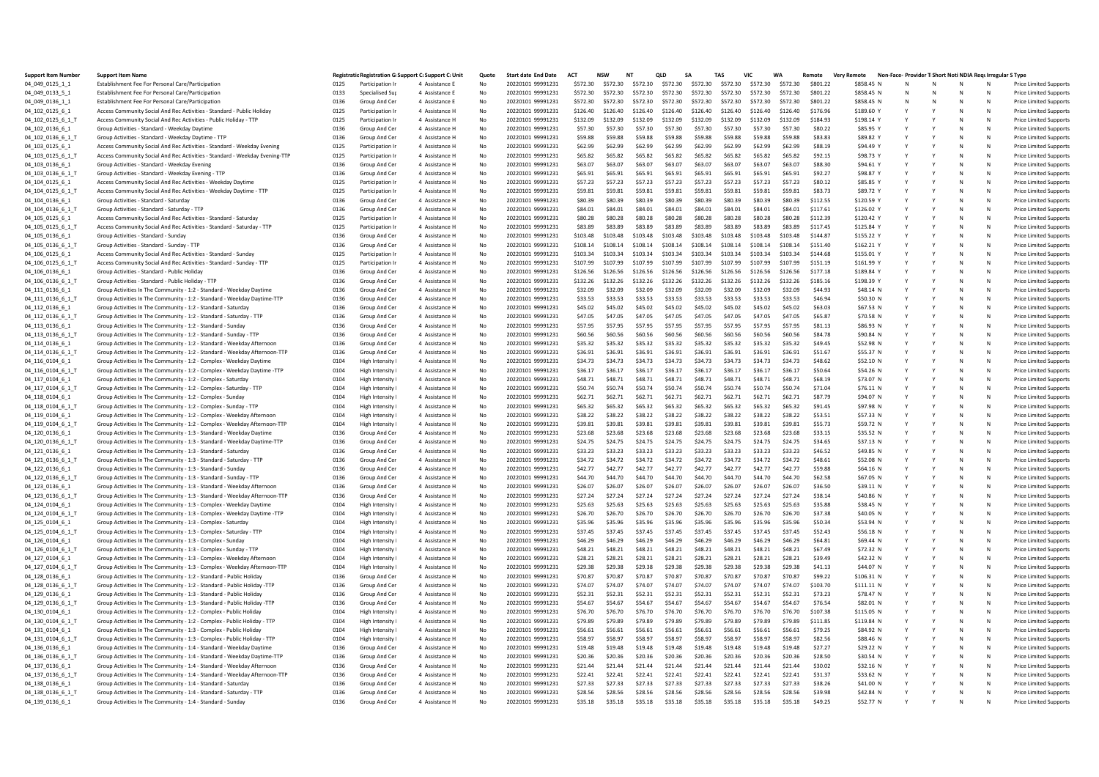| <b>Support Item Number</b>           | <b>Support Item Name</b>                                                                                                                        |              | Registratic Registration G Support C Support C Unit |                                  | Quote     | <b>Start date End Date</b>             | AC                 | <b>NSW</b>         |                    | <b>OLD</b>         |                    | TAS                | VIC                | <b>WA</b>          | Remote<br>Ven       | Remote                  | Non-Face- Provider T Short Noti NDIA Regulares S Type |              |                          |                   |                                                              |
|--------------------------------------|-------------------------------------------------------------------------------------------------------------------------------------------------|--------------|-----------------------------------------------------|----------------------------------|-----------|----------------------------------------|--------------------|--------------------|--------------------|--------------------|--------------------|--------------------|--------------------|--------------------|---------------------|-------------------------|-------------------------------------------------------|--------------|--------------------------|-------------------|--------------------------------------------------------------|
| 04_049_0125_1_1                      | Establishment Fee For Personal Care/Participation                                                                                               | 0125         | Participation In                                    | 4 Assistance E                   | No        | 20220101 99991231                      | \$572.30           | \$572.30           | \$572.30           | \$572.30           | \$572.30           | \$572.30           | \$572.30           | \$572.30           | \$801.22            | S858.45 N               | $\mathsf{N}$                                          | N            | N                        | N                 | <b>Price Limited Supports</b>                                |
| 04_049_0133_5_1                      | Establishment Fee For Personal Care/Participation                                                                                               | 0133         | <b>Specialised Sup</b>                              | 4 Assistance E                   | No        | 20220101 99991231                      | \$572.30           | \$572.30           | \$572.30           | \$572.30           | \$572.30           | \$572.30           | \$572.30           | \$572.30           | \$801.22            | \$858.45 N              | N                                                     | $\mathsf{N}$ | N                        | N                 | <b>Price Limited Support</b>                                 |
| 04_049_0136_1_1                      | Establishment Fee For Personal Care/Participation                                                                                               | 0136         | Group And Cer                                       | 4 Assistance E                   | No        | 20220101 99991231                      | \$572.30           | \$572.30           | \$572.30           | \$572.30           | \$572.30           | \$572.30           | \$572.30           | \$572.30           | \$801.22            | \$858.45 N              |                                                       | N            | N                        | N                 | Price Limited Supports                                       |
| 04 102 0125 6 1                      | Access Community Social And Rec Activities - Standard - Public Holiday                                                                          | 0125         | Participation In                                    | 4 Assistance H                   | No        | 20220101 99991231                      | \$126.40           | \$126.40           | \$126.40           | \$126.40           | \$126.40           | \$126.40           | \$126.40           | \$126.40           | \$176.96            | \$189.60 Y              |                                                       |              | N                        | N                 | Price Limited Support                                        |
| 04_102_0125_6_1_T                    | Access Community Social And Rec Activities - Public Holiday - TTP                                                                               | 0125         | Participation In                                    | 4 Assistance H                   | No        | 20220101 99991231                      | \$132.09           | \$132.09           | \$132.09           | \$132.09           | \$132.09           | \$132.09           | \$132.09           | \$132.09           | \$184.93            | \$198.14 Y              |                                                       |              | N                        | N                 | <b>Price Limited Support</b>                                 |
| 04_102_0136_6_1                      | Group Activities - Standard - Weekday Daytime                                                                                                   | 0136         | Group And Cer                                       | 4 Assistance H                   | No        | 20220101 99991231                      | \$57.30            | \$57.30            | \$57.30            | \$57.30            | \$57.30            | \$57.30            | \$57.30            | \$57.30            | \$80.22             | \$85.95 Y               |                                                       |              | N                        | N                 | Price Limited Supports                                       |
| 04_102_0136_6_1_T                    | Group Activities - Standard - Weekday Daytime - TTP                                                                                             | 0136         | Group And Cer                                       | 4 Assistance H                   | No        | 20220101 99991231                      | \$59.88            | \$59.88            | \$59.88            | \$59.88            | \$59.88            | \$59.88            | \$59.88            | \$59.88            | \$83.83             | \$89.82 Y               |                                                       |              | N                        | N                 | <b>Price Limited Support</b>                                 |
| 04 103 0125 6 1                      | Access Community Social And Rec Activities - Standard - Weekday Evening                                                                         | 0125         | Participation In                                    | 4 Assistance H                   | No        | 20220101 99991231<br>20220101 99991231 | \$62.99            | \$62.99            | \$62.99            | \$62.99            | \$62.99            | \$62.99            | \$62.99            | \$62.99            | \$88.19             | \$94.49 Y               |                                                       |              | $\overline{N}$           | N                 | <b>Price Limited Support</b>                                 |
| 04_103_0125_6_1_T                    | Access Community Social And Rec Activities - Standard - Weekday Evening-TTP                                                                     | 0125         | Participation In                                    | 4 Assistance H                   | No        |                                        | \$65.82            | \$65.82            | \$65.82            | \$65.82            | \$65.82            | \$65.82            | \$65.82            | \$65.82            | \$92.15<br>\$88.30  | S98.73 Y                |                                                       |              | $\sim$<br>$\overline{N}$ | N                 | <b>Price Limited Support</b>                                 |
| 04_103_0136_6_1                      | Group Activities - Standard - Weekday Evening<br>Group Activities - Standard - Weekday Evening - TTF                                            | 0136<br>0136 | Group And Cer<br>Group And Cer                      | 4 Assistance H<br>4 Assistance H | No<br>No  | 20220101 99991231<br>20220101 99991231 | \$63.07<br>\$65.91 | \$63.07<br>\$65.91 | \$63.07<br>\$65.91 | \$63.07<br>\$65.91 | \$63.07<br>\$65.91 | \$63.07<br>\$65.91 | \$63.07<br>\$65.91 | \$63.07<br>\$65.91 | \$92.27             | \$94.61 Y<br>\$98.87 Y  |                                                       |              |                          | N<br>N            | <b>Price Limited Support</b><br><b>Price Limited Support</b> |
| 04_103_0136_6_1_T<br>04_104_0125_6_1 | Access Community Social And Rec Activities - Weekday Daytime                                                                                    | 0125         | Participation In                                    | 4 Assistance H                   | No        | 20220101 99991231                      | \$57.23            | \$57.23            | \$57.23            | \$57.23            | \$57.23            | \$57.23            | \$57.23            | \$57.23            | \$80.12             | \$85.85 Y               |                                                       |              |                          | $\mathbb{N}$      | Price Limited Supports                                       |
| 04 104 0125 6 1 T                    | Access Community Social And Rec Activities - Weekday Daytime - TTP                                                                              | 0125         | Participation In                                    | 4 Assistance H                   | No        | 20220101 99991231                      | \$59.81            | \$59.81            | \$59.81            | \$59.81            | \$59.81            | \$59.81            | \$59.81            | \$59.81            | \$83.73             | \$89.72 Y               |                                                       |              |                          | N                 | Price Limited Supports                                       |
| 04_104_0136_6_1                      | Group Activities - Standard - Saturday                                                                                                          | 0136         | Group And Cer                                       | 4 Assistance H                   | No        | 20220101 99991231                      | \$80.39            | \$80.39            | \$80.39            | \$80.39            | \$80.39            | \$80.39            | \$80.39            | \$80.39            | \$112.55            | \$120.59 Y              |                                                       |              | <b>N</b>                 | N                 | <b>Price Limited Support</b>                                 |
| 04_104_0136_6_1_T                    | Group Activities - Standard - Saturday - TTF                                                                                                    | 0136         | Group And Cer                                       | 4 Assistance H                   | No        | 20220101 99991231                      | \$84.01            | \$84.01            | \$84.01            | \$84.01            | \$84.01            | \$84.01            | \$84.01            | \$84.01            | \$117.61            | \$126.02 Y              |                                                       |              |                          | N                 | Price Limited Supports                                       |
| 04_105_0125_6_1                      | Access Community Social And Rec Activities - Standard - Saturday                                                                                | 0125         | Participation In                                    | 4 Assistance H                   | No        | 20220101 99991231                      | \$80.28            | \$80.28            | \$80.28            | \$80.28            | \$80.28            | \$80.28            | \$80.28            | \$80.28            | \$112.39            | \$120.42 Y              |                                                       |              | N                        | N                 | <b>Price Limited Support</b>                                 |
| 04_105_0125_6_1_T                    | Access Community Social And Rec Activities - Standard - Saturday - TTP                                                                          | 0125         | Participation In                                    | 4 Assistance H                   | No        | 20220101 99991231                      | \$83.89            | \$83.89            | \$83.89            | \$83.89            | \$83.89            | \$83.89            | \$83.89            | \$83.89            | \$117.45            | \$125.84 Y              |                                                       |              |                          | N                 | Price Limited Supports                                       |
| 04_105_0136_6_1                      | Group Activities - Standard - Sunday                                                                                                            | 0136         | Group And Cer                                       | 4 Assistance H                   | No        | 20220101 99991231                      | \$103.48           | \$103.48           | \$103.48           | \$103.48           | \$103.48           | \$103.48           | \$103.48           | \$103.48           | \$144.87            | \$155.22 Y              |                                                       |              | N                        | N                 | Price Limited Supports                                       |
| 04_105_0136_6_1_T                    | Group Activities - Standard - Sunday - TTP                                                                                                      | 0136         | Group And Cer                                       | 4 Assistance H                   | No        | 20220101 99991231                      | \$108.14           | \$108.14           | \$108.14           | \$108.14           | \$108.14           | \$108.14           | \$108.14           | \$108.14           | \$151.40            | $$162.21$ Y             |                                                       |              | N                        | $\mathbb{N}$      | Price Limited Supports                                       |
| 04 106 0125 6 1                      | Access Community Social And Rec Activities - Standard - Sunday                                                                                  | 0125         | Participation In                                    | 4 Assistance H                   | No        | 20220101 99991231                      | \$103.34           | \$103.34           | \$103.34           | \$103.34           | \$103.34           | \$103.34           | \$103.34           | \$103.34           | \$144.68            | \$155.01 Y              |                                                       |              |                          | N                 | <b>Price Limited Support</b>                                 |
| 04_106_0125_6_1_T                    | Access Community Social And Rec Activities - Standard - Sunday - TTP                                                                            | 0125         | Participation In                                    | 4 Assistance H                   | No        | 20220101 99991231                      | \$107.99           | \$107.99           | \$107.99           | \$107.99           | \$107.99           | \$107.99           | \$107.99           | \$107.99           | \$151.19            | $$161.99$ \             |                                                       |              |                          | N                 | <b>Price Limited Support</b>                                 |
| 04_106_0136_6_1                      | Group Activities - Standard - Public Holiday                                                                                                    | 0136         | Group And Cer                                       | 4 Assistance H                   | No        | 20220101 99991231                      | \$126.56           | \$126.56           | \$126.56           | \$126.56           | \$126.56           | \$126.56           | \$126.56           | \$126.56           | \$177.18            | \$189.84 Y              |                                                       |              | N                        | N                 | <b>Price Limited Support</b>                                 |
| 04_106_0136_6_1_T                    | Group Activities - Standard - Public Holiday - TTP                                                                                              | 0136         | Group And Cer                                       | 4 Assistance H                   | No        | 20220101 99991231                      | \$132.26           | \$132.26           | \$132.26           | \$132.26           | \$132.26           | \$132.26           | \$132.26           | \$132.26           | \$185.16            | \$198.39 Y              |                                                       |              | N                        | N                 | <b>Price Limited Support</b>                                 |
| 04_111_0136_6_1                      | Group Activities In The Community - 1:2 - Standard - Weekday Daytime                                                                            | 0136         | Group And Cer                                       | 4 Assistance H                   | No        | 20220101 99991231                      | \$32.09            | \$32.09            | \$32.09            | \$32.09            | \$32.09            | \$32.09            | \$32.09            | \$32.09            | \$44.93             | \$48.14 N               |                                                       |              | N                        | N                 | <b>Price Limited Support</b>                                 |
| 04_111_0136_6_1_T                    | Group Activities In The Community - 1:2 - Standard - Weekday Daytime-TTP                                                                        | 0136         | Group And Cer                                       | 4 Assistance H                   | No        | 20220101 99991231                      | \$33.53            | \$33.53            | \$33.53            | \$33.53            | \$33.53            | \$33.53            | \$33.53            | \$33.53            | \$46.94             | \$50.30 N               |                                                       |              |                          | N                 | <b>Price Limited Supports</b>                                |
| 04 112 0136 6 1                      | Group Activities In The Community - 1:2 - Standard - Saturday                                                                                   | 0136         | Group And Cer                                       | 4 Assistance H                   | No        | 20220101 99991231                      | \$45.02            | \$45.02            | \$45.02            | \$45.02            | \$45.02            | \$45.02            | \$45.02            | \$45.02            | \$63.03             | \$67.53 N               |                                                       |              |                          | $\overline{N}$    | <b>Price Limited Support</b>                                 |
| 04_112_0136_6_1_T                    | Group Activities In The Community - 1:2 - Standard - Saturday - TTP                                                                             | 0136         | Group And Cer                                       | 4 Assistance H                   | No        | 20220101 99991231                      | \$47.05            | \$47.05            | \$47.05            | \$47.05            | \$47.05            | \$47.05            | \$47.05            | \$47.05            | \$65.87             | \$70.58 N               |                                                       |              | $\overline{N}$           | N                 | <b>Price Limited Support</b>                                 |
| 04_113_0136_6_1                      | Group Activities In The Community - 1:2 - Standard - Sunday                                                                                     | 0136         | Group And Cer                                       | 4 Assistance H                   | No        | 20220101 99991231                      | \$57.95            | \$57.95            | \$57.95            | \$57.95            | \$57.95            | \$57.95            | \$57.95            | \$57.95            | \$81.13             | \$86.93 N               |                                                       |              | $\overline{N}$           | N                 | <b>Price Limited Support</b>                                 |
| 04_113_0136_6_1_T                    | Group Activities In The Community - 1:2 - Standard - Sunday - TTP                                                                               | 0136         | Group And Cer                                       | 4 Assistance H                   | No        | 20220101 99991231                      | \$60.56            | \$60.56            | \$60.56            | \$60.56            | \$60.56            | \$60.56            | \$60.56            | \$60.56            | \$84.78             | \$90.84 N               |                                                       |              |                          | N                 | Price Limited Supports                                       |
| 04_114_0136_6_1                      | Group Activities In The Community - 1:2 - Standard - Weekday Afternoon                                                                          | 0136         | Group And Cer                                       | 4 Assistance H                   | No        | 20220101 99991231                      | \$35.32            | \$35.32            | \$35.32            | \$35.32            | \$35.32            | \$35.32            | \$35.32            | \$35.32            | \$49.45             | \$52.98 N               |                                                       |              |                          | N                 | Price Limited Supports                                       |
| 04 114 0136 6 1 T                    | Group Activities In The Community - 1:2 - Standard - Weekday Afternoon-TTP                                                                      | 0136         | Group And Cer                                       | 4 Assistance H                   | No        | 20220101 99991231                      | \$36.91            | \$36.91            | \$36.91            | \$36.91            | \$36.91            | \$36.91            | \$36.91            | \$36.91            | \$51.67             | \$55.37 N               |                                                       |              |                          | $\mathbb{N}$      | Price Limited Supports                                       |
| 04_116_0104_6_1                      | Group Activities In The Community - 1:2 - Complex - Weekday Daytime                                                                             | 0104         | <b>High Intensity</b>                               | 4 Assistance H                   | No        | 20220101 99991231                      | \$34.73            | \$34.73            | \$34.73            | \$34.73            | \$34.73            | \$34.73            | \$34.73            | \$34.73            | \$48.62             | \$52.10 N               |                                                       |              | N                        | N                 | <b>Price Limited Support</b>                                 |
| 04_116_0104_6_1_T                    | Group Activities In The Community - 1:2 - Complex - Weekday Daytime -TTP                                                                        | 0104         | <b>High Intensity</b>                               | 4 Assistance H                   | No        | 20220101 99991231                      | \$36.17            | \$36.17            | \$36.17            | \$36.17            | \$36.17            | \$36.17            | \$36.17            | \$36.17            | \$50.64             | \$54.26 N               |                                                       |              | N                        | N                 | Price Limited Supports                                       |
| 04_117_0104_6_1                      | Group Activities In The Community - 1:2 - Complex - Saturday                                                                                    | 0104<br>0104 | High Intensity<br>High Intensity                    | 4 Assistance H<br>4 Assistance H | No<br>No  | 20220101 99991231<br>20220101 99991231 | \$48.71<br>\$50.74 | \$48.71<br>\$50.74 | \$48.71<br>\$50.74 | \$48.71<br>\$50.74 | \$48.71<br>\$50.74 | \$48.71<br>\$50.74 | \$48.71<br>\$50.74 | \$48.71<br>\$50.74 | \$68.19<br>\$71.04  | \$73.07 N<br>$$76.11$ N |                                                       |              | N                        | N<br>N            | <b>Price Limited Support</b>                                 |
| 04_117_0104_6_1_T                    | Group Activities In The Community - 1:2 - Complex - Saturday - TTP<br>Group Activities In The Community - 1:2 - Complex - Sunday                | 0104         | <b>High Intensity</b>                               | 4 Assistance H                   | No        | 20220101 99991231                      | \$62.71            | \$62.71            | S62.71             | \$62.71            | \$62.71            | S62.71             | \$62.71            | S62.71             | \$87.79             | \$94.07 N               |                                                       |              | <b>N</b>                 | N                 | Price Limited Supports<br><b>Price Limited Support</b>       |
| 04_118_0104_6_1<br>04_118_0104_6_1_T | Group Activities In The Community - 1:2 - Complex - Sunday - TTF                                                                                | 0104         | <b>High Intensity</b>                               | 4 Assistance H                   | No        | 20220101 99991231                      | \$65.32            | \$65.32            | \$65.32            | \$65.32            | \$65.32            | \$65.32            | \$65.32            | \$65.32            | \$91.45             | \$97.98 N               |                                                       |              | N                        | N                 | <b>Price Limited Support</b>                                 |
| 04_119_0104_6_1                      | Group Activities In The Community - 1:2 - Complex - Weekday Afternoon                                                                           | 0104         | <b>High Intensity</b>                               | 4 Assistance H                   | No        | 20220101 99991231                      | \$38.22            | \$38.22            | \$38.22            | \$38.22            | \$38.22            | \$38.22            | \$38.22            | \$38.22            | \$53.51             | \$57.33 N               |                                                       |              | N                        | N                 | <b>Price Limited Support</b>                                 |
| 04_119_0104_6_1_T                    | Group Activities In The Community - 1:2 - Complex - Weekday Afternoon-TTP                                                                       | 0104         | <b>High Intensity</b>                               | 4 Assistance H                   | No        | 20220101 99991231                      | \$39.81            | \$39.81            | \$39.81            | \$39.81            | \$39.81            | \$39.81            | \$39.81            | \$39.81            | \$55.73             | \$59.72 N               |                                                       |              |                          | N                 | Price Limited Supports                                       |
| 04 120 0136 6 1                      | Group Activities In The Community - 1:3 - Standard - Weekday Daytime                                                                            | 0136         | Group And Cer                                       | 4 Assistance H                   | No        | 20220101 99991231                      | \$23.68            | \$23.68            | \$23.68            | \$23.68            | \$23.68            | \$23.68            | \$23.68            | \$23.68            | \$33.15             | \$35.52 N               |                                                       |              |                          | N                 | <b>Price Limited Support</b>                                 |
| 04 120 0136 6 1 T                    | Group Activities In The Community - 1:3 - Standard - Weekday Daytime-TTP                                                                        | 0136         | Group And Cer                                       | 4 Assistance H                   | No        | 20220101 99991231                      | \$24.75            | \$24.75            | \$24.75            | \$24.75            | \$24.75            | \$24.75            | \$24.75            | \$24.75            | \$34.65             | \$37.13 N               |                                                       |              | N                        | N                 | <b>Price Limited Support</b>                                 |
| 04_121_0136_6_1                      | Group Activities In The Community - 1:3 - Standard - Saturday                                                                                   | 0136         | Group And Cer                                       | 4 Assistance H                   | No        | 20220101 99991231                      | \$33.23            | \$33.23            | \$33.23            | \$33.23            | \$33.23            | \$33.23            | \$33.23            | \$33.23            | \$46.52             | \$49.85 N               |                                                       |              | N                        | N                 | <b>Price Limited Support</b>                                 |
| 04_121_0136_6_1_T                    | Group Activities In The Community - 1:3 - Standard - Saturday - TTP                                                                             | 0136         | Group And Cer                                       | 4 Assistance H                   | No        | 20220101 99991231                      | \$34.72            | \$34.72            | \$34.72            | \$34.72            | \$34.72            | \$34.72            | \$34.72            | \$34.72            | \$48.61             | \$52.08 N               |                                                       |              | N                        | N                 | <b>Price Limited Support</b>                                 |
| 04_122_0136_6_1                      | Group Activities In The Community - 1:3 - Standard - Sunday                                                                                     | 0136         | Group And Cer                                       | 4 Assistance H                   | No        | 20220101 99991231                      | \$42.77            | S42.77             | S42.77             | \$42.77            | S42.77             | \$42.77            | S42.77             | S42.77             | \$59.88             | \$64.16 N               |                                                       |              |                          | N                 | Price Limited Supports                                       |
| 04_122_0136_6_1_T                    | Group Activities In The Community - 1:3 - Standard - Sunday - TTP                                                                               | 0136         | Group And Cer                                       | 4 Assistance H                   | No        | 20220101 99991231                      | \$44.70            | \$44.70            | \$44.70            | \$44.70            | \$44.70            | \$44.70            | \$44.70            | \$44.70            | \$62.58             | \$67.05 N               |                                                       |              |                          | N                 | <b>Price Limited Support</b>                                 |
| 04_123_0136_6_1                      | Group Activities In The Community - 1:3 - Standard - Weekday Afternoor                                                                          | 0136         | Group And Cer                                       | 4 Assistance H                   | No        | 20220101 99991231                      | \$26.07            | \$26.07            | \$26.07            | \$26.07            | \$26.07            | \$26.07            | \$26.07            | \$26.07            | \$36.50             | \$39.11 N               |                                                       |              | $\overline{N}$           | N                 | <b>Price Limited Support</b>                                 |
| 04_123_0136_6_1_T                    | Group Activities In The Community - 1:3 - Standard - Weekday Afternoon-TTP                                                                      | 0136         | Group And Cer                                       | 4 Assistance H                   | No        | 20220101 99991231                      | \$27.24            | \$27.24            | \$27.24            | \$27.24            | \$27.24            | \$27.24            | \$27.24            | \$27.24            | \$38.14             | \$40.86 N               |                                                       |              |                          | N                 | Price Limited Supports                                       |
| 04_124_0104_6_1                      | Group Activities In The Community - 1:3 - Complex - Weekday Daytime                                                                             | 0104         | <b>High Intensity</b>                               | 4 Assistance H                   | No        | 20220101 99991231                      | \$25.63            | \$25.63            | \$25.63            | \$25.63            | \$25.63            | \$25.63            | \$25.63            | \$25.63            | \$35.88             | \$38.45 N               |                                                       |              |                          | N                 | <b>Price Limited Support</b>                                 |
| 04_124_0104_6_1_T                    | Group Activities In The Community - 1:3 - Complex - Weekday Daytime -TTP                                                                        | 0104         | High Intensity I                                    | 4 Assistance H                   | No        | 20220101 99991231                      | \$26.70            | \$26.70            | \$26.70            | \$26.70            | \$26.70            | \$26.70            | \$26.70            | \$26.70            | \$37.38             | \$40.05 N               |                                                       |              |                          | $\mathbb{N}$      | Price Limited Supports                                       |
| 04_125_0104_6_1                      | Group Activities In The Community - 1:3 - Complex - Saturday                                                                                    | 0104         | <b>High Intensity</b>                               | 4 Assistance H                   | No        | 20220101 99991231                      | \$35.96            | \$35.96            | \$35.96            | \$35.96            | \$35.96            | \$35.96            | \$35.96            | \$35.96            | \$50.34             | \$53.94 N               |                                                       |              | N                        | N                 | <b>Price Limited Support</b>                                 |
| 04_125_0104_6_1_T                    | Group Activities In The Community - 1:3 - Complex - Saturday - TTP                                                                              | 0104         | <b>High Intensity</b>                               | 4 Assistance H                   | No        | 20220101 99991231                      | \$37.45            | \$37.45            | \$37.45            | \$37.45            | \$37.45            | \$37.45            | \$37.45            | \$37.45            | \$52.43             | \$56.18 N               |                                                       |              | N                        | N                 | <b>Price Limited Support</b>                                 |
| 04_126_0104_6_1                      | Group Activities In The Community - 1:3 - Complex - Sunday                                                                                      | 0104         | High Intensity                                      | 4 Assistance H                   | No        | 20220101 99991231                      | \$46.29            | \$46.29            | \$46.29            | \$46.29            | \$46.29            | \$46.29            | \$46.29            | \$46.29            | \$64.81             | \$69.44 N               |                                                       |              | N                        | N                 | Price Limited Supports                                       |
| 04 126 0104 6 1 T                    | Group Activities In The Community - 1:3 - Complex - Sunday - TTP                                                                                | 0104         | High Intensity                                      | 4 Assistance H                   | No        | 20220101 99991231                      | \$48.21            | \$48.21            | \$48.21            | \$48.21            | \$48.21            | \$48.21            | \$48.21            | \$48.21            | \$67.49             | \$72.32 N               |                                                       |              | N                        | $\overline{N}$    | <b>Price Limited Support</b>                                 |
| 04_127_0104_6_1                      | Group Activities In The Community - 1:3 - Complex - Weekday Afternoon                                                                           | 0104         | <b>High Intensity</b>                               | 4 Assistance H                   | No        | 20220101 99991231                      | \$28.21            | \$28.21            | \$28.21            | \$28.21            | \$28.21            | \$28.21            | \$28.21            | \$28.21            | \$39.49             | \$42.32 N               |                                                       |              | N                        | N                 | <b>Price Limited Support</b>                                 |
| 04_127_0104_6_1_T                    | Group Activities In The Community - 1:3 - Complex - Weekday Afternoon-TTP                                                                       | 0104         | <b>High Intensity</b>                               | 4 Assistance H                   | No        | 20220101 99991231                      | \$29.38            | \$29.38            | \$29.38            | \$29.38            | \$29.38            | \$29.38            | \$29.38            | \$29.38            | \$41.13             | \$44.07 N               |                                                       |              | N<br>N                   | N                 | <b>Price Limited Support</b>                                 |
| 04_128_0136_6_1                      | Group Activities In The Community - 1:2 - Standard - Public Holiday                                                                             | 0136         | Group And Cer                                       | 4 Assistance H                   | No        | 20220101 99991231                      | \$70.87            | \$70.87            | \$70.87            | \$70.87            | \$70.87            | \$70.87            | \$70.87            | \$70.87            | \$99.22             | \$106.31 N              |                                                       |              |                          | N                 | Price Limited Supports                                       |
| 04_128_0136_6_1_T<br>04 129 0136 6 1 | Group Activities In The Community - 1:2 - Standard - Public Holiday -TTI<br>Group Activities In The Community - 1:3 - Standard - Public Holiday | 0136<br>0136 | Group And Cer<br>Group And Cer                      | 4 Assistance H<br>4 Assistance H | No<br>No  | 20220101 99991231<br>20220101 99991231 | \$74.07<br>\$52.31 | \$74.07<br>\$52.31 | \$74.07<br>\$52.31 | \$74.07<br>\$52.31 | \$74.07<br>\$52.31 | \$74.07<br>\$52.31 | \$74.07<br>\$52.31 | \$74.07<br>\$52.31 | \$103.70<br>\$73.23 | \$111.11 N<br>\$78.47 N |                                                       |              |                          | N<br>$\mathbb{N}$ | <b>Price Limited Support</b><br>Price Limited Supports       |
| 04_129_0136_6_1_T                    | Group Activities In The Community - 1:3 - Standard - Public Holiday -TTF                                                                        | 0136         | Group And Cer                                       | 4 Assistance H                   | No        | 20220101 99991231                      | \$54.67            | \$54.67            | \$54.67            | \$54.67            | \$54.67            | \$54.67            | \$54.67            | \$54.67            | \$76.54             | \$82.01 N               |                                                       |              | N                        | $\mathsf{N}$      | <b>Price Limited Support</b>                                 |
| 04_130_0104_6_1                      | Group Activities In The Community - 1:2 - Complex - Public Holiday                                                                              | 0104         | High Intensity                                      | 4 Assistance H                   | No        | 20220101 99991231                      | \$76.70            | \$76.70            | \$76.70            | \$76.70            | \$76.70            | \$76.70            | \$76.70            | \$76.70            | \$107.38            | \$115.05 N              |                                                       |              | N                        | N                 | Price Limited Supports                                       |
| 04_130_0104_6_1_T                    | Group Activities In The Community - 1:2 - Complex - Public Holiday - TTP                                                                        | 0104         | High Intensity                                      | 4 Assistance H                   | No        | 20220101 99991231                      | \$79.89            | \$79.89            | \$79.89            | \$79.89            | \$79.89            | \$79.89            | \$79.89            | \$79.89            | \$111.85            | \$119.84 N              |                                                       |              | N                        | N                 | <b>Price Limited Support</b>                                 |
| 04_131_0104_6_1                      | Group Activities In The Community - 1:3 - Complex - Public Holiday                                                                              | 0104         | High Intensity                                      | 4 Assistance H                   | No        | 20220101 99991231                      | \$56.61            | \$56.61            | \$56.61            | \$56.61            | \$56.61            | \$56.61            | \$56.61            | \$56.61            | \$79.25             | \$84.92 N               |                                                       |              | N                        | N                 | <b>Price Limited Support</b>                                 |
| 04_131_0104_6_1_T                    | Group Activities In The Community - 1:3 - Complex - Public Holiday - TTP                                                                        | 0104         | High Intensity                                      | 4 Assistance H                   | <b>No</b> | 20220101 99991231                      | \$58.97            | \$58.97            | \$58.97            | \$58.97            | \$58.97            | \$58.97            | \$58.97            | \$58.97            | \$82.56             | \$88.46 N               |                                                       |              |                          | N                 | <b>Price Limited Support</b>                                 |
| 04_136_0136_6_1                      | Group Activities In The Community - 1:4 - Standard - Weekday Daytime                                                                            | 0136         | Group And Cer                                       | 4 Assistance H                   | No        | 20220101 99991231                      | \$19.48            | \$19.48            | \$19.48            | \$19.48            | \$19.48            | \$19.48            | \$19.48            | \$19,48            | \$27.27             | \$29.22 N               |                                                       |              | N                        | N                 | <b>Price Limited Support</b>                                 |
| 04_136_0136_6_1_T                    | Group Activities In The Community - 1:4 - Standard - Weekday Daytime-TTP                                                                        | 0136         | Group And Cer                                       | 4 Assistance H                   | No        | 20220101 99991231                      | \$20.36            | \$20.36            | \$20.36            | \$20.36            | \$20.36            | \$20.36            | \$20.36            | \$20.36            | \$28.50             | \$30.54 N               |                                                       |              | $\overline{N}$           | N                 | Price Limited Supports                                       |
| 04_137_0136_6_1                      | Group Activities In The Community - 1:4 - Standard - Weekday Afternoon                                                                          | 0136         | Group And Cer                                       | 4 Assistance H                   | No        | 20220101 99991231                      | \$21.44            | \$21.44            | \$21.44            | \$21.44            | \$21.44            | \$21.44            | \$21.44            | \$21.44            | \$30.02             | \$32.16 N               |                                                       |              |                          | N                 | <b>Price Limited Support</b>                                 |
| 04 137 0136 6 1 T                    | Group Activities In The Community - 1:4 - Standard - Weekday Afternoon-TTP                                                                      | 0136         | Group And Cer                                       | 4 Assistance H                   | No        | 20220101 99991231                      | \$22.41            | \$22.41            | \$22.41            | \$22.41            | \$22.41            | \$22.41            | \$22.41            | \$22.41            | \$31.37             | \$33.62 N               |                                                       |              |                          | $\mathbb{N}$      | <b>Price Limited Support</b>                                 |
| 04 138 0136 6 1                      | Group Activities In The Community - 1:4 - Standard - Saturday                                                                                   | 0136         | Group And Cer                                       | 4 Assistance H                   | No        | 20220101 99991231                      | \$27.33            | \$27.33            | \$27.33            | \$27.33            | \$27.33            | \$27.33            | \$27.33            | \$27.33            | \$38.26             | \$41.00 N               |                                                       |              | N                        | N                 | <b>Price Limited Support</b>                                 |
| 04 138 0136 6 1 T                    | Group Activities In The Community - 1:4 - Standard - Saturday - TTP                                                                             | 0136         | Group And Cer                                       | 4 Assistance H                   | No        | 20220101 99991231                      | \$28.56            | \$28.56            | \$28.56            | \$28.56            | \$28.56            | \$28.56            | \$28.56            | \$28.56            | \$39.98             | \$42.84 N               |                                                       |              | N                        | N                 | <b>Price Limited Supports</b>                                |
| 04_139_0136_6_1                      | Group Activities In The Community - 1:4 - Standard - Sunday                                                                                     | 0136         | Group And Cer                                       | 4 Assistance H                   | No        | 20220101 99991231                      | \$35.18            | \$35.18            | \$35.18            | \$35.18            | \$35.18            | \$35.18            | \$35.18            | \$35.18            | \$49.25             | \$52.77 N               |                                                       |              |                          | N                 | <b>Price Limited Supports</b>                                |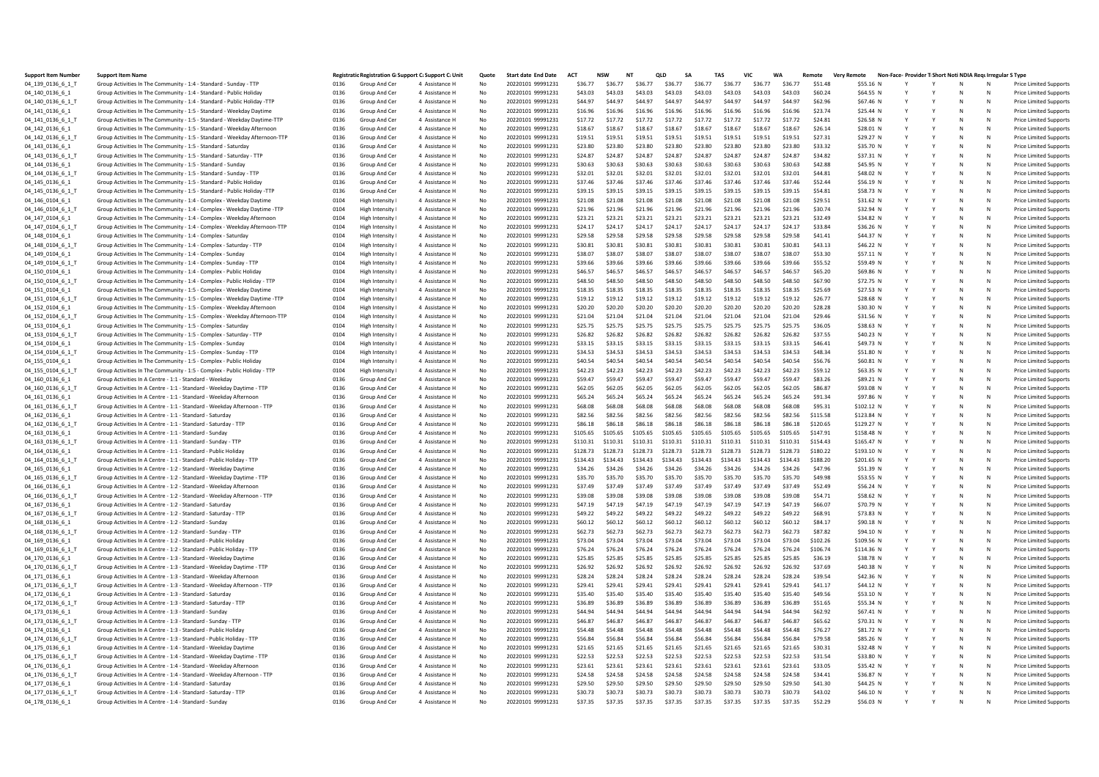| <b>Support Item Number</b>           | <b>Support Item Name</b>                                                                                                                          |              | Registratic Registration G Support C; Support C; Unit |                                  | Quote         | <b>Start date End Date</b>             | AC                   | <b>NSW</b><br>N.     |                      | OLD                  | SΑ                   | <b>TAS</b>           | VIC<br><b>WA</b>     |                      | Remote<br><b>Very Remote</b> |                          | Non-Face- Provider T Short Noti NDIA Regulares S Type |                |                |                                                               |
|--------------------------------------|---------------------------------------------------------------------------------------------------------------------------------------------------|--------------|-------------------------------------------------------|----------------------------------|---------------|----------------------------------------|----------------------|----------------------|----------------------|----------------------|----------------------|----------------------|----------------------|----------------------|------------------------------|--------------------------|-------------------------------------------------------|----------------|----------------|---------------------------------------------------------------|
| 04_139_0136_6_1_T                    | Group Activities In The Community - 1:4 - Standard - Sunday - TTP                                                                                 | 0136         | Group And Cer                                         | 4 Assistance H                   | No            | 20220101 99991231                      | \$36.77              | \$36.77              | \$36.77              | \$36.77              | \$36.77              | \$36.77              | \$36,77              | \$36.77              | \$51.48                      | \$55.16 N                |                                                       | N              | N              | <b>Price Limited Supports</b>                                 |
| 04_140_0136_6_1                      | Group Activities In The Community - 1:4 - Standard - Public Holiday                                                                               | 0136         | Group And Cer                                         | 4 Assistance H                   | No            | 20220101 99991231                      | \$43.03              | \$43.03              | \$43.03              | \$43.03              | \$43.03              | \$43.03              | \$43.03              | \$43.03              | \$60.24                      | \$64.55 N                |                                                       |                | N              | <b>Price Limited Support</b>                                  |
| 04_140_0136_6_1_T                    | Group Activities In The Community - 1:4 - Standard - Public Holiday -TTP                                                                          | 0136         | Group And Cer                                         | 4 Assistance H                   | No            | 20220101 99991231                      | \$44.97              | \$44.97              | \$44.97              | \$44.97              | \$44.97              | \$44.97              | \$44.97              | \$44.97              | \$62.96                      | \$67.46 N                |                                                       | N              | N              | Price Limited Supports                                        |
| 04 141 0136 6 1                      | Group Activities In The Community - 1:5 - Standard - Weekday Daytime                                                                              | 0136         | Group And Cer                                         | 4 Assistance H                   | No            | 20220101 99991231                      | \$16.96              | \$16.96              | \$16.96              | \$16.96              | \$16.96              | \$16.96              | \$16.96              | \$16.96              | \$23.74                      | \$25.44 N                |                                                       | N              | N              | Price Limited Support                                         |
| 04_141_0136_6_1_T                    | Group Activities In The Community - 1:5 - Standard - Weekday Daytime-TTP                                                                          | 0136         | Group And Cer                                         | 4 Assistance H                   | No            | 20220101 99991231                      | \$17.72              | \$17.72              | \$17.72              | \$17.72              | \$17.72              | \$17.72              | \$17.72              | \$17.72              | \$24.81                      | \$26.58 N                |                                                       | N              | N              | <b>Price Limited Support</b>                                  |
| 04_142_0136_6_1                      | Group Activities In The Community - 1:5 - Standard - Weekday Afternoon                                                                            | 0136         | Group And Cer                                         | 4 Assistance H                   | No            | 20220101 99991231                      | \$18.67              | \$18.67              | \$18.67              | \$18.67              | \$18.67              | \$18.67              | \$18.67              | \$18.67              | \$26.14                      | \$28.01 N                |                                                       | N              | N              | Price Limited Supports                                        |
| 04_142_0136_6_1_T                    | Group Activities In The Community - 1:5 - Standard - Weekday Afternoon-TTP                                                                        | 0136         | Group And Cer                                         | 4 Assistance H                   | No            | 20220101 99991231                      | \$19.51              | \$19.51              | \$19.51              | \$19.51              | \$19.51              | \$19.51              | \$19.51              | \$19.51              | \$27.31                      | \$29.27 N                |                                                       | N              | N              | <b>Price Limited Support</b>                                  |
| 04 143 0136 6 1                      | Group Activities In The Community - 1:5 - Standard - Saturday                                                                                     | 0136         | Group And Cer                                         | 4 Assistance H                   | No            | 20220101 99991231                      | \$23.80              | \$23.80              | \$23.80              | \$23.80              | \$23.80              | \$23.80              | \$23.80              | \$23.80              | \$33.32                      | \$35.70 N                |                                                       | $\overline{N}$ | $\overline{N}$ | <b>Price Limited Support</b>                                  |
| 04_143_0136_6_1_T                    | Group Activities In The Community - 1:5 - Standard - Saturday - TTP                                                                               | 0136         | Group And Cer                                         | 4 Assistance H                   | No            | 20220101 99991231                      | \$24.87              | \$24.87              | \$24.87              | \$24.87              | \$24.87              | \$24.87              | \$24.87              | \$24.87              | \$34.82                      | \$37.31 N                |                                                       | $\overline{N}$ | N              | <b>Price Limited Support</b>                                  |
| 04_144_0136_6_1                      | Group Activities In The Community - 1:5 - Standard - Sunday                                                                                       | 0136         | Group And Cer                                         | 4 Assistance H                   | No            | 20220101 99991231                      | \$30.63              | \$30.63              | \$30.63              | \$30.63              | \$30.63              | \$30.63              | \$30.63              | \$30.63              | \$42.88                      | \$45.95 N                |                                                       | $\mathbf{N}$   | N              | <b>Price Limited Support</b>                                  |
| 04 144 0136 6 1 T                    | Group Activities In The Community - 1:5 - Standard - Sunday - TTP                                                                                 | 0136         | Group And Cer                                         | 4 Assistance H                   | No            | 20220101 99991231                      | \$32.01              | \$32.01              | \$32.01              | \$32.01              | \$32.01              | \$32.01              | \$32.01              | \$32.01              | \$44.81                      | \$48.02 N                |                                                       |                | N              | <b>Price Limited Support</b>                                  |
| 04_145_0136_6_1                      | Group Activities In The Community - 1:5 - Standard - Public Holiday                                                                               | 0136         | Group And Cer                                         | 4 Assistance H                   | No            | 20220101 99991231                      | \$37.46              | \$37.46              | \$37.46              | \$37.46              | \$37.46              | \$37.46              | \$37.46              | \$37.46              | \$52.44                      | \$56.19 N                |                                                       |                | $\mathbb{N}$   | Price Limited Supports                                        |
| 04 145 0136 6 1 T                    | Group Activities In The Community - 1:5 - Standard - Public Holiday -TTP                                                                          | 0136         | Group And Cer                                         | 4 Assistance H                   | No            | 20220101 99991231                      | \$39.15              | \$39.15              | \$39.15              | \$39.15              | \$39.15              | \$39.15              | \$39.15              | \$39.15              | \$54.81                      | \$58.73 N                |                                                       |                | N              | <b>Price Limited Support</b>                                  |
| 04_146_0104_6_1                      | Group Activities In The Community - 1:4 - Complex - Weekday Daytime                                                                               | 0104         | High Intensity                                        | 4 Assistance H                   | No            | 20220101 99991231                      | \$21.08              | \$21.08              | \$21.08              | \$21.08              | \$21.08              | \$21.08              | \$21.08              | \$21.08              | \$29.51                      | \$31.62 N                |                                                       | N              | N              | <b>Price Limited Support</b>                                  |
| 04_146_0104_6_1_T                    | Group Activities In The Community - 1:4 - Complex - Weekday Daytime -TTP<br>Group Activities In The Community - 1:4 - Complex - Weekday Afternoor | 0104<br>0104 | High Intensity I<br>High Intensity                    | 4 Assistance H<br>4 Assistance H | No<br>No      | 20220101 99991231<br>20220101 99991231 | \$21.96<br>\$23.21   | \$21.96<br>\$23.21   | \$21.96<br>\$23.21   | \$21.96<br>\$23.21   | \$21.96<br>\$23.21   | \$21.96<br>\$23.21   | \$21.96<br>\$23.21   | \$21.96<br>\$23.21   | \$30.74<br>\$32.49           | \$32.94 N<br>\$34.82 N   |                                                       | N<br>N         | N<br>N         | Price Limited Supports<br><b>Price Limited Support</b>        |
| 04_147_0104_6_1<br>04_147_0104_6_1_T | Group Activities In The Community - 1:4 - Complex - Weekday Afternoon-TTP                                                                         | 0104         | High Intensity                                        | 4 Assistance H                   | No            | 20220101 99991231                      | \$24.17              | \$24.17              | \$24.17              | \$24.17              | \$24.17              | \$24.17              | \$24.17              | \$24.17              | \$33.84                      | \$36.26 N                |                                                       | N              | N              | Price Limited Supports                                        |
| 04_148_0104_6_1                      | Group Activities In The Community - 1:4 - Complex - Saturday                                                                                      | 0104         | High Intensity                                        | 4 Assistance H                   | No            | 20220101 99991231                      | \$29.58              | \$29.58              | \$29.58              | \$29.58              | \$29.58              | \$29.58              | \$29.58              | \$29.58              | \$41.41                      | \$44.37 N                |                                                       | $\overline{N}$ | $\overline{N}$ | <b>Price Limited Support</b>                                  |
| 04_148_0104_6_1_T                    | Group Activities In The Community - 1:4 - Complex - Saturday - TTP                                                                                | 0104         | High Intensity                                        | 4 Assistance H                   | No            | 20220101 99991231                      | \$30.81              | \$30.81              | \$30.81              | \$30.81              | \$30.81              | \$30.81              | \$30.81              | \$30.81              | \$43.13                      | \$46.22 N                |                                                       | $\overline{N}$ | $\mathbb{N}$   | Price Limited Supports                                        |
| 04_149_0104_6_1                      | Group Activities In The Community - 1:4 - Complex - Sunday                                                                                        | 0104         | High Intensity                                        | 4 Assistance H                   | No            | 20220101 99991231                      | \$38.07              | \$38.07              | \$38.07              | \$38.07              | \$38.07              | \$38.07              | \$38.07              | \$38.07              | \$53.30                      | \$57.11 N                |                                                       |                | $\mathbb{N}$   | <b>Price Limited Support</b>                                  |
| 04_149_0104_6_1_T                    | Group Activities In The Community - 1:4 - Complex - Sunday - TTP                                                                                  | 0104         | High Intensity                                        | 4 Assistance H                   | No            | 20220101 99991231                      | \$39.66              | \$39.66              | \$39.66              | \$39.66              | \$39.66              | \$39,66              | \$39.66              | \$39.66              | \$55.52                      | \$59.49 N                |                                                       |                | N              | <b>Price Limited Support</b>                                  |
| 04_150_0104_6_1                      | Group Activities In The Community - 1:4 - Complex - Public Holiday                                                                                | 0104         | High Intensity                                        | 4 Assistance H                   | No            | 20220101 99991231                      | \$46.57              | \$46.57              | \$46.57              | \$46.57              | \$46.57              | \$46.57              | \$46.57              | \$46.57              | \$65.20                      | \$69.86 N                |                                                       | N              | N              | <b>Price Limited Support</b>                                  |
| 04_150_0104_6_1_T                    | Group Activities In The Community - 1:4 - Complex - Public Holiday - TTP                                                                          | 0104         | High Intensity                                        | 4 Assistance H                   | No            | 20220101 99991231                      | \$48.50              | \$48.50              | \$48.50              | \$48.50              | \$48.50              | \$48.50              | \$48.50              | \$48.50              | \$67.90                      | \$72.75 N                |                                                       | N              | N              | <b>Price Limited Support</b>                                  |
| 04_151_0104_6_1                      | Group Activities In The Community - 1:5 - Complex - Weekday Daytime                                                                               | 0104         | High Intensity                                        | 4 Assistance H                   | No            | 20220101 99991231                      | \$18.35              | \$18.35              | \$18.35              | \$18.35              | \$18.35              | \$18.35              | \$18.35              | \$18.35              | \$25.69                      | \$27.53 N                |                                                       | N              | N              | <b>Price Limited Support</b>                                  |
| 04_151_0104_6_1_T                    | Group Activities In The Community - 1:5 - Complex - Weekday Daytime -TTP                                                                          | 0104         | High Intensity                                        | 4 Assistance H                   | No            | 20220101 99991231                      | \$19.12              | \$19.12              | \$19.12              | \$19.12              | \$19.12              | \$19.12              | \$19.12              | \$19.12              | \$26.77                      | \$28.68 N                |                                                       | N              | N              | <b>Price Limited Support</b>                                  |
| 04 152 0104 6 1                      | Group Activities In The Community - 1:5 - Complex - Weekday Afternoon                                                                             | 0104         | High Intensity                                        | 4 Assistance H                   | <b>No</b>     | 20220101 99991231                      | \$20.20              | \$20.20              | \$20.20              | \$20.20              | \$20.20              | \$20.20              | \$20.20              | \$20.20              | \$28.28                      | \$30.30 N                |                                                       | $\overline{N}$ | $\overline{N}$ | <b>Price Limited Support</b>                                  |
| 04_152_0104_6_1_T                    | Group Activities In The Community - 1:5 - Complex - Weekday Afternoon-TTP                                                                         | 0104         | High Intensity                                        | 4 Assistance H                   | No            | 20220101 99991231                      | \$21.04              | \$21.04              | \$21.04              | \$21.04              | \$21.04              | \$21.04              | \$21.04              | \$21.04              | \$29.46                      | \$31.56 N                |                                                       | $\overline{N}$ | N              | <b>Price Limited Support</b>                                  |
| 04_153_0104_6_1                      | Group Activities In The Community - 1:5 - Complex - Saturday                                                                                      | 0104         | High Intensity                                        | 4 Assistance H                   | No            | 20220101 99991231                      | \$25.75              | \$25.75              | \$25.75              | \$25.75              | \$25.75              | \$25.75              | \$25.75              | \$25.75              | \$36.05                      | \$38.63 N                |                                                       | N              | N              | Price Limited Supports                                        |
| 04_153_0104_6_1_T                    | Group Activities In The Community - 1:5 - Complex - Saturday - TTP                                                                                | 0104         | High Intensity                                        | 4 Assistance H                   | No            | 20220101 99991231                      | \$26.82              | \$26.82              | \$26.82              | \$26.82              | \$26.82              | \$26.82              | \$26.82              | \$26.82              | \$37.55                      | \$40.23 N                |                                                       |                | N              | <b>Price Limited Support</b>                                  |
| 04_154_0104_6_1                      | Group Activities In The Community - 1:5 - Complex - Sunday                                                                                        | 0104         | High Intensity                                        | 4 Assistance H                   | No            | 20220101 99991231                      | \$33.15              | \$33.15              | \$33.15              | \$33.15              | \$33.15              | \$33.15              | \$33.15              | \$33.15              | \$46.41                      | \$49.73 N                |                                                       |                | N              | Price Limited Supports                                        |
| 04 154 0104 6 1 T                    | Group Activities In The Community - 1:5 - Complex - Sunday - TTP                                                                                  | 0104         | High Intensity                                        | 4 Assistance H                   | No            | 20220101 99991231                      | \$34.53              | \$34.53              | \$34.53              | \$34.53              | \$34.53              | \$34.53              | \$34.53              | \$34.53              | \$48.34                      | \$51.80 N                |                                                       |                | $\mathbb{N}$   | Price Limited Supports                                        |
| 04_155_0104_6_1                      | Group Activities In The Community - 1:5 - Complex - Public Holiday                                                                                | 0104         | High Intensity                                        | 4 Assistance H                   | No            | 20220101 99991231                      | \$40.54              | \$40.54              | \$40.54              | \$40.54              | \$40.54              | \$40.54              | \$40.54              | \$40.54              | \$56.76                      | \$60.81 N                |                                                       | N              | N              | <b>Price Limited Support</b>                                  |
| 04_155_0104_6_1_T                    | Group Activities In The Community - 1:5 - Complex - Public Holiday - TTP                                                                          | 0104         | High Intensity I                                      | 4 Assistance H                   | No            | 20220101 99991231                      | \$42.23              | \$42.23              | \$42.23              | \$42.23              | \$42.23              | \$42.23              | \$42.23              | \$42.23              | \$59.12                      | \$63.35 N                |                                                       | N              | N              | Price Limited Supports                                        |
| 04_160_0136_6_1                      | Group Activities In A Centre - 1:1 - Standard - Weekday                                                                                           | 0136         | Group And Cer                                         | 4 Assistance H                   | No            | 20220101 99991231                      | \$59.47              | \$59.47              | \$59.47              | \$59.47              | \$59.47              | \$59.47              | \$59.47              | \$59.47              | \$83.26                      | \$89.21 N                |                                                       | N              | N              | <b>Price Limited Support</b>                                  |
| 04_160_0136_6_1_T                    | Group Activities In A Centre - 1:1 - Standard - Weekday Daytime - TTF                                                                             | 0136         | Group And Cer                                         | 4 Assistance H                   | No            | 20220101 99991231                      | \$62.05              | \$62.05              | \$62.05              | \$62.05              | \$62.05              | \$62.05              | \$62.05              | \$62.05              | \$86.87                      | \$93.08 N                |                                                       | N              | N              | <b>Price Limited Supports</b>                                 |
| 04 161 0136 6 1                      | Group Activities In A Centre - 1:1 - Standard - Weekday Afternoon                                                                                 | 0136         | Group And Cer                                         | 4 Assistance H                   | No            | 20220101 99991231                      | \$65.24              | \$65.24              | \$65.24              | \$65.24              | \$65.24              | \$65.24              | \$65.24              | \$65.24              | \$91.34                      | \$97.86 N                |                                                       | $\overline{N}$ | $\mathbb{N}$   | <b>Price Limited Support</b>                                  |
| 04_161_0136_6_1_T                    | Group Activities In A Centre - 1:1 - Standard - Weekday Afternoon - TTP                                                                           | 0136         | Group And Cer                                         | 4 Assistance H                   | No            | 20220101 99991231                      | \$68.08              | \$68.08              | \$68.08              | \$68.08              | \$68.08              | \$68.08              | \$68.08              | \$68.08              | \$95.31                      | \$102.12 N               |                                                       | N              | $\mathbb{N}$   | <b>Price Limited Support</b>                                  |
| 04_162_0136_6_1                      | Group Activities In A Centre - 1:1 - Standard - Saturday                                                                                          | 0136         | Group And Cer                                         | 4 Assistance H                   | No            | 20220101 99991231                      | \$82.56              | \$82.56              | \$82.56              | \$82.56              | \$82.56              | \$82.56              | \$82.56              | \$82.56              | \$115.58                     | \$123.84 N               |                                                       | N              | N              | Price Limited Supports                                        |
| 04_162_0136_6_1_T                    | Group Activities In A Centre - 1:1 - Standard - Saturday - TTP                                                                                    | 0136         | Group And Cer                                         | 4 Assistance H                   | No            | 20220101 99991231                      | \$86.18              | <b>\$86.18</b>       | \$86.18              | \$86.18              | \$86.18              | \$86.18              | \$86.18              | \$86.18              | \$120.65                     | \$129.27 N               |                                                       |                | N              | Price Limited Supports                                        |
| 04_163_0136_6_1                      | Group Activities In A Centre - 1:1 - Standard - Sunday<br>Group Activities In A Centre - 1:1 - Standard - Sunday - TTP                            | 0136<br>0136 | Group And Cer<br>Group And Cer                        | 4 Assistance H<br>4 Assistance H | No<br>No      | 20220101 99991231<br>20220101 99991231 | \$105.65<br>\$110.31 | \$105.65<br>\$110.31 | \$105.65<br>\$110.31 | \$105.65<br>\$110.31 | \$105.65<br>\$110.31 | \$105.65<br>\$110.31 | \$105.65<br>\$110.31 | \$105.65<br>\$110.31 | \$147.91<br>\$154.43         | \$158.48 N<br>\$165.47 N |                                                       | N<br>N         | N<br>N         | <b>Price Limited Support</b><br><b>Price Limited Support</b>  |
| 04_163_0136_6_1_T<br>04_164_0136_6_1 | Group Activities In A Centre - 1:1 - Standard - Public Holiday                                                                                    | 0136         | Group And Cer                                         | 4 Assistance H                   | No            | 20220101 99991231                      | \$128.73             | \$128.73             | \$128.73             | \$128.73             | \$128.73             | \$128.73             | \$128.73             | \$128.73             | \$180.22                     | \$193.10 N               |                                                       | N              | N              | <b>Price Limited Support</b>                                  |
| 04_164_0136_6_1_T                    | Group Activities In A Centre - 1:1 - Standard - Public Holiday - TTP                                                                              | 0136         | Group And Cer                                         | 4 Assistance H                   | No            | 20220101 99991231                      | \$134.43             | \$134.43             | \$134.43             | \$134.43             | \$134.43             | \$134.43             | \$134.43             | \$134.43             | \$188.20                     | \$201.65 N               |                                                       | N              | N              | <b>Price Limited Support</b>                                  |
| 04_165_0136_6_1                      | Group Activities In A Centre - 1:2 - Standard - Weekday Daytime                                                                                   | 0136         | Group And Cer                                         | 4 Assistance H                   | No            | 20220101 99991231                      | \$34.26              | \$34.26              | \$34.26              | \$34.26              | \$34.26              | \$34.26              | \$34.26              | \$34.26              | \$47.96                      | \$51.39 N                |                                                       | N              | N              | <b>Price Limited Supports</b>                                 |
| 04_165_0136_6_1_T                    | Group Activities In A Centre - 1:2 - Standard - Weekday Daytime - TTP                                                                             | 0136         | Group And Cer                                         | 4 Assistance H                   | No            | 20220101 99991231                      | \$35.70              | \$35.70              | \$35.70              | \$35.70              | \$35.70              | \$35.70              | \$35.70              | \$35.70              | \$49.98                      | \$53.55 N                |                                                       | $\overline{N}$ | N              | <b>Price Limited Support</b>                                  |
| 04_166_0136_6_1                      | Group Activities In A Centre - 1:2 - Standard - Weekday Afternoon                                                                                 | 0136         | Group And Cer                                         | 4 Assistance H                   | No            | 20220101 99991231                      | \$37.49              | \$37.49              | \$37.49              | \$37.49              | \$37.49              | \$37.49              | \$37.49              | \$37.49              | \$52.49                      | \$56.24 N                |                                                       |                | $\mathbb{N}$   | <b>Price Limited Support</b>                                  |
| 04_166_0136_6_1_T                    | Group Activities In A Centre - 1:2 - Standard - Weekday Afternoon - TTP                                                                           | 0136         | Group And Cer                                         | 4 Assistance H                   | No            | 20220101 99991231                      | \$39.08              | \$39.08              | \$39.08              | \$39.08              | \$39.08              | \$39.08              | \$39.08              | \$39.08              | \$54.71                      | \$58.62 N                |                                                       |                | N              | Price Limited Supports                                        |
| 04 167 0136 6 1                      | Group Activities In A Centre - 1:2 - Standard - Saturday                                                                                          | 0136         | Group And Cer                                         | 4 Assistance H                   | No            | 20220101 99991231                      | \$47.19              | \$47.19              | \$47.19              | \$47.19              | \$47.19              | \$47.19              | \$47.19              | \$47.19              | \$66.07                      | \$70.79 N                |                                                       |                | N              | <b>Price Limited Support</b>                                  |
| 04_167_0136_6_1_T                    | Group Activities In A Centre - 1:2 - Standard - Saturday - TTP                                                                                    | 0136         | Group And Cer                                         | 4 Assistance H                   | No            | 20220101 99991231                      | \$49.22              | \$49.22              | \$49.22              | \$49.22              | \$49.22              | \$49.22              | \$49.22              | \$49.22              | \$68.91                      | \$73.83 N                |                                                       |                | $\mathbb{N}$   | Price Limited Supports                                        |
| 04_168_0136_6_1                      | Group Activities In A Centre - 1:2 - Standard - Sunday                                                                                            | 0136         | Group And Cer                                         | 4 Assistance H                   | No            | 20220101 99991231                      | \$60.12              | \$60.12              | \$60.12              | \$60.12              | \$60.12              | \$60.12              | \$60.12              | \$60.12              | \$84.17                      | \$90.18 N                |                                                       | N              | N              | Price Limited Supports                                        |
| 04_168_0136_6_1_T                    | Group Activities In A Centre - 1:2 - Standard - Sunday - TTP                                                                                      | 0136         | Group And Cer                                         | 4 Assistance H                   | No            | 20220101 99991231                      | \$62.73              | \$62.73              | \$62.73              | \$62.73              | \$62.73              | \$62.73              | \$62.73              | \$62.73              | \$87.82                      | \$94.10 N                |                                                       | N              | N              | <b>Price Limited Support</b>                                  |
| 04_169_0136_6_1                      | Group Activities In A Centre - 1:2 - Standard - Public Holiday                                                                                    | 0136         | Group And Cer                                         | 4 Assistance H                   | No            | 20220101 99991231                      | \$73.04              | \$73.04              | \$73.04              | \$73.04              | \$73.04              | \$73.04              | \$73.04              | \$73.04              | \$102.26                     | \$109.56 N               |                                                       | N              | N              | <b>Price Limited Support</b>                                  |
| 04 169 0136 6 1 T                    | Group Activities In A Centre - 1:2 - Standard - Public Holiday - TTP                                                                              | 0136         | Group And Cer                                         | 4 Assistance H                   | <b>No</b>     | 20220101 99991231                      | \$76.24              | \$76.24              | \$76.24              | \$76.24              | \$76.24              | \$76.24              | \$76.24              | \$76.24              | \$106.74                     | \$114.36 N               |                                                       | $\overline{N}$ | $\overline{N}$ | Price Limited Supports                                        |
| 04_170_0136_6_1                      | Group Activities In A Centre - 1:3 - Standard - Weekday Daytime                                                                                   | 0136         | Group And Cer                                         | 4 Assistance H                   | No            | 20220101 99991231                      | \$25.85              | \$25.85              | \$25.85              | \$25.85              | \$25.85              | \$25.85              | \$25.85              | \$25.85              | \$36.19                      | \$38.78 N                |                                                       | N              | N              | <b>Price Limited Support</b>                                  |
| 04_170_0136_6_1_T                    | Group Activities In A Centre - 1:3 - Standard - Weekday Daytime - TTI                                                                             | 0136         | Group And Cer                                         | 4 Assistance H                   | No            | 20220101 99991231                      | \$26.92              | \$26.92              | \$26.92              | \$26.92              | \$26.92              | \$26.92              | \$26.92              | \$26.92              | \$37.69                      | \$40.38 N                |                                                       | N              | N              | <b>Price Limited Support</b>                                  |
| 04_171_0136_6_1                      | Group Activities In A Centre - 1:3 - Standard - Weekday Afternoon                                                                                 | 0136         | Group And Cer                                         | 4 Assistance H                   | No            | 20220101 99991231                      | \$28.24              | \$28.24              | \$28.24              | \$28.24              | \$28.24              | \$28.24              | \$28.24              | \$28.24              | \$39.54                      | \$42.36 N                |                                                       | N              | $\mathbb{N}$   | Price Limited Supports                                        |
| 04_171_0136_6_1_T                    | Group Activities In A Centre - 1:3 - Standard - Weekday Afternoon - TTP                                                                           | 0136         | Group And Cer                                         | 4 Assistance H                   | No            | 20220101 99991231                      | \$29.41              | \$29.41              | \$29.41              | \$29.41              | \$29.41              | \$29.41              | \$29.41              | \$29.41              | \$41.17                      | \$44.12 N                |                                                       |                | N              | Price Limited Supports                                        |
| 04 172 0136 6 1                      | Group Activities In A Centre - 1:3 - Standard - Saturday                                                                                          | 0136         | Group And Cer                                         | 4 Assistance H                   | No            | 20220101 99991231                      | \$35.40              | \$35.40              | \$35.40              | \$35.40              | \$35.40              | \$35.40              | \$35.40              | \$35.40              | \$49.56                      | \$53.10 N                |                                                       | N              | $\mathbb{N}$   | <b>Price Limited Support</b>                                  |
| 04_172_0136_6_1_T                    | Group Activities In A Centre - 1:3 - Standard - Saturday - TTF                                                                                    | 0136         | Group And Cer                                         | 4 Assistance H                   | No            | 20220101 99991231                      | \$36.89              | \$36.89              | \$36.89              | \$36.89              | \$36.89              | \$36.89              | \$36.89              | \$36.89              | \$51.65                      | \$55.34 N                |                                                       | N              | N              | <b>Price Limited Support</b>                                  |
| 04_173_0136_6_1                      | Group Activities In A Centre - 1:3 - Standard - Sunday                                                                                            | 0136         | Group And Cer                                         | 4 Assistance H                   | No            | 20220101 99991231                      | \$44.94              | \$44.94              | \$44.94              | \$44.94              | \$44.94              | \$44.94              | \$44.94              | \$44.94              | \$62.92                      | \$67.41 N                |                                                       | N              | N              | Price Limited Supports                                        |
| 04_173_0136_6_1_T                    | Group Activities In A Centre - 1:3 - Standard - Sunday - TTP                                                                                      | 0136<br>0136 | Group And Cer<br>Group And Cer                        | 4 Assistance H<br>4 Assistance H | No<br>No      | 20220101 99991231<br>20220101 99991231 | \$46.87<br>\$54.48   | \$46.87<br>\$54.48   | \$46.87<br>\$54.48   | \$46.87<br>\$54.48   | \$46.87<br>\$54.48   | \$46.87<br>\$54.48   | \$46.87<br>\$54.48   | \$46.87<br>\$54.48   | \$65.62<br>\$76.27           | \$70.31 N<br>\$81.72 N   |                                                       | N<br>N         | N<br>N         | <b>Price Limited Support</b>                                  |
| 04_174_0136_6_1<br>04 174 0136 6 1 T | Group Activities In A Centre - 1:3 - Standard - Public Holiday<br>Group Activities In A Centre - 1:3 - Standard - Public Holiday - TTP            | 0136         | Group And Cer                                         |                                  | No            | 20220101 99991231                      | \$56.84              | \$56.84              | \$56.84              | \$56.84              | \$56.84              | \$56.84              | \$56.84              | \$56.84              | \$79.58                      | \$85.26 N                |                                                       | $\overline{N}$ | N              | <b>Price Limited Supports</b><br><b>Price Limited Support</b> |
|                                      |                                                                                                                                                   | 0136         |                                                       | 4 Assistance H<br>4 Assistance H | No            | 20220101 99991231                      | \$21.65              | \$21.65              | \$21.65              | \$21.65              | \$21.65              | \$21.65              | \$21.65              | \$21.65              | \$30.31                      | \$32.48 N                |                                                       | $\overline{N}$ | N              |                                                               |
| 04_175_0136_6_1<br>04_175_0136_6_1_T | Group Activities In A Centre - 1:4 - Standard - Weekday Daytime<br>Group Activities In A Centre - 1:4 - Standard - Weekday Daytime - TTP          | 0136         | Group And Cer<br>Group And Cer                        | 4 Assistance H                   | No            | 20220101 99991231                      | \$22.53              | \$22.53              | \$22.53              | \$22.53              | \$22.53              | \$22.53              | \$22.53              | \$22.53              | \$31.54                      | \$33.80 N                |                                                       |                | $\mathbb{N}$   | <b>Price Limited Support</b><br>Price Limited Supports        |
| 04_176_0136_6_1                      | Group Activities In A Centre - 1:4 - Standard - Weekday Afternoon                                                                                 | 0136         | Group And Cer                                         | 4 Assistance H                   | No            | 20220101 99991231                      | \$23.61              | \$23.61              | \$23.61              | \$23.61              | \$23.61              | \$23.61              | \$23.61              | \$23.61              | \$33.05                      | \$35.42 N                |                                                       |                | N              | <b>Price Limited Support</b>                                  |
| 04 176 0136 6 1 T                    | Group Activities In A Centre - 1:4 - Standard - Weekday Afternoon - TTP                                                                           | 0136         | Group And Cer                                         | 4 Assistance H                   | $\mathsf{No}$ | 20220101 99991231                      | \$24.58              | \$24.58              | \$24.58              | \$24.58              | \$24.58              | \$24.58              | \$24.58              | \$24.58              | \$34.41                      | \$36.87 N                |                                                       |                | $\mathbb{N}$   | <b>Price Limited Support</b>                                  |
| 04 177 0136 6 1                      | Group Activities In A Centre - 1:4 - Standard - Saturday                                                                                          | 0136         | Group And Cer                                         | 4 Assistance H                   | No            | 20220101 99991231                      | \$29.50              | \$29.50              | \$29.50              | \$29.50              | \$29.50              | \$29.50              | \$29.50              | \$29.50              | \$41.30                      | \$44.25 N                |                                                       | N              | $\mathbf N$    | <b>Price Limited Support</b>                                  |
| 04_177_0136_6_1_T                    | Group Activities In A Centre - 1:4 - Standard - Saturday - TTP                                                                                    | 0136         | Group And Cer                                         | 4 Assistance H                   | No            | 20220101 99991231                      | \$30.73              | \$30.73              | \$30.73              | \$30.73              | \$30.73              | \$30.73              | \$30.73              | \$30.73              | \$43.02                      | \$46.10 N                |                                                       | N              | N              | <b>Price Limited Supports</b>                                 |
| 04_178_0136_6_1                      | Group Activities In A Centre - 1:4 - Standard - Sunday                                                                                            | 0136         | Group And Cer                                         | 4 Assistance H                   | No            | 20220101 99991231                      | \$37.35              | \$37.35              | \$37.35              | \$37.35              | \$37.35              | \$37.35              | \$37.35              | \$37.35              | \$52.29                      | \$56.03 N                |                                                       | N              | N              | <b>Price Limited Supports</b>                                 |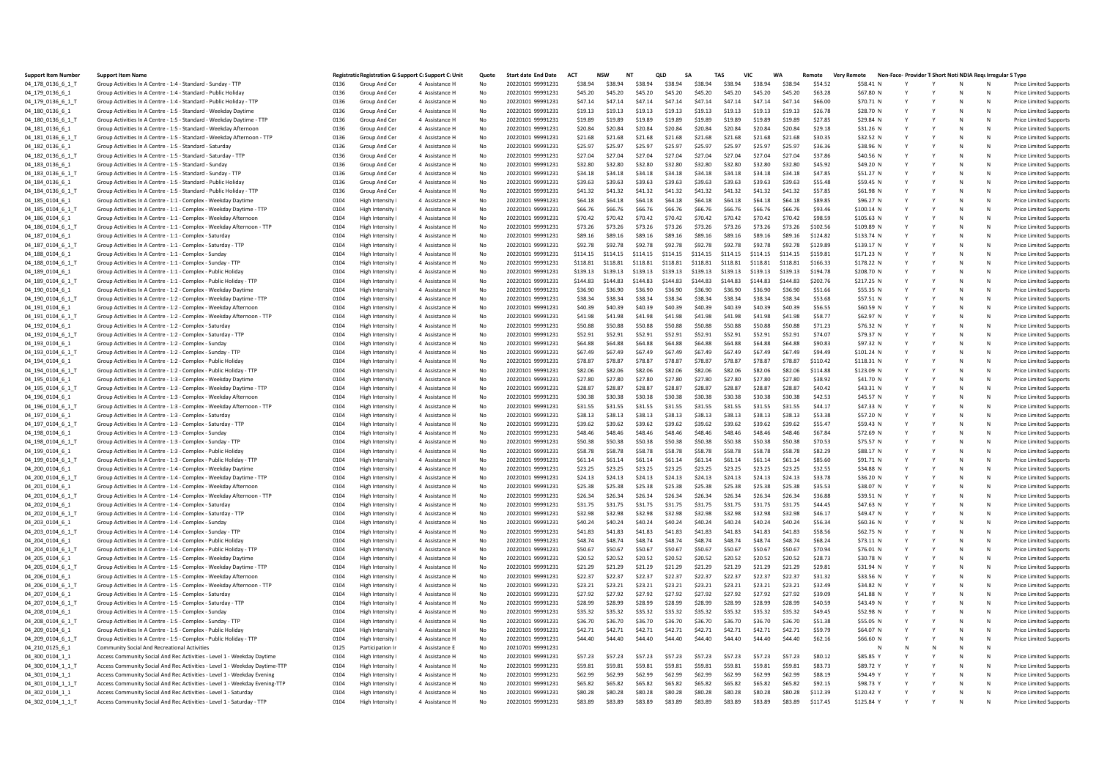| <b>Support Item Number</b> | <b>Support Item Name</b>                                                   |      | Registratic Registration G Support C Support C Unit |                | Quote | <b>Start date End Date</b> | A        | <b>NSW</b>         |                    | OLD                |                    | <b>TAS</b>     | <b>VIC</b><br><b>WA</b> |                    | Remote<br>Ven      | note       |   |  |                | Non-Face- Provider T Short Noti NDIA Requirregular S Type |                               |
|----------------------------|----------------------------------------------------------------------------|------|-----------------------------------------------------|----------------|-------|----------------------------|----------|--------------------|--------------------|--------------------|--------------------|----------------|-------------------------|--------------------|--------------------|------------|---|--|----------------|-----------------------------------------------------------|-------------------------------|
| 04_178_0136_6_1_T          | Group Activities In A Centre - 1:4 - Standard - Sundav - TTP               | 0136 | Group And Ce                                        | 4 Assistance H | No    | 20220101 99991231          | \$38.94  | \$38.94            | \$38.94            | \$38.94            | \$38.94            | \$38.94        | \$38.94                 | \$38.94            | \$54.52            | \$58.41 N  |   |  | N              | N                                                         | <b>Price Limited Supports</b> |
| 04_179_0136_6_1            | Group Activities In A Centre - 1:4 - Standard - Public Holiday             | 0136 | Group And Cer                                       | 4 Assistance H | No    | 20220101 99991231          | \$45.20  | \$45.20            | \$45.20            | \$45.20            | \$45.20            | \$45.20        | \$45.20                 | \$45.20            | \$63.2             | \$67.80 N  |   |  | N              | $\mathsf{N}$                                              | <b>Price Limited Support</b>  |
| 04_179_0136_6_1_T          | Group Activities In A Centre - 1:4 - Standard - Public Holiday - TTP       | 0136 | Group And Cer                                       | 4 Assistance H | No    | 20220101 99991231          | \$47.14  | \$47.14            | \$47.14            | \$47.14            | \$47.14            | \$47.14        | \$47.14                 | \$47.14            | \$66.00            | \$70.71 N  |   |  | N              | N                                                         | Price Limited Supports        |
| 04 180 0136 6 1            | Group Activities In A Centre - 1:5 - Standard - Weekday Daytime            | 0136 | Group And Cer                                       | 4 Assistance H | No    | 20220101 99991231          | \$19.13  | \$19.13            | \$19.13            | \$19.13            | \$19.13            | \$19.13        | \$19.13                 | \$19.13            | \$26.78            | \$28.70 N  |   |  | N              | $\mathbb{N}$                                              | <b>Price Limited Support</b>  |
| 04 180 0136 6 1 1          | Group Activities In A Centre - 1:5 - Standard - Weekday Daytime - TTF      | 0136 | Group And Cer                                       | 4 Assistance H | No    | 20220101 99991231          | \$19.89  | \$19.89            | \$19.89            | \$19.89            | \$19.89            | \$19.89        | \$19.89                 | \$19.89            | \$27.85            | \$29.84 N  |   |  | N              | $\mathbb{N}$                                              | <b>Price Limited Support</b>  |
| 04_181_0136_6_1            | Group Activities In A Centre - 1:5 - Standard - Weekday Afternoon          | 0136 | Group And Cer                                       | 4 Assistance H | No    | 20220101 99991231          | \$20.84  | \$20.84            | \$20.84            | \$20.84            | \$20.84            | \$20.84        | \$20.84                 | \$20.84            | \$29.18            | \$31.26 N  |   |  | N              | N                                                         | <b>Price Limited Support</b>  |
| 04_181_0136_6_1_T          | Group Activities In A Centre - 1:5 - Standard - Weekday Afternoon - TTP    | 0136 | Group And Cer                                       | 4 Assistance H | No    | 20220101 99991231          | \$21.68  | \$21.68            | \$21.68            | \$21.68            | \$21.68            | \$21.68        | \$21.68                 | \$21.68            | \$30.35            | \$32.52 N  |   |  | N              | N                                                         | Price Limited Supports        |
| 04_182_0136_6_1            | Group Activities In A Centre - 1:5 - Standard - Saturday                   | 0136 | Group And Cer                                       | 4 Assistance H | No    | 20220101 99991231          | \$25.97  | \$25.97            | \$25.97            | \$25.97            | \$25.97            | \$25.97        | \$25.97                 | \$25.97            | \$36.36            | \$38.96 N  |   |  | N              | N                                                         | <b>Price Limited Supports</b> |
| 04 182 0136 6 1 T          | Group Activities In A Centre - 1:5 - Standard - Saturday - TTP             | 0136 | Group And Cer                                       | 4 Assistance H | No    | 20220101 99991231          | \$27.04  | \$27.04            | \$27.04            | \$27.04            | \$27.04            | \$27.04        | \$27.04                 | \$27.04            | \$37.86            | \$40.56 N  |   |  | $\overline{N}$ | $\overline{N}$                                            | <b>Price Limited Support</b>  |
| 04_183_0136_6_1            | Group Activities In A Centre - 1:5 - Standard - Sunday                     | 0136 | Group And Cer                                       | 4 Assistance H | No    | 20220101 99991231          | \$32.80  | \$32.80            | \$32.80            | \$32.80            | \$32.80            | \$32.80        | \$32.80                 | \$32.80            | \$45.92            | \$49.20 N  |   |  | $\overline{N}$ | N                                                         | <b>Price Limited Support</b>  |
| 04_183_0136_6_1_T          | Group Activities In A Centre - 1:5 - Standard - Sunday - TTP               | 0136 | Group And Cer                                       | 4 Assistance H | No    | 20220101 99991231          | \$34.18  | \$34.18            | \$34.18            | \$34.18            | \$34.18            | \$34.18        | \$34.18                 | \$34.18            | \$47.85            | \$51.27 N  |   |  |                | N                                                         | Price Limited Supports        |
| 04 184 0136 6 1            | Group Activities In A Centre - 1:5 - Standard - Public Holiday             | 0136 | Group And Cer                                       | 4 Assistance H | No    | 20220101 99991231          | \$39.63  | \$39.63            | \$39.63            | \$39.63            | \$39.63            | \$39.63        | \$39.63                 | \$39.63            | \$55.48            | \$59.45 N  |   |  |                | $\mathbb{N}$                                              | <b>Price Limited Support</b>  |
| 04_184_0136_6_1_T          | Group Activities In A Centre - 1:5 - Standard - Public Holiday - TTP       | 0136 | Group And Cer                                       | 4 Assistance H | No    | 20220101 99991231          | \$41.32  | \$41.32            | \$41.32            | \$41.32            | \$41.32            | \$41.32        | \$41.32                 | \$41.32            | \$57.85            | \$61.98 N  |   |  |                | N                                                         | Price Limited Supports        |
| 04_185_0104_6_1            | Group Activities In A Centre - 1:1 - Complex - Weekday Daytime             | 0104 | High Intensity                                      | 4 Assistance H | No    | 20220101 99991231          | \$64.18  | \$64.18            | \$64.18            | \$64.18            | \$64.18            | \$64.18        | \$64.18                 | \$64.18            | \$89.85            | \$96.27 N  |   |  |                | N                                                         | <b>Price Limited Support</b>  |
| 04_185_0104_6_1_T          | Group Activities In A Centre - 1:1 - Complex - Weekday Daytime - TTP       | 0104 | High Intensity                                      | 4 Assistance H | No    | 20220101 99991231          | \$66.76  | \$66.76            | \$66.76            | \$66.76            | \$66.76            | S66.76         | \$66.76                 | \$66.76            | \$93.46            | \$100.14 N |   |  | N              | N                                                         | Price Limited Supports        |
| 04_186_0104_6_1            | Group Activities In A Centre - 1:1 - Complex - Weekday Afternoor           | 0104 | High Intensity                                      | 4 Assistance H | No    | 20220101 99991231          | \$70.42  | \$70.42            | \$70.42            | \$70.42            | \$70.42            | \$70.42        | \$70.42                 | \$70.42            | \$98.59            | \$105.63 N |   |  | N              | N                                                         | Price Limited Supports        |
| 04_186_0104_6_1_T          | Group Activities In A Centre - 1:1 - Complex - Weekday Afternoon - TTP     | 0104 | High Intensity                                      | 4 Assistance H | No    | 20220101 99991231          | \$73.26  | \$73.26            | \$73.26            | \$73.26            | \$73.26            | \$73.26        | \$73.26                 | \$73.26            | \$102.56           | \$109.89 N |   |  | N              | N                                                         | <b>Price Limited Support</b>  |
| 04_187_0104_6_1            | Group Activities In A Centre - 1:1 - Complex - Saturday                    | 0104 | High Intensity                                      | 4 Assistance H | No    | 20220101 99991231          | \$89.16  | \$89.16            | \$89.16            | \$89.16            | \$89.16            | \$89.16        | \$89.16                 | \$89.16            | \$124.82           | \$133,74 N |   |  | $\overline{N}$ | $\mathbb{N}$                                              | <b>Price Limited Support</b>  |
|                            | Group Activities In A Centre - 1:1 - Complex - Saturday - TTP              | 0104 | High Intensity                                      | 4 Assistance H | No    | 20220101 99991231          | \$92.78  | \$92.78            | \$92.78            | \$92.78            | \$92.78            | \$92.78        | \$92.78                 | \$92.78            | \$129.89           | \$139.17 N |   |  | N              | N                                                         | <b>Price Limited Support</b>  |
| 04_187_0104_6_1_T          |                                                                            |      |                                                     |                |       |                            |          |                    |                    |                    |                    |                |                         |                    |                    |            |   |  | N              |                                                           |                               |
| 04_188_0104_6_1            | Group Activities In A Centre - 1:1 - Complex - Sunday                      | 0104 | High Intensity                                      | 4 Assistance H | No    | 20220101 99991231          | \$114.15 | \$114.15           | \$114.15           | \$114.15           | \$114.15           | \$114.15       | \$114.15                | \$114.15           | \$159.81           | \$171.23 N |   |  |                | $\mathbb{N}$                                              | Price Limited Supports        |
| 04_188_0104_6_1_T          | Group Activities In A Centre - 1:1 - Complex - Sunday - TTP                | 0104 | High Intensity                                      | 4 Assistance H | No    | 20220101 99991231          | \$118.81 | \$118.81           | \$118.81           | \$118.81           | \$118.81           | \$118.81       | \$118.81                | \$118.81           | \$166.33           | \$178.22 N |   |  |                | $\mathbb{N}$                                              | Price Limited Supports        |
| 04 189 0104 6 1            | Group Activities In A Centre - 1:1 - Complex - Public Holiday              | 0104 | High Intensity                                      | 4 Assistance H | No    | 20220101 99991231          | \$139.13 | \$139.13           | \$139.13           | \$139.13           | \$139.13           | \$139.13       | \$139.13                | \$139.13           | \$194.78           | \$208.70 N |   |  |                | $\mathbb{N}$                                              | <b>Price Limited Support</b>  |
| 04_189_0104_6_1_T          | Group Activities In A Centre - 1:1 - Complex - Public Holiday - TTP        | 0104 | High Intensity                                      | 4 Assistance H | No    | 20220101 99991231          | \$144.83 | \$144.83           | \$144.83           | \$144.83           | \$144.83           | \$144.83       | \$144.83                | \$144.83           | \$202.76           | \$217.25 N |   |  | N              | N                                                         | <b>Price Limited Support</b>  |
| 04_190_0104_6_1            | Group Activities In A Centre - 1:2 - Complex - Weekday Daytime             | 0104 | High Intensity I                                    | 4 Assistance H | No    | 20220101 99991231          | \$36.90  | \$36.90            | \$36.90            | \$36.90            | \$36.90            | \$36.90        | \$36.90                 | \$36.90            | \$51.66            | \$55.35 N  |   |  | N              | N                                                         | <b>Price Limited Support</b>  |
| 04_190_0104_6_1_T          | Group Activities In A Centre - 1:2 - Complex - Weekday Daytime - TTP       | 0104 | High Intensity                                      | 4 Assistance H | No    | 20220101 99991231          | \$38.34  | \$38.34            | \$38.34            | \$38.34            | \$38.34            | \$38.34        | \$38.34                 | \$38.34            | \$53.68            | \$57.51 N  |   |  | N              | N                                                         | <b>Price Limited Support</b>  |
| 04_191_0104_6_1            | Group Activities In A Centre - 1:2 - Complex - Weekday Afternoon           | 0104 | High Intensity                                      | 4 Assistance H | No    | 20220101 99991231          | \$40.39  | \$40.39            | \$40.39            | \$40.39            | \$40.39            | \$40.39        | \$40.39                 | \$40.39            | \$56.55            | \$60.59 N  |   |  | N              | N                                                         | <b>Price Limited Supports</b> |
| 04 191 0104 6 1 T          | Group Activities In A Centre - 1:2 - Complex - Weekday Afternoon - TTP     | 0104 | High Intensity                                      | 4 Assistance H | No    | 20220101 99991231          | \$41.98  | \$41.98            | \$41.98            | \$41.98            | \$41.98            | \$41.98        | \$41.98                 | \$41.98            | \$58.77            | \$62.97 N  |   |  | $\overline{N}$ | $\overline{N}$                                            | <b>Price Limited Support</b>  |
| 04_192_0104_6_1            | Group Activities In A Centre - 1:2 - Complex - Saturday                    | 0104 | High Intensity                                      | 4 Assistance H | No    | 20220101 99991231          | \$50.88  | \$50.88            | \$50.88            | \$50.88            | \$50.88            | \$50.88        | \$50.88                 | \$50.88            | \$71.23            | \$76.32 N  |   |  | $\overline{N}$ | $\mathsf{N}$                                              | <b>Price Limited Support</b>  |
| 04_192_0104_6_1_T          | Group Activities In A Centre - 1:2 - Complex - Saturday - TTP              | 0104 | High Intensity I                                    | 4 Assistance H | No    | 20220101 99991231          | \$52.91  | \$52.91            | \$52.91            | \$52.91            | \$52.91            | \$52.91        | \$52.91                 | \$52.91            | \$74.07            | \$79.37 N  |   |  |                | N                                                         | Price Limited Supports        |
| 04 193 0104 6 1            | Group Activities In A Centre - 1:2 - Complex - Sunday                      | 0104 | High Intensity                                      | 4 Assistance H | No    | 20220101 99991231          | \$64.88  | \$64.88            | <b>\$64.88</b>     | \$64.88            | \$64.88            | \$64.88        | \$64.88                 | \$64.88            | \$90.83            | \$97.32 N  |   |  |                | $\mathbb{N}$                                              | <b>Price Limited Support</b>  |
| 04_193_0104_6_1_T          | Group Activities In A Centre - 1:2 - Complex - Sunday - TTP                | 0104 | High Intensity                                      | 4 Assistance H | No    | 20220101 99991231          | \$67.49  | \$67.49            | \$67.49            | \$67.49            | \$67.49            | \$67.49        | \$67.49                 | \$67.49            | \$94.49            | \$101.24 N |   |  |                | N                                                         | Price Limited Supports        |
| 04_194_0104_6_1            | Group Activities In A Centre - 1:2 - Complex - Public Holidav              | 0104 | High Intensity                                      | 4 Assistance H | No    | 20220101 99991231          | \$78.87  | \$78.87            | \$78.87            | \$78.87            | \$78.87            | \$78.87        | \$78.87                 | \$78.87            | \$110.42           | \$118.31 N |   |  | N              | N                                                         | <b>Price Limited Support</b>  |
| 04_194_0104_6_1_T          | Group Activities In A Centre - 1:2 - Complex - Public Holiday - TTP        | 0104 | High Intensity                                      | 4 Assistance H | No    | 20220101 99991231          | \$82.06  | \$82.06            | \$82.06            | \$82.06            | \$82.06            | \$82.06        | \$82.06                 | \$82.06            | \$114.88           | \$123.09 N |   |  | N              | N                                                         | <b>Price Limited Support</b>  |
| 04_195_0104_6_1            | Group Activities In A Centre - 1:3 - Complex - Weekday Daytime             | 0104 | High Intensity                                      | 4 Assistance H | No    | 20220101 99991231          | \$27.80  | \$27.80            | \$27.80            | \$27.80            | \$27.80            | \$27.80        | \$27.80                 | \$27.80            | \$38.92            | \$41.70 N  |   |  | N              | N                                                         | Price Limited Supports        |
| 04_195_0104_6_1_T          | Group Activities In A Centre - 1:3 - Complex - Weekday Daytime - TTP       | 0104 | High Intensity                                      | 4 Assistance H | No    | 20220101 99991231          | \$28.87  | \$28.87            | \$28.87            | \$28.87            | \$28.87            | \$28.87        | \$28.87                 | \$28.87            | \$40.42            | \$43.31 N  |   |  | N              | N                                                         | <b>Price Limited Support</b>  |
| 04_196_0104_6_1            | Group Activities In A Centre - 1:3 - Complex - Weekday Afternoon           | 0104 | High Intensity                                      | 4 Assistance H | No    | 20220101 99991231          | \$30.38  | \$30.38            | \$30.38            | \$30.38            | \$30.38            | \$30.38        | \$30.38                 | \$30.38            | \$42.53            | \$45.57 N  |   |  | $\overline{N}$ | $\mathbb{N}$                                              | <b>Price Limited Support</b>  |
| 04_196_0104_6_1_T          | Group Activities In A Centre - 1:3 - Complex - Weekday Afternoon - TTP     | 0104 | High Intensity                                      | 4 Assistance H | No    | 20220101 99991231          | \$31.55  | \$31.55            | \$31.55            | \$31.55            | \$31.55            | \$31.55        | \$31.55                 | \$31.55            | \$44.17            | \$47.33 N  |   |  | N              | N                                                         | Price Limited Supports        |
| 04_197_0104_6_1            | Group Activities In A Centre - 1:3 - Complex - Saturday                    | 0104 | High Intensity                                      | 4 Assistance H | No    | 20220101 99991231          | \$38.13  | \$38.13            | \$38.13            | \$38.13            | \$38.13            | \$38.13        | \$38.13                 | \$38.13            | \$53.38            | \$57.20 N  |   |  | N              | $\mathbb{N}$                                              | Price Limited Supports        |
|                            |                                                                            | 0104 | High Intensity                                      | 4 Assistance H | No    | 20220101 99991231          | \$39.62  | \$39.62            | \$39.62            | \$39.62            | \$39.62            | \$39.62        | \$39.62                 | \$39.62            | \$55.47            | \$59.43 N  |   |  |                | N                                                         |                               |
| 04_197_0104_6_1_T          | Group Activities In A Centre - 1:3 - Complex - Saturday - TTP              | 0104 |                                                     |                |       |                            | \$48.46  | \$48.46            | \$48.46            | \$48.46            | \$48.46            | \$48.46        | \$48.46                 | \$48.46            | \$67.84            |            |   |  |                | $\mathbb{N}$                                              | Price Limited Supports        |
| 04 198 0104 6 1            | Group Activities In A Centre - 1:3 - Complex - Sunday                      |      | High Intensity                                      | 4 Assistance H | No    | 20220101 99991231          |          |                    |                    |                    |                    |                |                         |                    |                    | \$72.69 N  |   |  |                |                                                           | <b>Price Limited Supports</b> |
| 04_198_0104_6_1_T          | Group Activities In A Centre - 1:3 - Complex - Sunday - TTP                | 0104 | High Intensity                                      | 4 Assistance H | No    | 20220101 99991231          | \$50.38  | \$50.38<br>\$58.78 | \$50.38<br>\$58.78 | \$50.38<br>\$58.78 | \$50.38<br>\$58.78 | \$50.38        | \$50.38                 | \$50.38<br>\$58.78 | \$70.53<br>\$82.29 | \$75.57 N  |   |  | N              | N                                                         | <b>Price Limited Support</b>  |
| 04 199 0104 6 1            | Group Activities In A Centre - 1:3 - Complex - Public Holiday              | 0104 | High Intensity I                                    | 4 Assistance H | No    | 20220101 99991231          | \$58.78  |                    |                    |                    |                    | S58.78         | \$58.78                 |                    |                    | \$88.17 N  |   |  | N              | N                                                         | <b>Price Limited Support</b>  |
| 04_199_0104_6_1_T          | Group Activities In A Centre - 1:3 - Complex - Public Holiday - TTP        | 0104 | High Intensity                                      | 4 Assistance H | No    | 20220101 99991231          | \$61.14  | \$61.14            | \$61.14            | \$61.14            | \$61.14            | \$61.14        | \$61.14                 | \$61.14            | \$85.60            | \$91.71 N  |   |  | N              | N                                                         | <b>Price Limited Support</b>  |
| 04_200_0104_6_1            | Group Activities In A Centre - 1:4 - Complex - Weekday Daytime             | 0104 | High Intensity                                      | 4 Assistance H | No    | 20220101 99991231          | \$23.25  | \$23.25            | \$23.25            | \$23.25            | \$23.25            | \$23.25        | \$23.25                 | \$23.25            | \$32.55            | \$34.88 N  |   |  | N              | N                                                         | <b>Price Limited Supports</b> |
| 04_200_0104_6_1_T          | Group Activities In A Centre - 1:4 - Complex - Weekday Daytime - TTP       | 0104 | High Intensity                                      | 4 Assistance H | No    | 20220101 99991231          | \$24.13  | \$24.13            | \$24.13            | \$24.13            | \$24.13            | \$24.13        | \$24.13                 | \$24.13            | \$33.78            | \$36.20 N  |   |  | $\overline{N}$ | $\overline{N}$                                            | <b>Price Limited Support</b>  |
| 04_201_0104_6_1            | Group Activities In A Centre - 1:4 - Complex - Weekday Afternoon           | 0104 | High Intensity                                      | 4 Assistance H | No    | 20220101 99991231          | \$25.38  | \$25.38            | \$25.38            | \$25.38            | \$25.38            | \$25.38        | \$25.38                 | \$25.38            | \$35.53            | \$38.07 N  |   |  | $\overline{N}$ | $\mathbb{N}$                                              | <b>Price Limited Support</b>  |
| 04_201_0104_6_1_T          | Group Activities In A Centre - 1:4 - Complex - Weekday Afternoon - TTP     | 0104 | High Intensity I                                    | 4 Assistance H | No    | 20220101 99991231          | \$26.34  | \$26.34            | \$26.34            | \$26.34            | \$26.34            | \$26.34        | \$26.34                 | \$26.34            | \$36.88            | \$39.51 N  |   |  |                | N                                                         | Price Limited Supports        |
| 04_202_0104_6_1            | Group Activities In A Centre - 1:4 - Complex - Saturday                    | 0104 | High Intensity                                      | 4 Assistance H | No    | 20220101 99991231          | \$31.75  | \$31.75            | \$31.75            | \$31.75            | \$31.75            | \$31.75        | \$31.75                 | \$31.75            | \$44.45            | \$47.63 N  |   |  |                | $\mathbb{N}$                                              | <b>Price Limited Support</b>  |
| 04_202_0104_6_1_T          | Group Activities In A Centre - 1:4 - Complex - Saturday - TTP              | 0104 | High Intensity                                      | 4 Assistance H | No    | 20220101 99991231          | \$32.98  | \$32.98            | \$32.98            | \$32.98            | \$32.98            | \$32.98        | \$32.98                 | \$32.98            | \$46.17            | \$49.47 N  |   |  |                | N                                                         | Price Limited Supports        |
| 04 203 0104 6 1            | Group Activities In A Centre - 1:4 - Complex - Sunday                      | 0104 | High Intensity                                      | 4 Assistance H | No    | 20220101 99991231          | \$40.24  | \$40.24            | \$40.24            | \$40.24            | \$40.24            | \$40.24        | \$40.24                 | \$40.24            | \$56.34            | \$60.36 N  |   |  | N              | N                                                         | <b>Price Limited Support</b>  |
| 04_203_0104_6_1_T          | Group Activities In A Centre - 1:4 - Complex - Sunday - TTP                | 0104 | High Intensity                                      | 4 Assistance H | No    | 20220101 99991231          | \$41.83  | \$41.83            | \$41.83            | \$41.83            | \$41.83            | \$41.83        | \$41.83                 | \$41.83            | \$58.56            | \$62.75 N  |   |  | N              | N                                                         | <b>Price Limited Support</b>  |
| 04_204_0104_6_1            | Group Activities In A Centre - 1:4 - Complex - Public Holiday              | 0104 | High Intensity                                      | 4 Assistance H | No    | 20220101 99991231          | \$48.74  | \$48.74            | \$48.74            | S48.74             | <b>\$48.74</b>     | S48.74         | S48.74                  | <b>\$48.74</b>     | \$68.24            | \$73.11 N  |   |  | N              | N                                                         | Price Limited Supports        |
| 04_204_0104_6_1_T          | Group Activities In A Centre - 1:4 - Complex - Public Holiday - TTP        | 0104 | High Intensity                                      | 4 Assistance H | No    | 20220101 99991231          | \$50.67  | \$50.67            | \$50.67            | \$50.67            | \$50.67            | \$50.67        | \$50.67                 | \$50.67            | \$70.94            | \$76.01 N  |   |  | $\overline{N}$ | $\mathbb{N}$                                              | Price Limited Supports        |
| 04_205_0104_6_1            | Group Activities In A Centre - 1:5 - Complex - Weekday Daytime             | 0104 | High Intensity                                      | 4 Assistance H | No    | 20220101 99991231          | \$20.52  | \$20.52            | \$20.52            | \$20.52            | \$20.52            | \$20.52        | \$20.52                 | \$20.52            | \$28.73            | \$30.78 N  |   |  | $\overline{N}$ | N                                                         | <b>Price Limited Support</b>  |
| 04_205_0104_6_1_T          | Group Activities In A Centre - 1:5 - Complex - Weekday Daytime - TTF       | 0104 | High Intensity                                      | 4 Assistance H | No    | 20220101 99991231          | \$21.29  | \$21.29            | \$21.29            | \$21.29            | \$21.29            | \$21.29        | \$21.29                 | \$21.29            | \$29.81            | \$31.94 N  |   |  | N              | N                                                         | Price Limited Supports        |
| 04_206_0104_6_1            | Group Activities In A Centre - 1:5 - Complex - Weekday Afternoon           | 0104 | High Intensity                                      | 4 Assistance H | No    | 20220101 99991231          | \$22.37  | \$22.37            | \$22.37            | \$22.37            | \$22.37            | \$22.37        | \$22.37                 | \$22.37            | \$31.32            | \$33.56 N  |   |  | N              | N                                                         | Price Limited Supports        |
| 04_206_0104_6_1_T          | Group Activities In A Centre - 1:5 - Complex - Weekday Afternoon - TTP     | 0104 | High Intensity                                      | 4 Assistance H | No    | 20220101 99991231          | \$23.21  | \$23.21            | \$23.21            | \$23.21            | \$23.21            | \$23.21        | \$23.21                 | \$23.21            | \$32.49            | \$34.82 N  |   |  |                | N                                                         | <b>Price Limited Support</b>  |
| 04_207_0104_6_1            | Group Activities In A Centre - 1:5 - Complex - Saturday                    | 0104 | High Intensity                                      | 4 Assistance H | No    | 20220101 99991231          | \$27.92  | \$27.92            | \$27.92            | \$27.92            | \$27.92            | \$27.92        | \$27.92                 | \$27.92            | \$39.09            | \$41.88 N  |   |  |                | $\mathbb{N}$                                              | Price Limited Supports        |
| 04_207_0104_6_1_T          | Group Activities In A Centre - 1:5 - Complex - Saturday - TTP              | 0104 | High Intensity I                                    | 4 Assistance H | No    | 20220101 99991231          | \$28.99  | \$28.99            | \$28.99            | \$28.99            | \$28.99            | \$28.99        | \$28.99                 | \$28.99            | \$40.59            | \$43.49 N  |   |  | N              | N                                                         | <b>Price Limited Support</b>  |
| 04_208_0104_6_1            | Group Activities In A Centre - 1:5 - Complex - Sunday                      | 0104 | High Intensity I                                    | 4 Assistance H | No    | 20220101 99991231          | \$35.32  | \$35.32            | \$35.32            | \$35.32            | \$35.32            | \$35.32        | \$35.32                 | \$35.32            | \$49.45            | \$52.98 N  |   |  | N              | N                                                         | Price Limited Supports        |
| 04_208_0104_6_1_T          | Group Activities In A Centre - 1:5 - Complex - Sunday - TTP                | 0104 | High Intensity                                      | 4 Assistance H | No    | 20220101 99991231          | \$36.70  | \$36.70            | \$36.70            | \$36.70            | \$36.70            | \$36.70        | \$36.70                 | \$36.70            | \$51.38            | \$55.05 N  |   |  | N              | N                                                         | <b>Price Limited Support</b>  |
| 04_209_0104_6_1            | Group Activities In A Centre - 1:5 - Complex - Public Holiday              | 0104 | High Intensity                                      | 4 Assistance H | No    | 20220101 99991231          | \$42.71  | \$42.71            | \$42.71            | \$42.71            | \$42.71            | \$42.71        | \$42.71                 | \$42.71            | \$59.79            | \$64.07 N  |   |  | N              | N                                                         | <b>Price Limited Supports</b> |
| 04_209_0104_6_1_T          | Group Activities In A Centre - 1:5 - Complex - Public Holiday - TTP        | 0104 | High Intensity                                      | 4 Assistance H | No    | 20220101 99991231          | \$44.40  | \$44.40            | \$44.40            | \$44.40            | \$44.40            | \$44.40        | \$44.40                 | \$44.40            | \$62.16            | \$66.60 N  |   |  | $\overline{N}$ | $\mathbb{N}$                                              | <b>Price Limited Supports</b> |
|                            | <b>Community Social And Recreational Activities</b>                        | 0125 |                                                     |                | No    | 20210701 99991231          |          |                    |                    |                    |                    |                |                         |                    |                    | N          | N |  | N              | $\mathbb{N}$                                              |                               |
| 04_210_0125_6_1            |                                                                            |      | Participation In                                    | 4 Assistance E |       |                            |          |                    |                    |                    |                    |                |                         |                    |                    |            |   |  |                |                                                           |                               |
| 04_300_0104_1_1            | Access Community Social And Rec Activities - Level 1 - Weekday Daytime     | 0104 | High Intensity I                                    | 4 Assistance H | No    | 20220101 99991231          | \$57.23  | \$57.23            | \$57.23            | \$57.23            | \$57.23            | \$57.23        | \$57.23                 | \$57.23            | \$80.12            | \$85.85 Y  |   |  |                | N                                                         | Price Limited Supports        |
| 04_300_0104_1_1_T          | Access Community Social And Rec Activities - Level 1 - Weekday Daytime-TTP | 0104 | High Intensity                                      | 4 Assistance H | No    | 20220101 99991231          | \$59.81  | \$59.81            | \$59.81            | \$59.81            | \$59.81            | \$59.81        | \$59.81                 | \$59.81            | \$83.73            | \$89.72 Y  |   |  |                | N                                                         | Price Limited Supports        |
| 04 301 0104 1 1            | Access Community Social And Rec Activities - Level 1 - Weekday Evening     | 0104 | High Intensity                                      | 4 Assistance H | No    | 20220101 99991231          | \$62.99  | \$62.99            | \$62.99            | \$62.99            | \$62.99            | \$62.99        | \$62.99                 | \$62.99            | \$88.19            | \$94.49 Y  |   |  |                | $\mathbb{N}$                                              | <b>Price Limited Support</b>  |
| 04 301 0104 1 1 T          | Access Community Social And Rec Activities - Level 1 - Weekday Evening-TTP | 0104 | High Intensity                                      | 4 Assistance H | No    | 20220101 99991231          | \$65.82  | \$65.82            | \$65.82            | \$65.82            | \$65.82            | \$65.82        | \$65.82                 | \$65.82            | \$92.15            | S98.73 Y   |   |  | N              | N                                                         | <b>Price Limited Support</b>  |
| 04 302 0104 1 1            | Access Community Social And Rec Activities - Level 1 - Saturday            | 0104 | High Intensity I                                    | 4 Assistance H | No    | 20220101 99991231          | \$80.28  | \$80.28            | \$80.28            | \$80.28            | \$80.28            | <b>\$80.28</b> | \$80.28                 | \$80.28            | \$112.39           | \$120.42 Y |   |  | N              | N                                                         | <b>Price Limited Supports</b> |
| 04_302_0104_1_1_T          | Access Community Social And Rec Activities - Level 1 - Saturday - TTP      | 0104 | High Intensity I                                    | 4 Assistance H | No    | 20220101 99991231          | \$83.89  | \$83.89            | \$83.89            | \$83.89            | \$83.89            | \$83.89        | \$83.89                 | \$83.89            | \$117.45           | \$125.84 Y |   |  | N              | N                                                         | <b>Price Limited Supports</b> |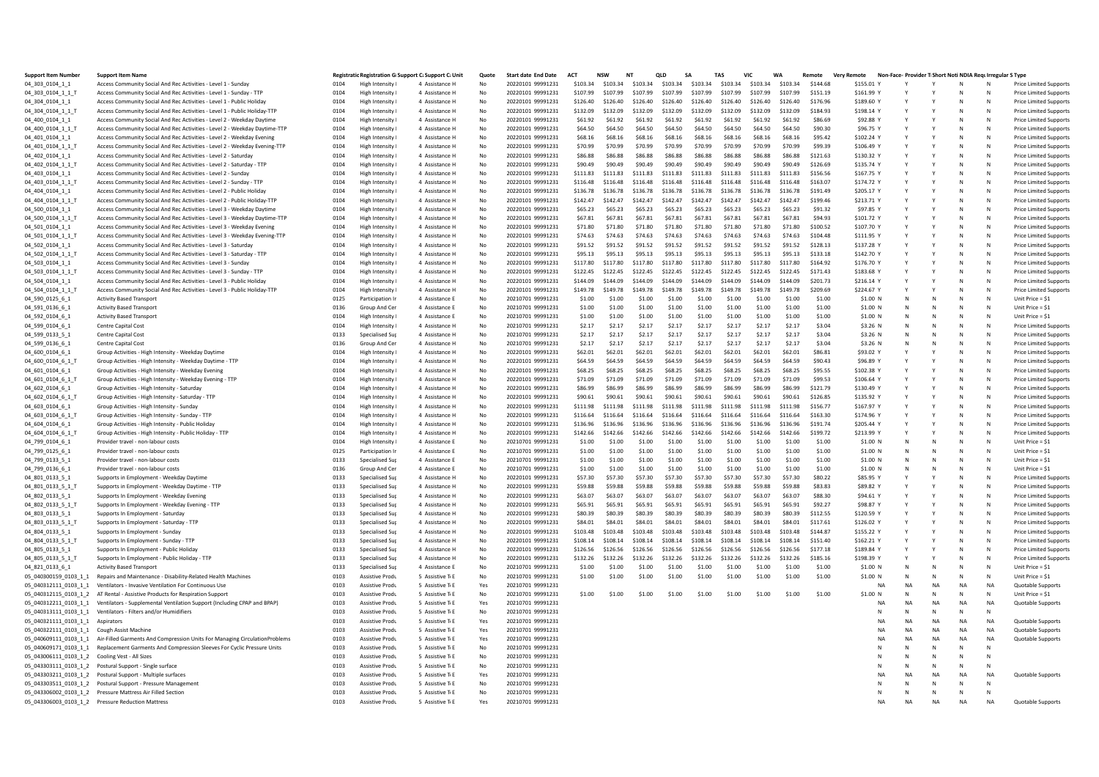| <b>Support Item Numbe</b>                      | Support Item Nam                                                                                                                       |              | Registratic Registration G Support C: Support C: Unit |                                      | Quote      | <b>Start date End Date</b>             |                     |                    |                    | <b>OLD</b>         |                    | <b>TAS</b>         | VIC                | W                  | Remote<br>Ver        | emote                    |                |                |           | Non-Face- Provider T Short Noti NDIA Requirregular S Type |                                                              |
|------------------------------------------------|----------------------------------------------------------------------------------------------------------------------------------------|--------------|-------------------------------------------------------|--------------------------------------|------------|----------------------------------------|---------------------|--------------------|--------------------|--------------------|--------------------|--------------------|--------------------|--------------------|----------------------|--------------------------|----------------|----------------|-----------|-----------------------------------------------------------|--------------------------------------------------------------|
| 04 303 0104 1 1                                | Access Community Social And Rec Activities - Level 1 - Sunday                                                                          | 0104         | <b>High Intensity</b>                                 | 4 Assistance H                       | No         | 20220101 99991231                      | \$103.34            | \$103.34           | \$103.34           | \$103.34           | \$103.34           | \$103.34           | \$103.34           | \$103.34           | \$144.68             | \$155.01 Y               |                |                | N         | N                                                         | <b>Price Limited Supports</b>                                |
| 04_303_0104_1_1_T                              | Access Community Social And Rec Activities - Level 1 - Sunday - TTP                                                                    | 0104         | <b>High Intensity</b>                                 | 4 Assistance H                       | No         | 20220101 99991231                      | \$107.99            | \$107.99           | \$107.99           | \$107.99           | \$107.99           | \$107.99           | \$107.99           | \$107.99           | \$151.19             | \$161.99                 |                |                | <b>N</b>  | N                                                         | <b>Price Limited Support</b>                                 |
| 04_304_0104_1_1                                | Access Community Social And Rec Activities - Level 1 - Public Holiday                                                                  | 0104         | <b>High Intensity</b>                                 | 4 Assistance H                       | No         | 20220101 99991231                      | \$126.40            | \$126.40           | \$126.40           | \$126.40           | \$126.40           | \$126.40           | \$126.40           | \$126.40           | \$176.96             | \$189.60 \               |                |                |           | N                                                         | Price Limited Supports                                       |
| 04 304 0104 1 1 T                              | Access Community Social And Rec Activities - Level 1 - Public Holiday-TTP                                                              | 0104         | High Intensity                                        | 4 Assistance H                       | No         | 20220101 99991231                      | \$132.09            | \$132.09           | \$132.09           | \$132.09           | \$132.09           | \$132.09           | \$132.09           | \$132.09           | \$184.93             | \$198.14 Y               |                |                |           | N                                                         | <b>Price Limited Support</b>                                 |
| 04_400_0104_1_1                                | Access Community Social And Rec Activities - Level 2 - Weekday Daytime                                                                 | 0104         | High Intensity                                        | 4 Assistance H                       | No         | 20220101 99991231                      | \$61.92             | \$61.92            | \$61.92            | \$61.92            | \$61.92            | \$61.92            | \$61.92            | \$61.92            | \$86.69              | \$92.88 Y                |                |                |           | N                                                         | <b>Price Limited Support</b>                                 |
| 04_400_0104_1_1_T                              | Access Community Social And Rec Activities - Level 2 - Weekday Daytime-TTF                                                             | 0104         | <b>High Intensity</b>                                 | 4 Assistance H                       | No         | 20220101 99991231                      | \$64.50             | \$64.50            | \$64.50            | \$64.50            | \$64.50            | \$64.50            | \$64.50            | \$64.50            | \$90.30              | S96.75 Y                 |                |                | N         | N                                                         | <b>Price Limited Support</b>                                 |
| 04_401_0104_1_1                                | Access Community Social And Rec Activities - Level 2 - Weekday Evening                                                                 | 0104         | <b>High Intensity</b>                                 | 4 Assistance H                       | No         | 20220101 99991231                      | \$68.16             | \$68.16            | \$68.16            | \$68.16            | \$68.16            | \$68.16            | \$68.16            | \$68.16            | \$95.42              | S102.24 Y                |                |                | <b>N</b>  | N                                                         | Price Limited Supports                                       |
| 04_401_0104_1_1_1                              | Access Community Social And Rec Activities - Level 2 - Weekday Evening-TTP                                                             | 0104         | High Intensity                                        | 4 Assistance H                       | No         | 20220101 99991231                      | \$70.99             | \$70.99            | \$70.99            | \$70.99            | \$70.99            | \$70.99            | \$70.99            | \$70.99            | \$99.39              | \$106.49 \               |                |                |           | N                                                         | <b>Price Limited Support</b>                                 |
| 04 402 0104 1 1                                | Access Community Social And Rec Activities - Level 2 - Saturday                                                                        | 0104         | High Intensity                                        | 4 Assistance H                       | No         | 20220101 99991231                      | \$86.88             | \$86.88            | \$86.88            | \$86.88            | \$86.88            | \$86.88            | \$86.88            | \$86.88            | \$121.63             | \$130.32 Y               |                |                |           | N                                                         | <b>Price Limited Support</b>                                 |
| 04_402_0104_1_1_T                              | Access Community Social And Rec Activities - Level 2 - Saturday - TTP                                                                  | 0104         | High Intensity                                        | 4 Assistance H                       | No         | 20220101 99991231                      | \$90.49             | \$90.49            | \$90.49            | \$90.49            | \$90.49            | \$90.49            | \$90.49            | \$90.49            | \$126.69             | \$135.74 Y               |                |                |           | N                                                         | <b>Price Limited Support</b>                                 |
| 04_403_0104_1_1                                | Access Community Social And Rec Activities - Level 2 - Sunday                                                                          | 0104         | <b>High Intensity</b>                                 | 4 Assistance H                       | No         | 20220101 99991231                      | \$111.83            | \$111.83           | \$111.83           | \$111.83           | \$111.83           | \$111.83           | \$111.83           | \$111.83           | \$156.56             | \$167.75 Y               |                |                |           | N                                                         | Price Limited Supports                                       |
| 04_403_0104_1_1_T                              | Access Community Social And Rec Activities - Level 2 - Sunday - TTP                                                                    | 0104         | High Intensity                                        | 4 Assistance H                       | No         | 20220101 99991231                      | \$116.48            | \$116.48           | \$116.48           | \$116.48           | \$116.48           | \$116.48           | \$116.48           | \$116.48           | \$163.07             | S174.72 \                |                |                |           | N                                                         | <b>Price Limited Support</b>                                 |
| 04_404_0104_1_1                                | Access Community Social And Rec Activities - Level 2 - Public Holiday                                                                  | 0104         | <b>High Intensity</b>                                 | 4 Assistance H                       | No         | 20220101 99991231                      | \$136.78            | \$136.78           | \$136.78           | \$136.78           | \$136.78           | \$136.78           | \$136.78           | \$136.78           | \$191.49             | \$205.17 Y               |                |                |           | N                                                         | Price Limited Supports                                       |
| 04_404_0104_1_1_T                              | Access Community Social And Rec Activities - Level 2 - Public Holiday-TTP                                                              | 0104         | High Intensity                                        | 4 Assistance H                       | No         | 20220101 99991231                      | \$142.47            | \$142.47           | \$142.47           | \$142.47           | \$142.47           | \$142.47           | \$142.47           | \$142.47           | \$199.46             | \$213.71 Y               |                |                |           | N                                                         | <b>Price Limited Support</b>                                 |
| 04_500_0104_1_1                                | Access Community Social And Rec Activities - Level 3 - Weekday Daytime                                                                 | 0104         | <b>High Intensity</b>                                 | 4 Assistance H                       | No         | 20220101 99991231                      | \$65.23             | \$65.23            | \$65.23            | \$65.23            | \$65.23            | \$65.23            | \$65.23            | \$65.23            | \$91.32              | S97.85 Y                 |                |                |           | N                                                         | <b>Price Limited Support</b>                                 |
| 04_500_0104_1_1_T                              | Access Community Social And Rec Activities - Level 3 - Weekday Daytime-TTP                                                             | 0104         | <b>High Intensity</b>                                 | 4 Assistance H                       | No         | 20220101 99991231                      | \$67.81             | \$67.81            | \$67.81            | \$67.81            | \$67.81            | \$67.81            | \$67.81            | \$67.81            | \$94.93              | \$101.72 Y               |                |                |           | N                                                         | Price Limited Supports                                       |
| 04_501_0104_1_1                                | Access Community Social And Rec Activities - Level 3 - Weekday Evening                                                                 | 0104         | <b>High Intensity</b>                                 | 4 Assistance H                       | No         | 20220101 99991231                      | \$71.80             | \$71.80            | \$71.80            | \$71.80            | \$71.80            | \$71.80            | \$71.80            | \$71.80            | \$100.52             | \$107.70 Y               |                |                |           | N                                                         | <b>Price Limited Support</b>                                 |
| 04_501_0104_1_1_T                              | Access Community Social And Rec Activities - Level 3 - Weekday Evening-TTF                                                             | 0104         | High Intensity                                        | 4 Assistance H                       | No         | 20220101 99991231                      | \$74.63             | \$74.63            | \$74.63            | \$74.63            | \$74.63            | \$74.63            | \$74.63            | \$74.63            | \$104.48             | \$111.95 Y               |                |                |           | N                                                         | <b>Price Limited Support</b>                                 |
| 04_502_0104_1_1                                | Access Community Social And Rec Activities - Level 3 - Saturday                                                                        | 0104         | High Intensity                                        | 4 Assistance H                       | No<br>No   | 20220101 99991231                      | \$91.52             | \$91.52<br>\$95.13 | \$91.52<br>\$95.13 | \$91.52<br>\$95.13 | \$91.52<br>\$95.13 | \$91.52<br>\$95.13 | \$91.52<br>\$95.13 | \$91.52<br>\$95.13 | \$128.13             | \$137.28 \               |                |                |           | N<br>N                                                    | <b>Price Limited Support</b>                                 |
| 04_502_0104_1_1_T                              | Access Community Social And Rec Activities - Level 3 - Saturday - TTP<br>Access Community Social And Rec Activities - Level 3 - Sunday | 0104<br>0104 | <b>High Intensity</b><br><b>High Intensity</b>        | 4 Assistance H<br>4 Assistance H     | No         | 20220101 99991231<br>20220101 99991231 | \$95.13<br>\$117.80 | \$117.80           | \$117.80           | \$117.80           | \$117.80           | \$117.80           | \$117.80           | \$117.80           | \$133.18<br>\$164.92 | \$142.70 Y<br>\$176.70 Y |                |                |           | N                                                         | <b>Price Limited Support</b><br><b>Price Limited Support</b> |
| 04_503_0104_1_1<br>04_503_0104_1_1_T           | Access Community Social And Rec Activities - Level 3 - Sunday - TTP                                                                    | 0104         | <b>High Intensity</b>                                 | 4 Assistance H                       | No         | 20220101 99991231                      | \$122.45            | \$122.45           | \$122.45           | \$122.45           | \$122.45           | \$122.45           | \$122.45           | \$122.45           | \$171.43             | S183.68 \                |                |                |           | N                                                         | <b>Price Limited Support</b>                                 |
| 04_504_0104_1_1                                | Access Community Social And Rec Activities - Level 3 - Public Holiday                                                                  | 0104         | <b>High Intensity</b>                                 | 4 Assistance H                       | No         | 20220101 99991231                      | \$144.09            | \$144.09           | \$144.09           | \$144.09           | \$144.09           | \$144.09           | \$144.09           | \$144.09           | \$201.73             | \$216.14 Y               |                |                |           | N                                                         | <b>Price Limited Support</b>                                 |
|                                                | Access Community Social And Rec Activities - Level 3 - Public Holiday-TTP                                                              | 0104         | High Intensity                                        | 4 Assistance H                       | No         | 20220101 99991231                      | \$149.78            | \$149.78           | \$149.78           | \$149.78           | \$149.78           | \$149.78           | \$149.78           | \$149.78           | \$209.69             | \$224.67 Y               |                |                |           | N                                                         | <b>Price Limited Supports</b>                                |
| 04_504_0104_1_1_T<br>04_590_0125_6_1           | <b>Activity Based Transport</b>                                                                                                        | 0125         | Participation Ir                                      | 4 Assistance E                       | No         | 20210701 99991231                      | \$1.00              | \$1.00             | \$1.00             | \$1.00             | \$1.00             | \$1.00             | \$1.00             | \$1.00             | \$1.00               | \$1.00 N                 | N              |                |           | N                                                         | Unit Price = \$1                                             |
| 04_591_0136_6_1                                | <b>Activity Based Transport</b>                                                                                                        | 0136         | Group And Cer                                         | 4 Assistance E                       | No         | 20210701 99991231                      | \$1.00              | \$1.00             | \$1.00             | \$1.00             | \$1.00             | \$1.00             | \$1.00             | \$1.00             | \$1.00               | \$1.00 N                 | N              |                |           | N                                                         | Unit Price = \$1                                             |
| 04_592_0104_6_1                                | <b>Activity Based Transport</b>                                                                                                        | 0104         | High Intensity                                        | 4 Assistance E                       | No         | 20210701 99991231                      | \$1.00              | \$1.00             | \$1.00             | \$1.00             | \$1.00             | \$1.00             | \$1.00             | \$1.00             | \$1.00               | \$1.00 N                 |                |                |           | N                                                         | Unit Price = \$1                                             |
| 04_599_0104_6_1                                | Centre Capital Cost                                                                                                                    | 0104         | High Intensity                                        | 4 Assistance H                       | No         | 20210701 99991231                      | \$2.17              | \$2.17             | \$2.17             | \$2.17             | \$2.17             | \$2.17             | \$2.17             | \$2.17             | \$3.04               | $$3.26$ N                | N              |                |           | N                                                         | <b>Price Limited Support</b>                                 |
| 04_599_0133_5_1                                | Centre Capital Cost                                                                                                                    | 0133         | Specialised Sup                                       | 4 Assistance H                       | No         | 20210701 99991231                      | \$2.17              | \$2.17             | \$2.17             | \$2.17             | \$2.17             | \$2.17             | \$2.17             | \$2.17             | \$3.04               | $$3.26$ N                | N              |                | <b>N</b>  | N                                                         | <b>Price Limited Support</b>                                 |
| 04_599_0136_6_1                                | Centre Capital Cost                                                                                                                    | 0136         | Group And Cer                                         | 4 Assistance H                       | No         | 20210701 99991231                      | \$2.17              | \$2.17             | \$2.17             | \$2.17             | \$2.17             | \$2.17             | \$2.17             | \$2.17             | \$3.04               | \$3.26 N                 | N              |                |           | N                                                         | Price Limited Supports                                       |
| 04_600_0104_6_1                                | Group Activities - High Intensity - Weekday Daytime                                                                                    | 0104         | <b>High Intensity</b>                                 | 4 Assistance H                       | No         | 20220101 99991231                      | \$62.01             | \$62.01            | \$62.01            | \$62.01            | \$62.01            | \$62.01            | \$62.01            | \$62.01            | \$86.81              | \$93.02 Y                |                |                |           | N                                                         | <b>Price Limited Support</b>                                 |
| 04_600_0104_6_1_T                              | Group Activities - High Intensity - Weekday Daytime - TTF                                                                              | 0104         | High Intensity                                        | 4 Assistance H                       | No         | 20220101 99991231                      | \$64.59             | \$64.59            | \$64.59            | \$64.59            | \$64.59            | \$64.59            | \$64.59            | \$64.59            | \$90.43              | \$96.89 Y                |                |                |           | N                                                         | <b>Price Limited Support</b>                                 |
| 04 601 0104 6 1                                | Group Activities - High Intensity - Weekday Evening                                                                                    | 0104         | <b>High Intensity</b>                                 | 4 Assistance H                       | No         | 20220101 99991231                      | \$68.25             | \$68.25            | \$68.25            | \$68.25            | \$68.25            | \$68.25            | \$68.25            | \$68.25            | \$95.55              | \$102.38 Y               |                |                |           | N                                                         | <b>Price Limited Support</b>                                 |
| 04_601_0104_6_1_T                              | Group Activities - High Intensity - Weekday Evening - TTP                                                                              | 0104         | High Intensity                                        | 4 Assistance H                       | No         | 20220101 99991231                      | \$71.09             | \$71.09            | \$71.09            | \$71.09            | \$71.09            | \$71.09            | \$71.09            | \$71.09            | \$99.53              | \$106.64 Y               |                |                |           | N                                                         | Price Limited Supports                                       |
| 04_602_0104_6_1                                | Group Activities - High Intensity - Saturday                                                                                           | 0104         | <b>High Intensity</b>                                 | 4 Assistance H                       | No         | 20220101 99991231                      | \$86.99             | \$86.99            | \$86.99            | \$86.99            | \$86.99            | \$86.99            | \$86.99            | \$86.99            | \$121.79             | \$130.49 Y               |                |                |           | N                                                         | <b>Price Limited Support</b>                                 |
| 04 602 0104 6 1 T                              | Group Activities - High Intensity - Saturday - TTP                                                                                     | 0104         | High Intensity                                        | 4 Assistance H                       | No         | 20220101 99991231                      | \$90.61             | \$90.61            | \$90.61            | \$90.61            | \$90.61            | \$90.61            | \$90.61            | \$90.61            | \$126.85             | \$135.92 Y               |                |                |           | N                                                         | <b>Price Limited Support</b>                                 |
| 04_603_0104_6_1                                | Group Activities - High Intensity - Sunday                                                                                             | 0104         | High Intensity                                        | 4 Assistance H                       | No         | 20220101 99991231                      | \$111.98            | \$111.98           | \$111.98           | \$111.98           | \$111.98           | \$111.98           | \$111.98           | \$111.98           | \$156.77             | \$167.97 Y               |                |                |           | N                                                         | <b>Price Limited Support</b>                                 |
| 04_603_0104_6_1_T                              | Group Activities - High Intensity - Sunday - TTF                                                                                       | 0104         | <b>High Intensity</b>                                 | 4 Assistance H                       | No         | 20220101 99991231                      | \$116.64            | \$116.64           | \$116.64           | \$116.64           | \$116.64           | \$116.64           | \$116.64           | \$116.64           | \$163.30             | \$174.96 Y               |                |                |           | N                                                         | <b>Price Limited Support</b>                                 |
| 04_604_0104_6_1                                | Group Activities - High Intensity - Public Holiday                                                                                     | 0104         | <b>High Intensity</b>                                 | 4 Assistance H                       | No         | 20220101 99991231                      | \$136.96            | \$136.96           | \$136.96           | \$136.96           | \$136.96           | \$136.96           | \$136.96           | \$136.96           | \$191.74             | \$205.44 Y               |                |                |           | N                                                         | <b>Price Limited Support</b>                                 |
| 04_604_0104_6_1_1                              | Group Activities - High Intensity - Public Holiday - TTP                                                                               | 0104         | <b>High Intensity</b>                                 | 4 Assistance H                       | No         | 20220101 99991231                      | \$142.66            | \$142.66           | \$142.66           | \$142.66           | \$142.66           | \$142.66           | \$142.66           | \$142.66           | \$199.72             | \$213.99 \               |                |                |           | N                                                         | <b>Price Limited Supports</b>                                |
| 04 799 0104 6 1                                | Provider travel - non-labour costs                                                                                                     | 0104         | High Intensity                                        | 4 Assistance E                       | No         | 20210701 99991231                      | \$1.00              | \$1.00             | \$1.00             | \$1.00             | \$1.00             | \$1.00             | \$1.00             | \$1.00             | \$1.00               | \$1.00 N                 |                |                |           | N                                                         | Unit Price = \$1                                             |
| 04_799_0125_6_1                                | Provider travel - non-labour costs                                                                                                     | 0125         | Participation In                                      | 4 Assistance E                       | No         | 20210701 99991231                      | \$1.00              | \$1.00             | \$1.00             | \$1.00             | \$1.00             | \$1.00             | \$1.00             | \$1.00             | \$1.00               | \$1.00 N                 |                |                |           | N                                                         | Unit Price = \$1                                             |
| 04_799_0133_5_1                                | Provider travel - non-labour costs                                                                                                     | 0133         | Specialised Sup                                       | 4 Assistance E                       | No         | 20210701 99991231                      | \$1.00              | \$1.00             | \$1.00             | \$1.00             | \$1.00             | \$1.00             | \$1.00             | \$1.00             | \$1.00               | \$1.00 N                 | N              | N              | N         | N                                                         | Unit Price = \$1                                             |
| 04_799_0136_6_1                                | Provider travel - non-labour costs                                                                                                     | 0136         | Group And Cer                                         | 4 Assistance E                       | No         | 20210701 99991231                      | \$1.00              | \$1.00             | \$1.00             | \$1.00             | \$1.00             | \$1.00             | \$1.00             | \$1.00             | \$1.00               | \$1.00 N                 | N              | N              |           | N                                                         | Unit Price = \$1                                             |
| 04_801_0133_5_1                                | Supports in Employment - Weekday Daytime                                                                                               | 0133         | Specialised Sup                                       | 4 Assistance H                       | No         | 20220101 99991231                      | \$57.30             | \$57.30            | \$57.30            | \$57.30            | \$57.30            | \$57.30            | \$57.30            | \$57.30            | \$80.22              | \$85.95 Y                |                |                |           | N                                                         | <b>Price Limited Support</b>                                 |
| 04_801_0133_5_1_T                              | Supports in Employment - Weekday Daytime - TTP                                                                                         | 0133         | Specialised Sur                                       | 4 Assistance H                       | No         | 20220101 99991231                      | \$59.88             | \$59.88            | \$59.88            | \$59.88            | \$59.88            | \$59.88            | \$59.88            | \$59.88            | \$83.83              | S89.82 Y                 |                |                |           | N                                                         | <b>Price Limited Support</b>                                 |
| 04_802_0133_5_1                                | Supports In Employment - Weekday Evening                                                                                               | 0133         | Specialised Sup                                       | 4 Assistance H                       | No         | 20220101 99991231                      | \$63.07             | \$63.07            | \$63.07            | \$63.07            | \$63.07            | \$63.07            | \$63.07            | \$63.07            | \$88.30              | \$94.61 Y                |                |                |           | N                                                         | <b>Price Limited Support</b>                                 |
| 04_802_0133_5_1_T                              | Supports In Employment - Weekday Evening - TTP                                                                                         | 0133         | Specialised Sup                                       | 4 Assistance H                       | No         | 20220101 99991231                      | \$65.91             | \$65.91            | \$65.91            | \$65.91            | \$65.91            | \$65.91            | \$65.91            | \$65.91            | \$92.27              | \$98.87                  |                |                |           | N                                                         | Price Limited Supports                                       |
| 04_803_0133_5_1                                | Supports In Employment - Saturday                                                                                                      | 0133         | Specialised Sup                                       | 4 Assistance H                       | No         | 20220101 99991231                      | \$80.39             | \$80.39            | \$80.39            | \$80.39            | \$80.39            | \$80.39            | \$80.39            | \$80.39            | \$112.55             | \$120.59                 |                |                |           | N                                                         | <b>Price Limited Support</b>                                 |
| 04_803_0133_5_1_T                              | Supports In Employment - Saturday - TTP                                                                                                | 0133         | Specialised Sur                                       | 4 Assistance H                       | No         | 20220101 99991231                      | \$84.01             | \$84.01            | \$84.01            | \$84.01            | \$84.01            | \$84.01            | \$84.01            | \$84.01            | \$117.61             | \$126.02 Y               |                |                |           | N                                                         | <b>Price Limited Support</b>                                 |
| 04 804 0133 5 1                                | Supports In Employment - Sunday                                                                                                        | 0133         | Specialised Sur                                       | 4 Assistance H                       | No         | 20220101 99991231                      | \$103.48            | \$103.48           | \$103.48           | \$103.48           | \$103.48           | \$103.48           | \$103.48           | \$103.48           | \$144.87             | S155.22 Y                |                |                |           | N                                                         | <b>Price Limited Support</b>                                 |
| 04_804_0133_5_1_T                              | Supports In Employment - Sunday - TTP                                                                                                  | 0133         | Specialised Sup                                       | 4 Assistance H                       | No         | 20220101 99991231                      | \$108.14            | \$108.14           | \$108.14           | \$108.14           | \$108.14           | \$108.14           | \$108.14           | \$108.14           | \$151.40             | \$162.21 Y               |                |                |           | N                                                         | <b>Price Limited Support</b>                                 |
| 04_805_0133_5_1                                | Supports In Employment - Public Holiday                                                                                                | 0133         | <b>Specialised Sur</b>                                | 4 Assistance H                       | No         | 20220101 99991231                      | \$126.56            | \$126.56           | \$126.56           | \$126.56           | \$126.56           | \$126.56           | \$126.56           | \$126.56           | \$177.18             | S189.84 Y                |                |                |           | N                                                         | <b>Price Limited Support</b>                                 |
| 04_805_0133_5_1_T                              | Supports In Employment - Public Holiday - TTP                                                                                          | 0133         | Specialised Sur                                       | 4 Assistance H                       | No         | 20220101 99991231                      | \$132.26            | \$132.26           | \$132.26           | \$132.26           | \$132.26           | \$132.26           | \$132.26           | \$132.26           | \$185.16             | \$198.39 Y               |                |                |           | N                                                         | <b>Price Limited Support</b>                                 |
| 04 821 0133 6 1                                | <b>Activity Based Transport</b>                                                                                                        | 0133<br>0103 | Specialised Sur                                       | 4 Assistance E                       | No         | 20210701 99991231                      | \$1.00              | \$1.00             | \$1.00             | \$1.00             | \$1.00             | \$1.00             | \$1.00             | \$1.00             | \$1.00               | $$1.00$ N                |                |                |           | N                                                         | Unit Price = \$1                                             |
| 05 040300159 0103 1 1                          | Repairs and Maintenance - Disability-Related Health Machines                                                                           |              | <b>Assistive Produ</b>                                | 5 Assistive TLF                      | No         | 20210701 99991231                      | \$1.00              | \$1.00             | \$1.00             | \$1.00             | \$1.00             | \$1.00             | \$1.00             | \$1.00             | \$1.00               | $$1.00$ N                |                |                | <b>N</b>  | N                                                         | Unit Price = \$1                                             |
| 05 040312111 0103 1 1<br>05 040312115 0103 1 2 | Ventilators - Invasive Ventilation For Continuous Use                                                                                  | 0103<br>0103 | <b>Assistive Produ</b><br><b>Assistive Produ</b>      | 5 Assistive Ti E<br>5 Assistive Ti E | Yes<br>No  | 20210701 99991231<br>20210701 99991231 | \$1.00              | \$1.00             | \$1.00             | \$1.00             | \$1.00             | \$1.00             | \$1.00             | \$1.00             | \$1.00               | N/<br>$$1.00$ N          | <b>NA</b><br>N | <b>NA</b><br>N | <b>NA</b> | NA<br>N                                                   | Quotable Support<br>Unit Price = \$1                         |
|                                                | AT Rental - Assistive Products for Respiration Support                                                                                 |              |                                                       |                                      |            | 20210701 99991231                      |                     |                    |                    |                    |                    |                    |                    |                    |                      | NA                       | <b>NA</b>      | <b>NA</b>      | <b>NA</b> |                                                           |                                                              |
| 05 040312211 0103 1 1                          | Ventilators - Supplemental Ventilation Support (Including CPAP and BPAP)                                                               | 0103<br>0103 | Assistive Produ<br><b>Assistive Produ</b>             | 5 Assistive Ti E<br>5 Assistive Tr F | Yes<br>No  | 20210701 99991231                      |                     |                    |                    |                    |                    |                    |                    |                    |                      | $\mathsf{N}$             | N              | N              | N         | <b>NA</b><br>N                                            | Quotable Supports                                            |
| 05_040313111_0103_1_1                          | Ventilators - Filters and/or Humidifiers<br>Aspirators                                                                                 | 0103         | <b>Assistive Produ</b>                                | 5 Assistive Tr F                     |            | 20210701 99991231                      |                     |                    |                    |                    |                    |                    |                    |                    |                      | NA                       | <b>NA</b>      | <b>NA</b>      | <b>NA</b> | <b>NA</b>                                                 |                                                              |
| 05_040321111_0103_1_1<br>05_040322111_0103_1_1 | Cough Assist Machine                                                                                                                   | 0103         | Assistive Produ                                       | 5 Assistive Ti E                     | Yes<br>Yes | 20210701 99991231                      |                     |                    |                    |                    |                    |                    |                    |                    |                      | <b>NA</b>                | NA             | NA             | <b>NA</b> | <b>NA</b>                                                 | Quotable Supports<br>Quotable Supports                       |
| 05 040609111 0103 1 1                          | Air-Filled Garments And Compression Units For Managing CirculationProblems                                                             | 0103         | <b>Assistive Produ</b>                                | 5 Assistive Ti E                     | Yes        | 20210701 99991231                      |                     |                    |                    |                    |                    |                    |                    |                    |                      | <b>NA</b>                | <b>NA</b>      | NA             | <b>NA</b> | NA                                                        | Quotable Supports                                            |
| 05 040609171 0103 1 1                          | Replacement Garments And Compression Sleeves For Cyclic Pressure Units                                                                 | 0103         | <b>Assistive Produ</b>                                | 5 Assistive Ti E                     | No         | 20210701 99991231                      |                     |                    |                    |                    |                    |                    |                    |                    |                      | N                        | N              | N              |           | N                                                         |                                                              |
| 05_043006111_0103_1_2 Cooling Vest - All Sizes |                                                                                                                                        | 0103         | <b>Assistive Produ</b>                                | 5 Assistive Ti E                     | No         | 20210701 99991231                      |                     |                    |                    |                    |                    |                    |                    |                    |                      | $\mathsf{N}$             | N              | N              | N         | N                                                         |                                                              |
|                                                |                                                                                                                                        | 0103         | <b>Assistive Produ</b>                                | 5 Assistive Ti E                     | No         | 20210701 99991231                      |                     |                    |                    |                    |                    |                    |                    |                    |                      | N                        | N              | N              | <b>N</b>  |                                                           |                                                              |
|                                                | 05_043303211_0103_1_2    Postural Support - Multiple surfaces                                                                          | 0103         | <b>Assistive Produ</b>                                | 5 Assistive Ti E                     | Yes        | 20210701 99991231                      |                     |                    |                    |                    |                    |                    |                    |                    |                      | NA                       | <b>NA</b>      | <b>NA</b>      | NA        | NA                                                        | Quotable Supports                                            |
|                                                | 05 043303511 0103 1 2 Postural Support - Pressure Management                                                                           | 0103         | <b>Assistive Produ</b>                                | 5 Assistive Tr F                     | No         | 20210701 99991231                      |                     |                    |                    |                    |                    |                    |                    |                    |                      | N                        |                |                |           | N                                                         |                                                              |
|                                                | 05_043306002_0103_1_2 Pressure Mattress Air Filled Section                                                                             | 0103         | Assistive Produ                                       | 5 Assistive Ti E                     | No         | 20210701 99991231                      |                     |                    |                    |                    |                    |                    |                    |                    |                      | N                        |                | N              |           |                                                           |                                                              |
|                                                | 05_043306003_0103_1_2 Pressure Reduction Mattress                                                                                      | 0103         | Assistive Produ                                       | 5 Assistive Tr F                     | Yes        | 20210701 99991231                      |                     |                    |                    |                    |                    |                    |                    |                    |                      | NA                       | <b>NA</b>      | <b>NA</b>      | <b>NA</b> | <b>NA</b>                                                 | Quotable Supports                                            |
|                                                |                                                                                                                                        |              |                                                       |                                      |            |                                        |                     |                    |                    |                    |                    |                    |                    |                    |                      |                          |                |                |           |                                                           |                                                              |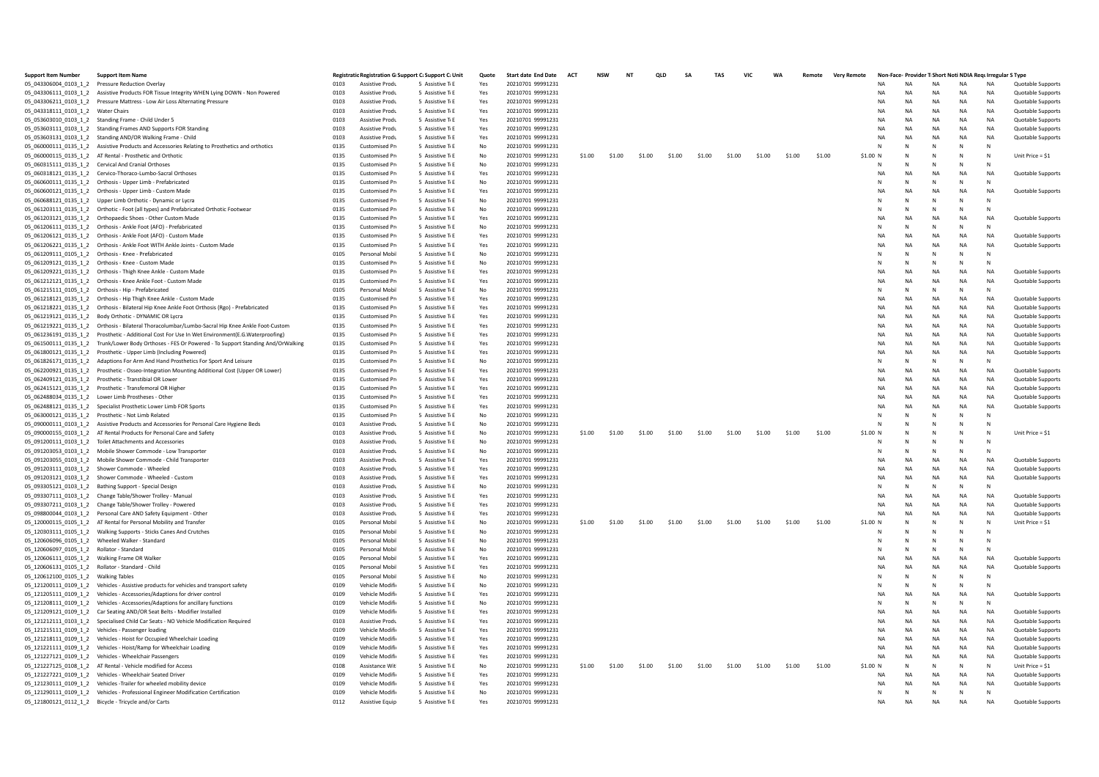| <b>Support Item Number</b>                    | <b>Support Item Name</b>                                                                                                                                  |              | Registratic Registration G Support C Support C Unit |                                      | Quote      | <b>Start date End Date</b>             | <b>ACT</b> | <b>NSW</b> | <b>NT</b> | <b>OLD</b> | SA     | TAS<br>VIC |        | <b>WA</b> | Remote | <b>Very Remote</b> |              | Non-Face- Provider T Short Noti NDIA Requirregular S Type |                        |                 |                        |                                       |
|-----------------------------------------------|-----------------------------------------------------------------------------------------------------------------------------------------------------------|--------------|-----------------------------------------------------|--------------------------------------|------------|----------------------------------------|------------|------------|-----------|------------|--------|------------|--------|-----------|--------|--------------------|--------------|-----------------------------------------------------------|------------------------|-----------------|------------------------|---------------------------------------|
|                                               | 05 043306004 0103 1 2 Pressure Reduction Overlay                                                                                                          | 0103         | <b>Assistive Produ</b>                              | 5 Assistive Tr E                     | Yes        | 20210701 99991231                      |            |            |           |            |        |            |        |           |        |                    | NA           | <b>NA</b>                                                 | <b>NA</b>              | <b>NA</b>       |                        | Quotable Support                      |
|                                               | 05_043306111_0103_1_2 Assistive Products FOR Tissue Integrity WHEN Lying DOWN - Non Powered                                                               | 0103         | <b>Assistive Produ</b>                              | 5 Assistive Ti E                     | Yes        | 20210701 99991231                      |            |            |           |            |        |            |        |           |        |                    | NA           | <b>NA</b>                                                 | <b>NA</b>              | <b>NA</b>       | <b>NA</b>              | Quotable Supports                     |
|                                               | 05_043306211_0103_1_2 Pressure Mattress - Low Air Loss Alternating Pressure                                                                               | 0103         | <b>Assistive Produ</b>                              | 5 Assistive Ti E                     | Yes        | 20210701 99991231                      |            |            |           |            |        |            |        |           |        |                    | NA           | <b>NA</b>                                                 | <b>NA</b>              | NA              | <b>NA</b>              | Quotable Supports                     |
| 05_043318111_0103_1_2 Water Chairs            |                                                                                                                                                           | 0103         | <b>Assistive Produ</b>                              | 5 Assistive Ti E                     | Yes        | 20210701 99991231                      |            |            |           |            |        |            |        |           |        |                    | NA           | <b>NA</b>                                                 | <b>NA</b>              | <b>NA</b>       | <b>NA</b>              | Quotable Supports                     |
|                                               | 05_053603010_0103_1_2 Standing Frame - Child Under 5                                                                                                      | 0103         | <b>Assistive Produ</b>                              | 5 Assistive Ti E                     | Yes        | 20210701 99991231                      |            |            |           |            |        |            |        |           |        |                    | NA           | NA                                                        | <b>NA</b>              | NA              | <b>NA</b>              | Quotable Support                      |
|                                               | 05_053603111_0103_1_2 Standing Frames AND Supports FOR Standing                                                                                           | 0103         | <b>Assistive Produ</b>                              | 5 Assistive Tr E                     | Yes        | 20210701 99991231                      |            |            |           |            |        |            |        |           |        |                    | NA           | <b>NA</b>                                                 | <b>NA</b>              | <b>NA</b>       | <b>NA</b>              | Quotable Supports                     |
|                                               | 05_053603131_0103_1_2 Standing AND/OR Walking Frame - Child                                                                                               | 0103         | <b>Assistive Produ</b>                              | 5 Assistive Ti E                     | Yes        | 20210701 99991231                      |            |            |           |            |        |            |        |           |        |                    | NA           | <b>NA</b>                                                 | <b>NA</b>              | <b>NA</b>       | <b>NA</b>              | Quotable Supports                     |
|                                               | 05_060000111_0135_1_2 Assistive Products and Accessories Relating to Prosthetics and orthotics                                                            | 0135         | <b>Customised Pr</b>                                | 5 Assistive Ti E                     | No         | 20210701 99991231                      |            |            |           |            |        |            |        |           |        |                    | N            | N                                                         |                        |                 |                        |                                       |
|                                               | 05_060000115_0135_1_2    AT Rental - Prosthetic and Orthotic                                                                                              | 0135         | <b>Customised Pr</b>                                | 5 Assistive Ti E                     | No         | 20210701 99991231                      | \$1.00     | \$1.00     | \$1.00    | \$1.00     | \$1.00 | \$1.00     | \$1.00 | \$1.00    | \$1.00 | $$1.00$ N          |              |                                                           |                        | N               | N                      | Unit Price = \$1                      |
|                                               | 05_060315111_0135_1_2 Cervical And Cranial Orthoses                                                                                                       | 0135         | <b>Customised Pr</b>                                | 5 Assistive Ti E                     | No         | 20210701 99991231                      |            |            |           |            |        |            |        |           |        |                    |              | N                                                         |                        | N               | N                      |                                       |
|                                               | 05 060318121 0135 1 2 Cervico-Thoraco-Lumbo-Sacral Orthoses                                                                                               | 0135         | <b>Customised Pro</b>                               | 5 Assistive Ti E                     | Yes        | 20210701 99991231                      |            |            |           |            |        |            |        |           |        |                    | NA           | <b>NA</b>                                                 | NA                     | NA              | <b>NA</b>              | Quotable Support                      |
|                                               | 05 060600111 0135 1 2 Orthosis - Upper Limb - Prefabricated                                                                                               | 0135         | <b>Customised Pro</b>                               | 5 Assistive Tr F                     | No         | 20210701 99991231                      |            |            |           |            |        |            |        |           |        |                    | N            | N                                                         |                        | N               |                        |                                       |
|                                               | 05 060600121 0135 1 2 Orthosis - Upper Limb - Custom Made                                                                                                 | 0135         | <b>Customised Pro</b>                               | 5 Assistive Ti E                     | Yes        | 20210701 99991231                      |            |            |           |            |        |            |        |           |        |                    | NA           | <b>NA</b>                                                 | <b>NA</b>              | <b>NA</b>       | <b>NA</b>              | Quotable Supports                     |
|                                               | 05_060688121_0135_1_2 Upper Limb Orthotic - Dynamic or Lycra                                                                                              | 0135         | <b>Customised Pro</b>                               | 5 Assistive Ti E                     | No         | 20210701 99991231                      |            |            |           |            |        |            |        |           |        |                    | N            | N                                                         |                        |                 |                        |                                       |
|                                               | 05_061203111_0135_1_2 Orthotic - Foot (all types) and Prefabricated Orthotic Footwear                                                                     | 0135         | <b>Customised Pro</b>                               | 5 Assistive TLE                      | No         | 20210701 99991231                      |            |            |           |            |        |            |        |           |        |                    | N            |                                                           |                        |                 |                        |                                       |
|                                               | 05 061203121 0135 1 2 Orthopaedic Shoes - Other Custom Made                                                                                               | 0135         | <b>Customised Pro</b>                               | 5 Assistive Ti E                     | Yes        | 20210701 99991231                      |            |            |           |            |        |            |        |           |        |                    | NA           | <b>NA</b>                                                 | NA                     | NA              | N/                     | Quotable Supports                     |
|                                               |                                                                                                                                                           | 0135         | <b>Customised Pro</b>                               | 5 Assistive Ti E                     | No         | 20210701 99991231                      |            |            |           |            |        |            |        |           |        |                    | N            | N                                                         | N                      | N               |                        |                                       |
|                                               |                                                                                                                                                           | 0135         | <b>Customised Pro</b>                               | 5 Assistive Ti E                     | Yes        | 20210701 99991231                      |            |            |           |            |        |            |        |           |        |                    | NA           | <b>NA</b>                                                 | <b>NA</b>              | NA              | <b>NA</b>              | Quotable Supports                     |
|                                               | 05_061206221_0135_1_2    Orthosis - Ankle Foot WITH Ankle Joints - Custom Made                                                                            | 0135         | <b>Customised Pr</b>                                | 5 Assistive Ti E                     | Yes        | 20210701 99991231                      |            |            |           |            |        |            |        |           |        |                    | NA           | <b>NA</b>                                                 | <b>NA</b>              | <b>NA</b>       | <b>NA</b>              | Quotable Supports                     |
|                                               |                                                                                                                                                           | 0105         | Personal Mobil                                      | 5 Assistive Ti E                     | No         | 20210701 99991231                      |            |            |           |            |        |            |        |           |        |                    | N            |                                                           |                        | N               |                        |                                       |
|                                               | 05 061209121 0135 1 2 Orthosis - Knee - Custom Made                                                                                                       | 0135         | <b>Customised Pro</b>                               | 5 Assistive Ti E                     | No         | 20210701 99991231                      |            |            |           |            |        |            |        |           |        |                    | N            | N                                                         |                        | N               |                        |                                       |
|                                               |                                                                                                                                                           | 0135         | <b>Customised Pro</b>                               | 5 Assistive Ti E                     | Yes        | 20210701 99991231                      |            |            |           |            |        |            |        |           |        |                    | NA           | <b>NA</b>                                                 | <b>NA</b>              | <b>NA</b>       | <b>NA</b>              | Quotable Supports                     |
|                                               | 05 061212121 0135 1 2 Orthosis - Knee Ankle Foot - Custom Made                                                                                            | 0135         | <b>Customised Pr</b>                                | 5 Assistive Ti E                     | Yes        | 20210701 99991231                      |            |            |           |            |        |            |        |           |        |                    | NA           | NA                                                        | <b>NA</b>              | <b>NA</b>       | NA                     | Quotable Support                      |
|                                               |                                                                                                                                                           | 0105         | Personal Mobil                                      | 5 Assistive Ti E                     | No         | 20210701 99991231                      |            |            |           |            |        |            |        |           |        |                    | N            | N                                                         |                        | N               |                        |                                       |
|                                               | 05_061218121_0135_1_2    Orthosis - Hip Thigh Knee Ankle - Custom Made                                                                                    | 0135         | <b>Customised Pro</b>                               | 5 Assistive Ti E                     | Yes        | 20210701 99991231                      |            |            |           |            |        |            |        |           |        |                    | NA           | <b>NA</b>                                                 | <b>NA</b>              | NA              | <b>NA</b>              | Quotable Supports                     |
|                                               | 05_061218221_0135_1_2 Orthosis - Bilateral Hip Knee Ankle Foot Orthosis (Rgo) - Prefabricated                                                             | 0135         | <b>Customised Pr</b>                                | 5 Assistive Ti E                     | Yes        | 20210701 99991231                      |            |            |           |            |        |            |        |           |        |                    | NA           | <b>NA</b>                                                 | <b>NA</b>              | <b>NA</b>       | <b>NA</b>              | Quotable Support                      |
|                                               | 05_061219121_0135_1_2 Body Orthotic - DYNAMIC OR Lycra                                                                                                    | 0135         | <b>Customised Pro</b>                               | 5 Assistive Ti E                     | Yes        | 20210701 99991231                      |            |            |           |            |        |            |        |           |        |                    | NA           | <b>NA</b>                                                 | <b>NA</b>              | <b>NA</b>       | <b>NA</b>              | Quotable Supports                     |
|                                               | 05_061219221_0135_1_2 Orthosis - Bilateral Thoracolumbar/Lumbo-Sacral Hip Knee Ankle Foot-Custom                                                          | 0135         | <b>Customised Pr</b>                                | 5 Assistive Ti E                     | Yes        | 20210701 99991231                      |            |            |           |            |        |            |        |           |        |                    | NA           | NA                                                        | <b>NA</b>              | NA              | <b>NA</b>              | Quotable Supports                     |
|                                               | 05 061236191 0135 1 2 Prosthetic - Additional Cost For Use In Wet Environment(E.G.Waterproofing)                                                          | 0135         | <b>Customised Pro</b>                               | 5 Assistive Ti E                     | Yes        | 20210701 99991231                      |            |            |           |            |        |            |        |           |        |                    | NA           | <b>NA</b>                                                 | <b>NA</b>              | NA              | <b>NA</b>              | Quotable Support                      |
|                                               | 05_061500111_0135_1_2 Trunk/Lower Body Orthoses - FES Or Powered - To Support Standing And/OrWalking                                                      | 0135         | <b>Customised Pro</b>                               | 5 Assistive Tr F                     | Yes        | 20210701 99991231                      |            |            |           |            |        |            |        |           |        |                    | NA           | <b>NA</b>                                                 | <b>NA</b>              | <b>NA</b>       | <b>NA</b>              | Quotable Supports                     |
|                                               | 05_061800121_0135_1_2    Prosthetic - Upper Limb (Including Powered)                                                                                      | 0135         | <b>Customised Pro</b>                               | 5 Assistive Ti E                     | Yes        | 20210701 99991231                      |            |            |           |            |        |            |        |           |        |                    | NA           | <b>NA</b>                                                 | <b>NA</b>              | <b>NA</b>       | <b>NA</b>              | Quotable Supports                     |
|                                               | 05 061826171 0135 1 2 Adaptions For Arm And Hand Prosthetics For Sport And Leisure                                                                        | 0135         | <b>Customised Pro</b>                               | 5 Assistive Ti E                     | No         | 20210701 99991231                      |            |            |           |            |        |            |        |           |        |                    | N            | N                                                         |                        |                 |                        |                                       |
|                                               | 05_062200921_0135_1_2 Prosthetic - Osseo-Integration Mounting Additional Cost (Upper OR Lower)                                                            | 0135         | <b>Customised Pro</b>                               | 5 Assistive Ti E                     | Yes        | 20210701 99991231                      |            |            |           |            |        |            |        |           |        |                    | NA           | <b>NA</b>                                                 | <b>NA</b>              | <b>NA</b>       | <b>NA</b>              | Quotable Supports                     |
|                                               | 05 062409121 0135 1 2 Prosthetic - Transtibial OR Lower                                                                                                   | 0135         | <b>Customised Pro</b>                               | 5 Assistive Ti E                     | Yes        | 20210701 99991231                      |            |            |           |            |        |            |        |           |        |                    | NA           | <b>NA</b>                                                 | <b>NA</b>              | NA              | <b>NA</b>              | Quotable Support                      |
|                                               | 05_062415121_0135_1_2    Prosthetic - Transfemoral OR Higher                                                                                              | 0135         | <b>Customised Pro</b>                               | 5 Assistive TLE                      | Yes        | 20210701 99991231                      |            |            |           |            |        |            |        |           |        |                    | NA           | <b>NA</b>                                                 | <b>NA</b>              | <b>NA</b>       | <b>NA</b>              | Quotable Support                      |
|                                               | 05_062488034_0135_1_2    Lower Limb Prostheses - Other                                                                                                    | 0135         | <b>Customised Pro</b>                               | 5 Assistive Ti E                     | Yes        | 20210701 99991231                      |            |            |           |            |        |            |        |           |        |                    | NA           | <b>NA</b>                                                 | <b>NA</b>              | <b>NA</b>       | <b>NA</b>              | Quotable Supports                     |
|                                               | 05_062488121_0135_1_2 Specialist Prosthetic Lower Limb FOR Sports                                                                                         | 0135         | <b>Customised Pr</b>                                | 5 Assistive Ti E                     | Yes        | 20210701 99991231                      |            |            |           |            |        |            |        |           |        |                    | NA           | <b>NA</b>                                                 | <b>NA</b>              | NA              | <b>NA</b>              | Quotable Support                      |
|                                               | 05_063000121_0135_1_2 Prosthetic - Not Limb Related                                                                                                       | 0135         | <b>Customised Pro</b>                               | 5 Assistive Ti E                     | No         | 20210701 99991231                      |            |            |           |            |        |            |        |           |        |                    | N            |                                                           |                        | N               |                        |                                       |
|                                               | 05_090000111_0103_1_2 Assistive Products and Accessories for Personal Care Hygiene Beds                                                                   | 0103         | <b>Assistive Produ</b>                              | 5 Assistive Ti E                     | No         | 20210701 99991231                      |            |            |           |            |        |            |        |           |        |                    |              | N                                                         | Ν                      | N               |                        |                                       |
|                                               | 05_090000155_0103_1_2 AT Rental Products for Personal Care and Safety                                                                                     | 0103         | <b>Assistive Produ</b>                              | 5 Assistive Ti E                     | No         | 20210701 99991231                      | \$1.00     | \$1.00     | \$1.00    | \$1.00     | \$1.00 | \$1.00     | \$1.00 | \$1.00    | \$1.00 | \$1.00 N           |              | N                                                         | Ν                      | Ν               |                        | Unit Price = \$1                      |
|                                               | 05_091200111_0103_1_2 Toilet Attachments and Accessories                                                                                                  | 0103         | <b>Assistive Produ</b>                              | 5 Assistive Ti E                     | No         | 20210701 99991231                      |            |            |           |            |        |            |        |           |        |                    |              | N                                                         |                        | N               |                        |                                       |
|                                               | 05_091203053_0103_1_2 Mobile Shower Commode - Low Transporter                                                                                             | 0103         | <b>Assistive Produ</b>                              | 5 Assistive Tr E                     | No         | 20210701 99991231                      |            |            |           |            |        |            |        |           |        |                    | N            | N                                                         |                        |                 |                        |                                       |
|                                               | 05_091203055_0103_1_2 Mobile Shower Commode - Child Transporter                                                                                           | 0103         | <b>Assistive Produ</b>                              | 5 Assistive Ti E                     | Yes        | 20210701 99991231                      |            |            |           |            |        |            |        |           |        |                    | NA           | <b>NA</b>                                                 | <b>NA</b>              | <b>NA</b>       | <b>NA</b>              | Quotable Support:                     |
|                                               | 05 091203111 0103 1 2 Shower Commode - Wheeled                                                                                                            | 0103         | <b>Assistive Produ</b>                              | 5 Assistive Ti E                     | Yes        | 20210701 99991231                      |            |            |           |            |        |            |        |           |        |                    | NA           | <b>NA</b>                                                 | <b>NA</b>              | <b>NA</b>       | <b>NA</b>              | Quotable Support                      |
|                                               |                                                                                                                                                           | 0103         | Assistive Produ                                     | 5 Assistive Ti E                     | Yes        | 20210701 99991231                      |            |            |           |            |        |            |        |           |        |                    | NA           | <b>NA</b>                                                 | <b>NA</b>              | <b>NA</b>       | <b>NA</b>              | Quotable Supports                     |
|                                               | 05_093305121_0103_1_2 Bathing Support - Special Design                                                                                                    | 0103         | Assistive Produ                                     | 5 Assistive Ti E                     | No         | 20210701 99991231                      |            |            |           |            |        |            |        |           |        |                    | N            | N                                                         |                        | N               |                        |                                       |
|                                               | 05 093307111 0103 1 2 Change Table/Shower Trolley - Manual                                                                                                | 0103         | <b>Assistive Produ</b>                              | 5 Assistive Ti E                     | Yes        | 20210701 99991231                      |            |            |           |            |        |            |        |           |        |                    | NA           | <b>NA</b>                                                 | NA                     | NA              | <b>NA</b>              | Quotable Support                      |
|                                               | 05_093307211_0103_1_2 Change Table/Shower Trolley - Powered                                                                                               | 0103         | <b>Assistive Produ</b>                              | 5 Assistive Ti E                     | Yes        | 20210701 99991231                      |            |            |           |            |        |            |        |           |        |                    | NA           | <b>NA</b>                                                 | <b>NA</b>              | <b>NA</b>       | <b>NA</b>              | Quotable Support:                     |
|                                               | 05_098800044_0103_1_2 Personal Care AND Safety Equipment - Other                                                                                          | 0103         | <b>Assistive Produ</b>                              | 5 Assistive Ti E                     | Yes        | 20210701 99991231                      |            |            |           |            |        |            |        |           |        |                    | NA           | <b>NA</b>                                                 | NA                     | <b>NA</b>       | <b>NA</b>              | Quotable Support                      |
|                                               | 05 120000115 0105 1 2 AT Rental for Personal Mobility and Transfer                                                                                        | 0105         | Personal Mobil                                      | 5 Assistive Ti E                     | No         | 20210701 99991231                      | \$1.00     | \$1.00     | \$1.00    | \$1.00     | \$1.00 | \$1.00     | \$1.00 | \$1.00    | \$1.00 | \$1.00             |              | N                                                         |                        | N               |                        | Unit Price = \$1                      |
|                                               | 05_120303111_0105_1_2 Walking Supports - Sticks Canes And Crutches                                                                                        | 0105         | Personal Mobil                                      | 5 Assistive Ti E                     | No         | 20210701 99991231                      |            |            |           |            |        |            |        |           |        |                    |              |                                                           |                        |                 |                        |                                       |
|                                               | 05_120606096_0105_1_2 Wheeled Walker - Standard                                                                                                           | 0105         | Personal Mobil                                      | 5 Assistive Ti E                     | No         | 20210701 99991231                      |            |            |           |            |        |            |        |           |        |                    | N            |                                                           |                        | N               |                        |                                       |
| 05_120606097_0105_1_2 Rollator - Standard     |                                                                                                                                                           | 0105         | Personal Mobil                                      | 5 Assistive Ti E                     | No         | 20210701 99991231                      |            |            |           |            |        |            |        |           |        |                    | $\mathbf{N}$ | N                                                         |                        | N               |                        |                                       |
| 05_120606111_0105_1_2 Walking Frame OR Walker |                                                                                                                                                           | 0105         | Personal Mobil                                      | 5 Assistive Ti E                     | Yes        | 20210701 99991231                      |            |            |           |            |        |            |        |           |        |                    | NA           | <b>NA</b>                                                 | <b>NA</b>              | <b>NA</b>       | <b>NA</b>              | Quotable Supports                     |
|                                               |                                                                                                                                                           | 0105         | Personal Mobil                                      | 5 Assistive Ti E                     | Yes        | 20210701 99991231                      |            |            |           |            |        |            |        |           |        |                    | NA           | <b>NA</b>                                                 | <b>NA</b>              | <b>NA</b>       | <b>NA</b>              | Quotable Supports                     |
| 05_120612100_0105_1_2 Walking Tables          |                                                                                                                                                           | 0105         | Personal Mobil                                      | 5 Assistive Ti E                     | No         | 20210701 99991231                      |            |            |           |            |        |            |        |           |        |                    | N            | N                                                         |                        | N               |                        |                                       |
|                                               | 05_121200111_0109_1_2 Vehicles - Assistive products for vehicles and transport safety                                                                     | 0109         | Vehicle Modifie                                     | 5 Assistive TLE                      | No         | 20210701 99991231                      |            |            |           |            |        |            |        |           |        |                    | N            | N                                                         | N                      | N               |                        |                                       |
|                                               | 05_121205111_0109_1_2 Vehicles - Accessories/Adaptions for driver control                                                                                 | 0109         | Vehicle Modifie                                     | 5 Assistive Ti E                     | Yes        | 20210701 99991231                      |            |            |           |            |        |            |        |           |        |                    | NA           | <b>NA</b>                                                 | <b>NA</b>              | NA              | <b>NA</b>              | Quotable Supports                     |
|                                               | 05_121208111_0109_1_2 Vehicles - Accessories/Adaptions for ancillary functions                                                                            | 0109         | Vehicle Modifir                                     | 5 Assistive Ti E                     | No         | 20210701 99991231                      |            |            |           |            |        |            |        |           |        |                    | Ν            | N                                                         |                        | N               |                        |                                       |
|                                               | 05 121209121 0109 1 2 Car Seating AND/OR Seat Belts - Modifier Installed                                                                                  | 0109         | Vehicle Modifir                                     | 5 Assistive Ti E                     | Yes        | 20210701 99991231                      |            |            |           |            |        |            |        |           |        |                    | NA           | <b>NA</b>                                                 | <b>NA</b>              | <b>NA</b>       | <b>NA</b>              | Quotable Supports                     |
|                                               | 05_121212111_0103_1_2 Specialised Child Car Seats - NO Vehicle Modification Required                                                                      | 0103<br>0109 | <b>Assistive Produ</b><br>Vehicle Modifie           | 5 Assistive Ti E                     | Yes        | 20210701 99991231<br>20210701 99991231 |            |            |           |            |        |            |        |           |        |                    | NA<br>NA     | <b>NA</b><br><b>NA</b>                                    | <b>NA</b><br><b>NA</b> | NA<br><b>NA</b> | <b>NA</b><br><b>NA</b> | Quotable Supports                     |
|                                               | 05_121215111_0109_1_2 Vehicles - Passenger loading                                                                                                        |              |                                                     | 5 Assistive Ti E                     | Yes        |                                        |            |            |           |            |        |            |        |           |        |                    |              |                                                           |                        |                 | <b>NA</b>              | Quotable Support                      |
|                                               | 05_121218111_0109_1_2 Vehicles - Hoist for Occupied Wheelchair Loading                                                                                    | 0109         | Vehicle Modifi                                      | 5 Assistive Ti E                     | Yes        | 20210701 99991231                      |            |            |           |            |        |            |        |           |        |                    | NA           | <b>NA</b>                                                 | <b>NA</b>              | <b>NA</b>       |                        | Quotable Supports                     |
|                                               | 05_121221111_0109_1_2 Vehicles - Hoist/Ramp for Wheelchair Loading<br>05 121227121 0109 1 2 Vehicles - Wheelchair Passengers                              | 0109<br>0109 | Vehicle Modifi<br>Vehicle Modifie                   | 5 Assistive Ti E<br>5 Assistive Ti E | Yes<br>Yes | 20210701 99991231<br>20210701 99991231 |            |            |           |            |        |            |        |           |        |                    | NA<br>NA     | <b>NA</b><br><b>NA</b>                                    | <b>NA</b><br><b>NA</b> | <b>NA</b><br>NA | <b>NA</b><br><b>NA</b> | Quotable Supports<br>Quotable Support |
|                                               |                                                                                                                                                           | 0108         | Assistance Wit                                      | 5 Assistive Ti E                     | No         | 20210701 99991231                      | \$1.00     | \$1.00     | \$1.00    | \$1.00     | \$1.00 | \$1.00     | \$1.00 | \$1.00    | \$1.00 | \$1.00 N           |              | N                                                         |                        | N               |                        | Unit Price = \$1                      |
|                                               | 05_121227125_0108_1_2 AT Rental - Vehicle modified for Access                                                                                             |              | Vehicle Modifie                                     |                                      |            |                                        |            |            |           |            |        |            |        |           |        |                    |              |                                                           |                        | <b>NA</b>       | <b>NA</b>              |                                       |
|                                               | 05_121227221_0109_1_2 Vehicles - Wheelchair Seated Driver                                                                                                 | 0109         |                                                     | 5 Assistive Ti E                     | Yes        | 20210701 99991231                      |            |            |           |            |        |            |        |           |        |                    | NA           | <b>NA</b>                                                 | <b>NA</b>              |                 | <b>NA</b>              | Quotable Supports                     |
|                                               | 05 121230111 0109 1 2 Vehicles - Trailer for wheeled mobility device<br>05_121290111_0109_1_2 Vehicles - Professional Engineer Modification Certification | 0109<br>0109 | Vehicle Modifi<br>Vehicle Modifie                   | 5 Assistive Ti E<br>5 Assistive TLE  | Yes<br>No  | 20210701 99991231<br>20210701 99991231 |            |            |           |            |        |            |        |           |        |                    | NA<br>N      | <b>NA</b><br>N                                            | NA                     | NA              |                        | Quotable Supports                     |
|                                               | 05 121800121 0112 1 2 Bicycle - Tricycle and/or Carts                                                                                                     | 0112         | <b>Assistive Equip</b>                              | 5 Assistive Ti E                     | Yes        | 20210701 99991231                      |            |            |           |            |        |            |        |           |        |                    | NA           | <b>NA</b>                                                 | <b>NA</b>              | <b>NA</b>       |                        | Quotable Supports                     |
|                                               |                                                                                                                                                           |              |                                                     |                                      |            |                                        |            |            |           |            |        |            |        |           |        |                    |              |                                                           |                        |                 |                        |                                       |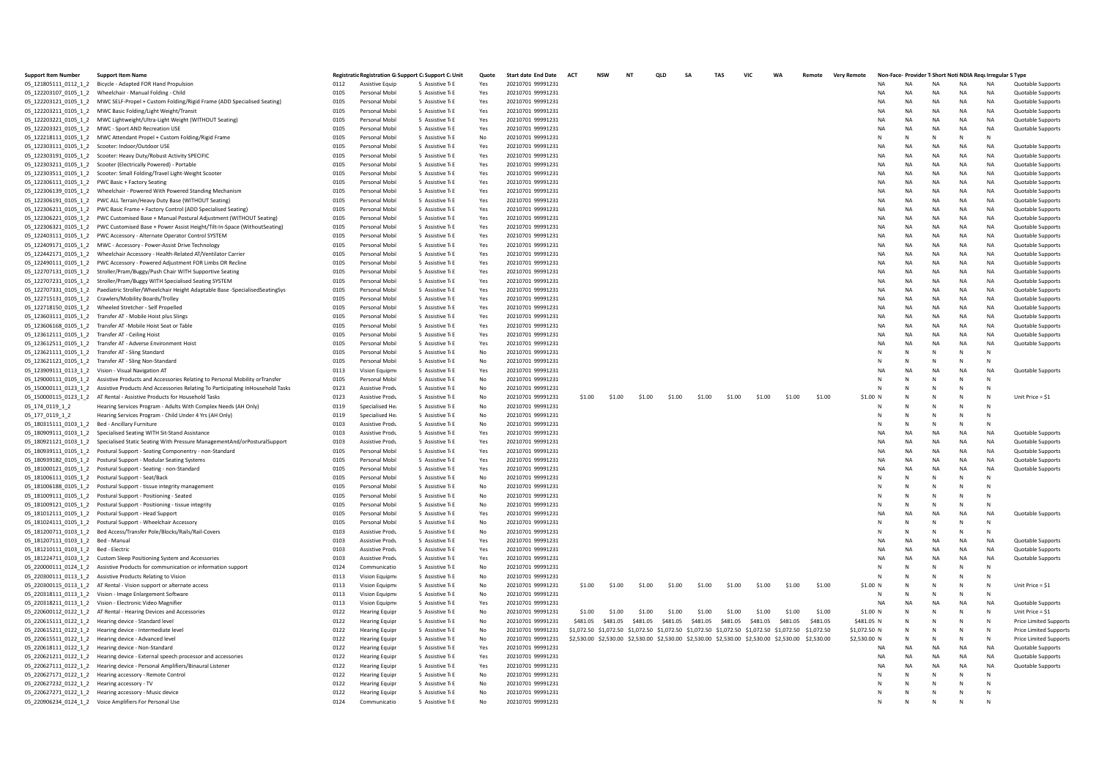| <b>Support Item Number</b>                        | Support Item Name                                                                                                                                          |              | Registratic Registration G Support C: Support C: Unit |                                      | Quote      | <b>Start date End Date</b>             | <b>ACT</b> | <b>NSW</b> | <b>NT</b> | OLD      |          | TAS      | <b>VIC</b> | <b>WA</b>                                                                                          | Remote   | <b>Very Remote</b> |              |                        |                        |                        | Non-Face- Provider T Short Noti NDIA Requirregular S Type |                                        |
|---------------------------------------------------|------------------------------------------------------------------------------------------------------------------------------------------------------------|--------------|-------------------------------------------------------|--------------------------------------|------------|----------------------------------------|------------|------------|-----------|----------|----------|----------|------------|----------------------------------------------------------------------------------------------------|----------|--------------------|--------------|------------------------|------------------------|------------------------|-----------------------------------------------------------|----------------------------------------|
|                                                   | 05_121805111_0112_1_2 Bicycle - Adapted FOR Hand Propulsion                                                                                                | 0112         | <b>Assistive Equip</b>                                | 5 Assistive Ti E                     | Yes        | 20210701 99991231                      |            |            |           |          |          |          |            |                                                                                                    |          |                    | NA           | <b>NA</b>              | <b>NA</b>              | <b>NA</b>              | <b>NA</b>                                                 | Quotable Supports                      |
|                                                   |                                                                                                                                                            | 0105         | Personal Mobil                                        | 5 Assistive Ti E                     | Yes        | 20210701 99991231                      |            |            |           |          |          |          |            |                                                                                                    |          |                    | NA           | <b>NA</b>              | <b>NA</b>              | <b>NA</b>              | <b>NA</b>                                                 | Quotable Supports                      |
|                                                   | 05_122203121_0105_1_2 MWC SELF-Propel + Custom Folding/Rigid Frame (ADD Specialised Seating)                                                               | 0105         | Personal Mobil                                        | 5 Assistive Ti E                     | Yes        | 20210701 99991231                      |            |            |           |          |          |          |            |                                                                                                    |          |                    | NA           | <b>NA</b>              | <b>NA</b>              | <b>NA</b>              | <b>NA</b>                                                 | Quotable Supports                      |
|                                                   | 05_122203211_0105_1_2 MWC Basic Folding/Light Weight/Transit                                                                                               | 0105         | Personal Mobil                                        | 5 Assistive Ti E                     | Yes        | 20210701 99991231                      |            |            |           |          |          |          |            |                                                                                                    |          |                    | NA           | <b>NA</b>              | <b>NA</b>              | <b>NA</b>              | <b>NA</b>                                                 | Quotable Supports                      |
|                                                   | 05_122203221_0105_1_2 MWC Lightweight/Ultra-Light Weight (WITHOUT Seating)                                                                                 | 0105         | Personal Mobil                                        | 5 Assistive Ti E                     | Yes        | 20210701 99991231                      |            |            |           |          |          |          |            |                                                                                                    |          |                    | NA           | <b>NA</b>              | <b>NA</b>              | <b>NA</b>              | <b>NA</b>                                                 | Quotable Supports                      |
|                                                   | 05_122203321_0105_1_2 MWC - Sport AND Recreation USE                                                                                                       | 0105         | Personal Mobil                                        | 5 Assistive Ti E                     | Yes        | 20210701 99991231                      |            |            |           |          |          |          |            |                                                                                                    |          |                    | NA           | <b>NA</b>              | <b>NA</b>              | <b>NA</b>              | <b>NA</b>                                                 | Quotable Supports                      |
|                                                   | 05_122218111_0105_1_2 MWC Attendant Propel + Custom Folding/Rigid Frame                                                                                    | 0105         | Personal Mobil                                        | 5 Assistive Ti E                     | No         | 20210701 99991231                      |            |            |           |          |          |          |            |                                                                                                    |          |                    | N            | N                      | N                      | N                      | N                                                         |                                        |
|                                                   |                                                                                                                                                            | 0105         | Personal Mobil                                        | 5 Assistive Ti E                     | Yes        | 20210701 99991231                      |            |            |           |          |          |          |            |                                                                                                    |          |                    | NA           | <b>NA</b>              | <b>NA</b>              | <b>NA</b>              | <b>NA</b>                                                 | Quotable Supports                      |
|                                                   | 05_122303191_0105_1_2 Scooter: Heavy Duty/Robust Activity SPECIFIC                                                                                         | 0105         | Personal Mobil                                        | 5 Assistive Tr E                     | Yes        | 20210701 99991231                      |            |            |           |          |          |          |            |                                                                                                    |          |                    | NA           | <b>NA</b>              | NA                     | <b>NA</b>              | <b>NA</b>                                                 | Quotable Supports                      |
|                                                   |                                                                                                                                                            | 0105         | Personal Mobil                                        | 5 Assistive Ti E                     | Yes        | 20210701 99991231                      |            |            |           |          |          |          |            |                                                                                                    |          |                    | <b>NA</b>    | <b>NA</b>              | <b>NA</b>              | <b>NA</b>              | <b>NA</b>                                                 | Quotable Supports                      |
|                                                   | 05_122303511_0105_1_2 Scooter: Small Folding/Travel Light-Weight Scooter                                                                                   | 0105         | Personal Mobil                                        | 5 Assistive Ti E                     | Yes        | 20210701 99991231                      |            |            |           |          |          |          |            |                                                                                                    |          |                    | NA           | <b>NA</b>              | <b>NA</b>              | <b>NA</b>              | <b>NA</b>                                                 | Quotable Supports                      |
|                                                   | 05_122306111_0105_1_2 PWC Basic + Factory Seating                                                                                                          | 0105         | Personal Mobil                                        | 5 Assistive Ti E                     | Yes        | 20210701 99991231                      |            |            |           |          |          |          |            |                                                                                                    |          |                    | NA           | <b>NA</b>              | <b>NA</b>              | <b>NA</b>              | <b>NA</b>                                                 | Quotable Supports                      |
|                                                   | 05_122306139_0105_1_2 Wheelchair - Powered With Powered Standing Mechanism                                                                                 | 0105         | Personal Mobil                                        | 5 Assistive Ti E                     | Yes        | 20210701 99991231                      |            |            |           |          |          |          |            |                                                                                                    |          |                    | NA           | <b>NA</b>              | <b>NA</b>              | <b>NA</b>              | <b>NA</b>                                                 | Quotable Supports                      |
|                                                   | 05_122306191_0105_1_2 PWC ALL Terrain/Heavy Duty Base (WITHOUT Seating)                                                                                    | 0105         | Personal Mobil                                        | 5 Assistive Ti E                     | Yes        | 20210701 99991231                      |            |            |           |          |          |          |            |                                                                                                    |          |                    | NA           | <b>NA</b><br><b>NA</b> | <b>NA</b><br><b>NA</b> | <b>NA</b><br><b>NA</b> | <b>NA</b>                                                 | Quotable Supports                      |
|                                                   | 05_122306211_0105_1_2 PWC Basic Frame + Factory Control (ADD Specialised Seating)                                                                          | 0105         | Personal Mobi                                         | 5 Assistive Ti E                     | Yes        | 20210701 99991231                      |            |            |           |          |          |          |            |                                                                                                    |          |                    | NA<br>NA     | <b>NA</b>              | <b>NA</b>              | <b>NA</b>              | NA                                                        | Quotable Supports                      |
|                                                   | 05_122306221_0105_1_2 PWC Customised Base + Manual Postural Adjustment (WITHOUT Seating)                                                                   | 0105<br>0105 | Personal Mobi<br>Personal Mobi                        | 5 Assistive Ti E<br>5 Assistive Ti E | Yes        | 20210701 99991231<br>20210701 99991231 |            |            |           |          |          |          |            |                                                                                                    |          |                    | NA           | <b>NA</b>              | <b>NA</b>              | <b>NA</b>              | <b>NA</b><br><b>NA</b>                                    | Quotable Supports<br>Quotable Supports |
|                                                   | 05_122306321_0105_1_2 PWC Customised Base + Power Assist Height/Tilt-In-Space (WithoutSeating)                                                             | 0105         | Personal Mobil                                        | 5 Assistive Ti E                     | Yes<br>Yes | 20210701 99991231                      |            |            |           |          |          |          |            |                                                                                                    |          |                    | NA           | <b>NA</b>              | NA                     | <b>NA</b>              | <b>NA</b>                                                 | Quotable Supports                      |
|                                                   |                                                                                                                                                            | 0105         | Personal Mobil                                        | 5 Assistive Ti E                     | Yes        | 20210701 99991231                      |            |            |           |          |          |          |            |                                                                                                    |          |                    | NA           | <b>NA</b>              | <b>NA</b>              | <b>NA</b>              | <b>NA</b>                                                 | Quotable Supports                      |
|                                                   | 05_122409171_0105_1_2 MWC - Accessory - Power-Assist Drive Technology<br>05_122442171_0105_1_2 Wheelchair Accessory - Health-Related AT/Ventilator Carrier | 0105         | Personal Mobil                                        | 5 Assistive Ti E                     | Yes        | 20210701 99991231                      |            |            |           |          |          |          |            |                                                                                                    |          |                    | NA           | <b>NA</b>              | <b>NA</b>              | <b>NA</b>              | <b>NA</b>                                                 | Quotable Supports                      |
|                                                   | 05_122490111_0105_1_2 PWC Accessory - Powered Adjustment FOR Limbs OR Recline                                                                              | 0105         | Personal Mobil                                        | 5 Assistive Ti E                     | Yes        | 20210701 99991231                      |            |            |           |          |          |          |            |                                                                                                    |          |                    | NA           | <b>NA</b>              | <b>NA</b>              | <b>NA</b>              | <b>NA</b>                                                 | Quotable Supports                      |
|                                                   | 05_122707131_0105_1_2 Stroller/Pram/Buggy/Push Chair WITH Supportive Seating                                                                               | 0105         | Personal Mobil                                        | 5 Assistive Ti E                     | Yes        | 20210701 99991231                      |            |            |           |          |          |          |            |                                                                                                    |          |                    | NA           | <b>NA</b>              | <b>NA</b>              | <b>NA</b>              | <b>NA</b>                                                 | Quotable Supports                      |
|                                                   | 05_122707231_0105_1_2 Stroller/Pram/Buggy WITH Specialised Seating SYSTEM                                                                                  | 0105         | Personal Mobil                                        | 5 Assistive Ti E                     | Yes        | 20210701 99991231                      |            |            |           |          |          |          |            |                                                                                                    |          |                    | NA           | <b>NA</b>              | <b>NA</b>              | <b>NA</b>              | <b>NA</b>                                                 | Quotable Supports                      |
|                                                   | 05_122707331_0105_1_2 Paediatric Stroller/Wheelchair Height Adaptable Base -SpecialisedSeatingSys                                                          | 0105         | Personal Mobil                                        | 5 Assistive Ti E                     | Yes        | 20210701 99991231                      |            |            |           |          |          |          |            |                                                                                                    |          |                    | NA           | <b>NA</b>              | <b>NA</b>              | <b>NA</b>              | <b>NA</b>                                                 | Quotable Supports                      |
|                                                   | 05_122715131_0105_1_2 Crawlers/Mobility Boards/Trolley                                                                                                     | 0105         | Personal Mobi                                         | 5 Assistive Ti E                     | Yes        | 20210701 99991231                      |            |            |           |          |          |          |            |                                                                                                    |          |                    | NA           | <b>NA</b>              | NA                     | <b>NA</b>              | <b>NA</b>                                                 | Quotable Supports                      |
|                                                   | 05_122718150_0105_1_2 Wheeled Stretcher - Self Propelled                                                                                                   | 0105         | Personal Mobil                                        | 5 Assistive Ti E                     | Yes        | 20210701 99991231                      |            |            |           |          |          |          |            |                                                                                                    |          |                    | NA           | <b>NA</b>              | <b>NA</b>              | <b>NA</b>              | <b>NA</b>                                                 | Quotable Supports                      |
|                                                   | 05 123603111 0105 1 2 Transfer AT - Mobile Hoist plus Slings                                                                                               | 0105         | Personal Mobil                                        | 5 Assistive Ti E                     | Yes        | 20210701 99991231                      |            |            |           |          |          |          |            |                                                                                                    |          |                    | <b>NA</b>    | <b>NA</b>              | <b>NA</b>              | <b>NA</b>              | <b>NA</b>                                                 | Quotable Supports                      |
|                                                   | 05_123606168_0105_1_2 Transfer AT -Mobile Hoist Seat or Table                                                                                              | 0105         | Personal Mobil                                        | 5 Assistive Ti E                     | Yes        | 20210701 99991231                      |            |            |           |          |          |          |            |                                                                                                    |          |                    | <b>NA</b>    | <b>NA</b>              | NA                     | <b>NA</b>              | <b>NA</b>                                                 | Quotable Supports                      |
| 05_123612111_0105_1_2 Transfer AT - Ceiling Hoist |                                                                                                                                                            | 0105         | Personal Mobil                                        | 5 Assistive Ti E                     | Yes        | 20210701 99991231                      |            |            |           |          |          |          |            |                                                                                                    |          |                    | NA           | <b>NA</b>              | <b>NA</b>              | <b>NA</b>              | <b>NA</b>                                                 | Quotable Supports                      |
|                                                   | 05_123612511_0105_1_2 Transfer AT - Adverse Environment Hoist                                                                                              | 0105         | Personal Mobil                                        | 5 Assistive Ti E                     | Yes        | 20210701 99991231                      |            |            |           |          |          |          |            |                                                                                                    |          |                    | NA           | <b>NA</b>              | <b>NA</b>              | <b>NA</b>              | NA                                                        | Quotable Supports                      |
|                                                   | 05_123621111_0105_1_2 Transfer AT - Sling Standard                                                                                                         | 0105         | Personal Mobil                                        | 5 Assistive Ti E                     | <b>No</b>  | 20210701 99991231                      |            |            |           |          |          |          |            |                                                                                                    |          |                    | N            | N                      |                        |                        |                                                           |                                        |
|                                                   | 05_123621121_0105_1_2 Transfer AT - Sling Non-Standard                                                                                                     | 0105         | Personal Mobil                                        | 5 Assistive TLE                      | No         | 20210701 99991231                      |            |            |           |          |          |          |            |                                                                                                    |          |                    | $\mathsf{N}$ | N                      | N                      | -N                     | N                                                         |                                        |
|                                                   | 05 123909111 0113 1 2 Vision - Visual Navigation AT                                                                                                        | 0113         | Vision Equipm                                         | 5 Assistive Ti E                     | Yes        | 20210701 99991231                      |            |            |           |          |          |          |            |                                                                                                    |          |                    | NA           | <b>NA</b>              | <b>NA</b>              | <b>NA</b>              | NA                                                        | Quotable Support                       |
|                                                   | 05_129000111_0105_1_2 Assistive Products and Accessories Relating to Personal Mobility or Transfer                                                         | 0105         | Personal Mobi                                         | 5 Assistive Ti E                     | No         | 20210701 99991231                      |            |            |           |          |          |          |            |                                                                                                    |          |                    | N            | N                      |                        |                        |                                                           |                                        |
|                                                   | 05_150000111_0123_1_2 Assistive Products And Accessories Relating To Participating InHousehold Tasks                                                       | 0123         | <b>Assistive Produ</b>                                | 5 Assistive Ti E                     | No         | 20210701 99991231                      |            |            |           |          |          |          |            |                                                                                                    |          |                    | N            | N                      |                        |                        |                                                           |                                        |
|                                                   | 05_150000115_0123_1_2 AT Rental - Assistive Products for Household Tasks                                                                                   | 0123         | <b>Assistive Produ</b>                                | 5 Assistive Ti E                     | No         | 20210701 99991231                      | \$1.00     | \$1.00     | \$1.00    | \$1.00   | \$1.00   | \$1.00   | \$1.00     | \$1.00                                                                                             | \$1.00   | $$1.00$ N          |              |                        | N                      |                        |                                                           | Unit Price = \$1                       |
| 05 174 0119 1 2                                   | Hearing Services Program - Adults With Complex Needs (AH Only)                                                                                             | 0119         | Specialised He                                        | 5 Assistive Ti E                     | No         | 20210701 99991231                      |            |            |           |          |          |          |            |                                                                                                    |          |                    | N            |                        |                        | - N                    | N                                                         |                                        |
| 05_177_0119_1_2                                   | Hearing Services Program - Child Under 4 Yrs (AH Only)                                                                                                     | 0119         | Specialised He                                        | 5 Assistive Ti E                     | No         | 20210701 99991231                      |            |            |           |          |          |          |            |                                                                                                    |          |                    | N            | N                      |                        |                        | N                                                         |                                        |
| 05_180315111_0103_1_2 Bed - Ancillary Furniture   |                                                                                                                                                            | 0103         | <b>Assistive Produ</b>                                | 5 Assistive Tr E                     | No         | 20210701 99991231                      |            |            |           |          |          |          |            |                                                                                                    |          |                    | N            | N                      |                        |                        |                                                           |                                        |
|                                                   | 05 180909111 0103 1 2 Specialised Seating WITH Sit-Stand Assistance                                                                                        | 0103         | <b>Assistive Produ</b>                                | 5 Assistive Ti E                     | Yes        | 20210701 99991231                      |            |            |           |          |          |          |            |                                                                                                    |          |                    | NA           | <b>NA</b>              | <b>NA</b>              | <b>NA</b>              | <b>NA</b>                                                 | Quotable Supports                      |
|                                                   | 05_180921121_0103_1_2 Specialised Static Seating With Pressure ManagementAnd/orPosturalSupport                                                             | 0103         | <b>Assistive Produ</b>                                | 5 Assistive Ti E                     | Yes        | 20210701 99991231                      |            |            |           |          |          |          |            |                                                                                                    |          |                    | NA           | <b>NA</b>              | <b>NA</b>              | <b>NA</b>              | <b>NA</b>                                                 | Quotable Supports                      |
|                                                   | 05_180939111_0105_1_2 Postural Support - Seating Componentry - non-Standard                                                                                | 0105         | Personal Mobil                                        | 5 Assistive Ti E                     | Yes        | 20210701 99991231                      |            |            |           |          |          |          |            |                                                                                                    |          |                    | NA           | <b>NA</b>              | <b>NA</b>              | <b>NA</b>              | <b>NA</b>                                                 | Quotable Supports                      |
|                                                   |                                                                                                                                                            | 0105         | Personal Mobil                                        | 5 Assistive Ti E                     | Yes        | 20210701 99991231                      |            |            |           |          |          |          |            |                                                                                                    |          |                    | NA           | <b>NA</b>              | NA                     | <b>NA</b>              | NA                                                        | Quotable Supports                      |
|                                                   | 05_181000121_0105_1_2 Postural Support - Seating - non-Standard                                                                                            | 0105         | Personal Mobil                                        | 5 Assistive Tr E                     | Yes        | 20210701 99991231                      |            |            |           |          |          |          |            |                                                                                                    |          |                    | NA           | <b>NA</b>              | <b>NA</b>              | <b>NA</b>              | NA                                                        | Quotable Supports                      |
|                                                   | 05_181006111_0105_1_2 Postural Support - Seat/Back                                                                                                         | 0105         | Personal Mobil                                        | 5 Assistive Ti E                     | No         | 20210701 99991231                      |            |            |           |          |          |          |            |                                                                                                    |          |                    | N            |                        |                        |                        | N                                                         |                                        |
|                                                   |                                                                                                                                                            | 0105         | Personal Mobil                                        | 5 Assistive Ti E                     | No         | 20210701 99991231                      |            |            |           |          |          |          |            |                                                                                                    |          |                    | N            | N                      |                        | N                      | N                                                         |                                        |
|                                                   | 05_181009111_0105_1_2    Postural Support - Positioning - Seated                                                                                           | 0105         | Personal Mobil                                        | 5 Assistive Ti E                     | No         | 20210701 99991231                      |            |            |           |          |          |          |            |                                                                                                    |          |                    | N            | N                      |                        |                        | N                                                         |                                        |
|                                                   |                                                                                                                                                            | 0105         | Personal Mobil<br>Personal Mobil                      | 5 Assistive Ti E<br>5 Assistive Ti E | <b>No</b>  | 20210701 99991231                      |            |            |           |          |          |          |            |                                                                                                    |          |                    | N<br>NA      | N<br><b>NA</b>         | <b>NA</b>              | N <sub>A</sub>         | NA                                                        |                                        |
|                                                   | 05_181012111_0105_1_2    Postural Support - Head Support                                                                                                   | 0105<br>0105 | Personal Mobil                                        | 5 Assistive Tr F                     | Yes<br>No  | 20210701 99991231<br>20210701 99991231 |            |            |           |          |          |          |            |                                                                                                    |          |                    | N            | N                      | N                      | -N                     | N                                                         | Quotable Supports                      |
|                                                   | 05_181024111_0105_1_2    Postural Support - Wheelchair Accessory                                                                                           | 0103         | <b>Assistive Produ</b>                                | 5 Assistive Ti E                     | No         | 20210701 99991231                      |            |            |           |          |          |          |            |                                                                                                    |          |                    | N            | N                      | Ν                      | N                      | N                                                         |                                        |
| 05_181207111_0103_1_2 Bed - Manual                | 05_181200711_0103_1_2 Bed Access/Transfer Pole/Blocks/Rails/Rail-Covers                                                                                    | 0103         | <b>Assistive Produ</b>                                | 5 Assistive Ti E                     | Yes        | 20210701 99991231                      |            |            |           |          |          |          |            |                                                                                                    |          |                    | NA           | <b>NA</b>              | <b>NA</b>              | <b>NA</b>              | NA                                                        | Quotable Supports                      |
| 05_181210111_0103_1_2 Bed - Electric              |                                                                                                                                                            | 0103         | <b>Assistive Produ</b>                                | 5 Assistive Ti E                     | Yes        | 20210701 99991231                      |            |            |           |          |          |          |            |                                                                                                    |          |                    | NA           | <b>NA</b>              | <b>NA</b>              | <b>NA</b>              | <b>NA</b>                                                 | Quotable Supports                      |
|                                                   | 05_181224711_0103_1_2 Custom Sleep Positioning System and Accessories                                                                                      | 0103         | <b>Assistive Produ</b>                                | 5 Assistive TLE                      | Yes        | 20210701 99991231                      |            |            |           |          |          |          |            |                                                                                                    |          |                    | NA           | <b>NA</b>              | <b>NA</b>              | <b>NA</b>              | NA                                                        | Quotable Supports                      |
|                                                   | 05 220000111 0124 1 2 Assistive Products for communication or information suppor                                                                           | 0124         | Communicatio                                          | 5 Assistive Ti E                     | No         | 20210701 99991231                      |            |            |           |          |          |          |            |                                                                                                    |          |                    | $\mathsf{N}$ | N                      | N                      | <b>N</b>               | N                                                         |                                        |
|                                                   | 05_220300111_0113_1_2 Assistive Products Relating to Vision                                                                                                | 0113         | Vision Equipme                                        | 5 Assistive Ti E                     | No         | 20210701 99991231                      |            |            |           |          |          |          |            |                                                                                                    |          |                    | N            | N                      | N                      | <b>N</b>               | $\mathsf{N}$                                              |                                        |
|                                                   | 05_220300115_0113_1_2 AT Rental - Vision support or alternate access                                                                                       | 0113         | Vision Equipme                                        | 5 Assistive Tr E                     | No         | 20210701 99991231                      | \$1.00     | \$1.00     | \$1.00    | \$1.00   | \$1.00   | \$1.00   | \$1.00     | \$1.00                                                                                             | \$1.00   | \$1.00 N           |              |                        |                        |                        |                                                           | Unit Price = \$1                       |
|                                                   | 05_220318111_0113_1_2 Vision - Image Enlargement Software                                                                                                  | 0113         | Vision Equipme                                        | 5 Assistive Ti E                     | No         | 20210701 99991231                      |            |            |           |          |          |          |            |                                                                                                    |          |                    | N            |                        |                        |                        | N                                                         |                                        |
|                                                   | 05 220318211 0113 1 2 Vision - Electronic Video Magnifier                                                                                                  | 0113         | Vision Equipme                                        | 5 Assistive Ti E                     | Yes        | 20210701 99991231                      |            |            |           |          |          |          |            |                                                                                                    |          |                    | NA           | <b>NA</b>              | <b>NA</b>              | <b>NA</b>              | <b>NA</b>                                                 | Quotable Supports                      |
|                                                   | 05_220600112_0122_1_2 AT Rental - Hearing Devices and Accessories                                                                                          | 0122         | <b>Hearing Equipr</b>                                 | 5 Assistive Ti E                     | No         | 20210701 99991231                      | \$1.00     | \$1.00     | \$1.00    | \$1.00   | \$1.00   | \$1.00   | \$1.00     | \$1.00                                                                                             | \$1.00   | \$1.00 N           |              | N                      | N                      |                        | N                                                         | Unit Price = \$1                       |
|                                                   | 05_220615111_0122_1_2 Hearing device - Standard level                                                                                                      | 0122         | <b>Hearing Equipr</b>                                 | 5 Assistive Ti E                     | No         | 20210701 99991231                      | \$481.05   | \$481.05   | \$481.05  | \$481.05 | \$481.05 | \$481.05 | \$481.05   | \$481.05                                                                                           | \$481.05 | \$481.05 N         |              | N                      |                        |                        | N                                                         | <b>Price Limited Support</b>           |
|                                                   | 05_220615211_0122_1_2 Hearing device - Intermediate level                                                                                                  | 0122         | <b>Hearing Equipr</b>                                 | 5 Assistive Ti E                     | No         | 20210701 99991231                      |            |            |           |          |          |          |            | \$1,072.50 \$1,072.50 \$1,072.50 \$1,072.50 \$1,072.50 \$1,072.50 \$1,072.50 \$1,072.50 \$1,072.50 |          | \$1,072.50 N       |              | N                      | N                      | N                      | N                                                         | Price Limited Supports                 |
|                                                   | 05_220615511_0122_1_2 Hearing device - Advanced level                                                                                                      | 0122         | <b>Hearing Equipr</b>                                 | 5 Assistive Ti E                     | No         | 20210701 99991231                      |            |            |           |          |          |          |            | \$2,530.00 \$2,530.00 \$2,530.00 \$2,530.00 \$2,530.00 \$2,530.00 \$2,530.00 \$2,530.00 \$2,530.00 |          | \$2,530.00 N       |              |                        | N                      | N                      | N                                                         | <b>Price Limited Support</b>           |
|                                                   | 05_220618111_0122_1_2 Hearing device - Non-Standard                                                                                                        | 0122         | <b>Hearing Equipr</b>                                 | 5 Assistive Ti E                     | Yes        | 20210701 99991231                      |            |            |           |          |          |          |            |                                                                                                    |          |                    | NA           | <b>NA</b>              | <b>NA</b>              | <b>NA</b>              | <b>NA</b>                                                 | Quotable Supports                      |
|                                                   | 05_220621211_0122_1_2 Hearing device - External speech processor and accessories                                                                           | 0122         | <b>Hearing Equipr</b>                                 | 5 Assistive Ti E                     | Yes        | 20210701 99991231                      |            |            |           |          |          |          |            |                                                                                                    |          |                    | NA           | <b>NA</b>              | <b>NA</b>              | <b>NA</b>              | <b>NA</b>                                                 | Quotable Supports                      |
|                                                   | 05_220627111_0122_1_2 Hearing device - Personal Amplifiers/Binaural Listener                                                                               | 0122         | <b>Hearing Equipr</b>                                 | 5 Assistive Ti E                     | Yes        | 20210701 99991231                      |            |            |           |          |          |          |            |                                                                                                    |          |                    | NA           | <b>NA</b>              | NA                     | NA                     | NA                                                        | Quotable Supports                      |
|                                                   | 05_220627171_0122_1_2 Hearing accessory - Remote Control                                                                                                   | 0122         | <b>Hearing Equipr</b>                                 | 5 Assistive Ti E                     | <b>No</b>  | 20210701 99991231                      |            |            |           |          |          |          |            |                                                                                                    |          |                    |              |                        |                        |                        | N                                                         |                                        |
| 05_220627232_0122_1_2 Hearing accessory - TV      |                                                                                                                                                            | 0122         | <b>Hearing Equipr</b>                                 | 5 Assistive TLE                      | No         | 20210701 99991231                      |            |            |           |          |          |          |            |                                                                                                    |          |                    |              |                        |                        |                        | N                                                         |                                        |
|                                                   | 05_220627271_0122_1_2 Hearing accessory - Music device                                                                                                     | 0122         | <b>Hearing Equipr</b>                                 | 5 Assistive Ti E                     | No         | 20210701 99991231                      |            |            |           |          |          |          |            |                                                                                                    |          |                    |              | N                      | N                      |                        |                                                           |                                        |
|                                                   | 05_220906234_0124_1_2 Voice Amplifiers For Personal Use                                                                                                    | 0124         | Communicatio                                          | 5 Assistive Tr E                     | No         | 20210701 99991231                      |            |            |           |          |          |          |            |                                                                                                    |          |                    |              |                        |                        |                        |                                                           |                                        |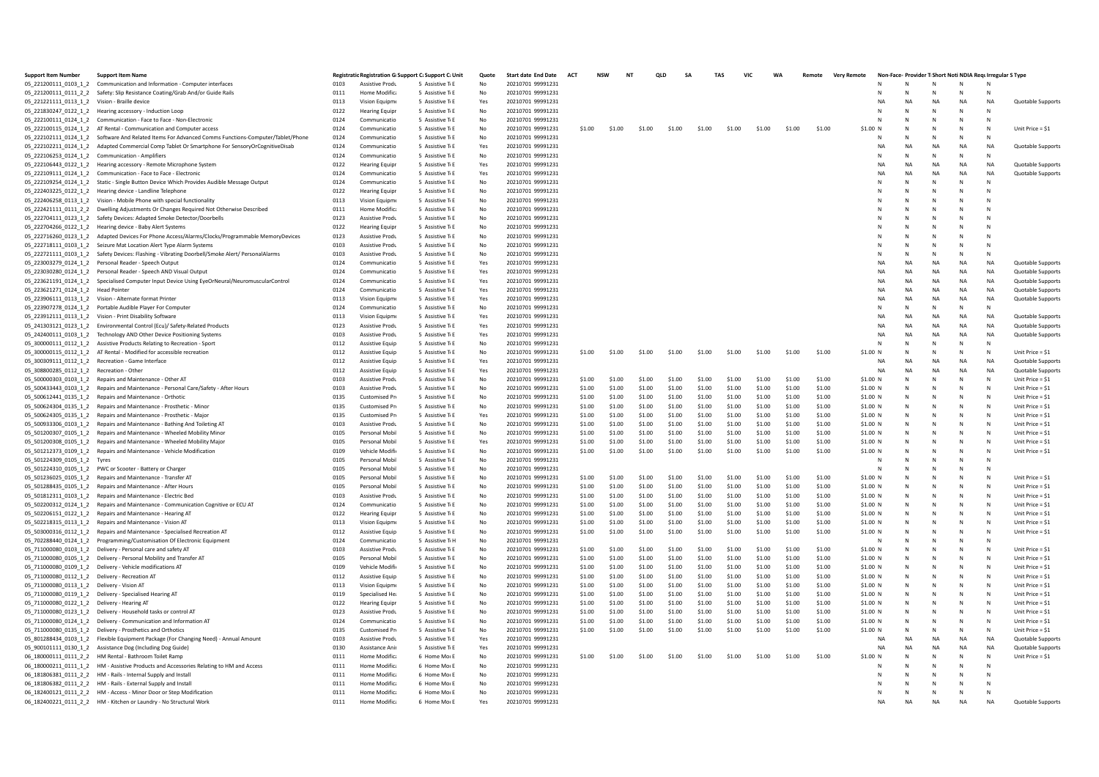| <b>Support Item</b><br>Number                  | <b>Support Item Nam</b>                                                                                                                           |              | Registratic Registration G Support C Support C Uni |                                      | Quote     | <b>Start date End Date</b><br><b>ACT</b> |                  | <b>NSW</b><br><b>NT</b> | QLD              |                  | <b>TAS</b>       |                  |                  |                  | Remote           | <b>Very Remote</b><br>Nor |           |           |           | Provider T Short Noti NDIA Requirregular S Type |                                      |
|------------------------------------------------|---------------------------------------------------------------------------------------------------------------------------------------------------|--------------|----------------------------------------------------|--------------------------------------|-----------|------------------------------------------|------------------|-------------------------|------------------|------------------|------------------|------------------|------------------|------------------|------------------|---------------------------|-----------|-----------|-----------|-------------------------------------------------|--------------------------------------|
|                                                | 05 221200111 0103 1 2 Communication and Information - Computer interfaces                                                                         | 0103         | <b>Assistive Produ</b>                             | 5 Assistive Ti E                     | No        | 20210701 99991231                        |                  |                         |                  |                  |                  |                  |                  |                  |                  |                           |           | N         | N         |                                                 |                                      |
|                                                | 05_221200111_0111_2_2 Safety: Slip Resistance Coating/Grab And/or Guide Rails                                                                     | 0111         | Home Modifica                                      | 5 Assistive Tr F                     | No        | 20210701 99991231                        |                  |                         |                  |                  |                  |                  |                  |                  |                  | N                         | N         | N         |           |                                                 |                                      |
| 05 221221111 0113 1 2 Vision - Braille device  |                                                                                                                                                   | 0113         | Vision Equipme                                     | 5 Assistive Ti E                     | Yes       | 20210701 99991231                        |                  |                         |                  |                  |                  |                  |                  |                  |                  | NA                        | <b>NA</b> | <b>NA</b> | <b>NA</b> | <b>NA</b>                                       | Quotable Support                     |
|                                                | 05_221830247_0122_1_2 Hearing accessory - Induction Loop                                                                                          | 0122         | <b>Hearing Equipr</b>                              | 5 Assistive Ti E                     | No        | 20210701 99991231                        |                  |                         |                  |                  |                  |                  |                  |                  |                  | N                         | N         |           |           |                                                 |                                      |
|                                                | 05_222100111_0124_1_2 Communication - Face to Face - Non-Electronic                                                                               | 0124         | Communicatio                                       | 5 Assistive Ti E                     | No        | 20210701 99991231                        |                  |                         |                  |                  |                  |                  |                  |                  |                  |                           |           |           |           |                                                 |                                      |
|                                                | 05 222100115 0124 1 2 AT Rental - Communication and Computer access                                                                               | 0124         | Communicatio                                       | 5 Assistive T <sub>I</sub> E         | No        | 20210701 99991231                        | \$1.00           | \$1.00                  | \$1.00           | \$1.00           | \$1.00           | \$1.00           | \$1.00           | \$1.00           | \$1.00           | $$1.00$ N                 |           |           | -N        |                                                 | Unit Price = \$1                     |
|                                                | 05 222102111 0124 1 2 Software And Related Items For Advanced Comms Functions-Computer/Tablet/Phone                                               | 0124         | Communicatio                                       | 5 Assistive Ti E                     | No        | 20210701 99991231                        |                  |                         |                  |                  |                  |                  |                  |                  |                  |                           |           |           | N         |                                                 |                                      |
|                                                | 05_222102211_0124_1_2 Adapted Commercial Comp Tablet Or Smartphone For SensoryOrCognitiveDisab                                                    | 0124         | Communicatio                                       | 5 Assistive Ti E                     | Yes       | 20210701 99991231                        |                  |                         |                  |                  |                  |                  |                  |                  |                  | NA                        | <b>NA</b> | <b>NA</b> | <b>NA</b> | <b>NA</b>                                       | Quotable Supports                    |
|                                                | 05 222106253 0124 1 2 Communication - Amplifiers                                                                                                  | 0124         | Con<br>nunicatio                                   | 5 Assistive Ti E                     | No        | 20210701 99991231                        |                  |                         |                  |                  |                  |                  |                  |                  |                  | N                         | N         |           | N         |                                                 |                                      |
|                                                | 05_222106443_0122_1_2 Hearing accessory - Remote Microphone System                                                                                | 0122         | <b>Hearing Equipr</b>                              | 5 Assistive Ti E                     | Yes       | 20210701 99991231                        |                  |                         |                  |                  |                  |                  |                  |                  |                  | NA                        | <b>NA</b> | <b>NA</b> | <b>NA</b> | <b>NA</b>                                       | Quotable Supports                    |
|                                                | 05 222109111 0124 1 2 Communication - Face to Face - Electronic                                                                                   | 0124         | Communicatio                                       | 5 Assistive T <sub>I</sub> E         | Yes       | 20210701 99991231                        |                  |                         |                  |                  |                  |                  |                  |                  |                  | NA                        | <b>NA</b> | <b>NA</b> | <b>NA</b> | <b>NA</b>                                       | Quotable Supports                    |
|                                                | 05_222109254_0124_1_2 Static - Single Button Device Which Provides Audible Message Output                                                         | 0124         | Communicatio                                       | 5 Assistive Ti E                     | <b>No</b> | 20210701 99991231                        |                  |                         |                  |                  |                  |                  |                  |                  |                  | N                         | N         | N         | N         | N                                               |                                      |
|                                                | 05_222403225_0122_1_2 Hearing device - Landline Telephone<br>05 222406258 0113 1 2 Vision - Mobile Phone with special functionality               | 0122<br>0113 | <b>Hearing Equipr</b><br>Vision Equipm             | 5 Assistive Ti E<br>5 Assistive Ti E | No<br>No  | 20210701 99991231<br>20210701 99991231   |                  |                         |                  |                  |                  |                  |                  |                  |                  |                           |           |           |           |                                                 |                                      |
|                                                | 05 222421111 0111 2 2 Dwelling Adjustments Or Changes Required Not Otherwise Described                                                            | 0111         | Home Modifica                                      | 5 Assistive TLE                      | No        | 20210701 99991231                        |                  |                         |                  |                  |                  |                  |                  |                  |                  |                           |           |           |           |                                                 |                                      |
|                                                | 05_222704111_0123_1_2 Safety Devices: Adapted Smoke Detector/Doorbells                                                                            | 0123         | <b>Assistive Produ</b>                             | 5 Assistive TLE                      | No        | 20210701 99991231                        |                  |                         |                  |                  |                  |                  |                  |                  |                  |                           |           |           |           |                                                 |                                      |
|                                                | 05 222704266 0122 1 2 Hearing device - Baby Alert Systems                                                                                         | 0122         | <b>Hearing Equipr</b>                              | 5 Assistive TLE                      | No        | 20210701 99991231                        |                  |                         |                  |                  |                  |                  |                  |                  |                  |                           |           |           |           |                                                 |                                      |
|                                                | 05_222716260_0123_1_2 Adapted Devices For Phone Access/Alarms/Clocks/Programmable MemoryDevices                                                   | 0123         | <b>Assistive Produ</b>                             | 5 Assistive Ti E                     | No        | 20210701 99991231                        |                  |                         |                  |                  |                  |                  |                  |                  |                  |                           |           |           |           |                                                 |                                      |
|                                                | 05_222718111_0103_1_2 Seizure Mat Location Alert Type Alarm Systems                                                                               | 0103         | <b>Assistive Produ</b>                             | 5 Assistive TLE                      | No        | 20210701 99991231                        |                  |                         |                  |                  |                  |                  |                  |                  |                  |                           |           |           |           |                                                 |                                      |
|                                                | 05_222721111_0103_1_2 Safety Devices: Flashing - Vibrating Doorbell/Smoke Alert/ PersonalAlarms                                                   | 0103         | <b>Assistive Produ</b>                             | 5 Assistive TLE                      | No        | 20210701 99991231                        |                  |                         |                  |                  |                  |                  |                  |                  |                  |                           |           |           |           |                                                 |                                      |
|                                                | 05 223003279 0124 1 2 Personal Reader - Speech Output                                                                                             | 0124         | Communicatio                                       | 5 Assistive TLE                      | Yes       | 20210701 99991231                        |                  |                         |                  |                  |                  |                  |                  |                  |                  | NA                        | <b>NA</b> | <b>NA</b> | <b>NA</b> | <b>NA</b>                                       | Quotable Support                     |
|                                                | 05_223030280_0124_1_2 Personal Reader - Speech AND Visual Output                                                                                  | 0124         | Communicatio                                       | 5 Assistive TLE                      | Yes       | 20210701 99991231                        |                  |                         |                  |                  |                  |                  |                  |                  |                  | NA                        | <b>NA</b> | <b>NA</b> | <b>NA</b> | <b>NA</b>                                       | Quotable Supports                    |
|                                                | 05_223621191_0124_1_2 Specialised Computer Input Device Using EyeOrNeural/NeuromuscularControl                                                    | 0124         | Communicatio                                       | 5 Assistive Ti E                     | Yes       | 20210701 99991231                        |                  |                         |                  |                  |                  |                  |                  |                  |                  | NA                        | <b>NA</b> | NA        | NA        | <b>NA</b>                                       | Quotable Support                     |
| 05_223621271_0124_1_2 Head Pointer             |                                                                                                                                                   | 0124         | Communicatio                                       | 5 Assistive TLE                      | Yes       | 20210701 99991231                        |                  |                         |                  |                  |                  |                  |                  |                  |                  | NA                        | <b>NA</b> | <b>NA</b> | <b>NA</b> | <b>NA</b>                                       | Quotable Supports                    |
|                                                | 05 223906111 0113 1 2 Vision - Alternate format Printer                                                                                           | 0113         | Vision Equipm                                      | 5 Assistive T <sub>I</sub> E         | Yes       | 20210701 99991231                        |                  |                         |                  |                  |                  |                  |                  |                  |                  | NA                        | <b>NA</b> | <b>NA</b> | <b>NA</b> | <b>NA</b>                                       | Quotable Supports                    |
|                                                | 05 223907278 0124 1 2 Portable Audible Player For Computer                                                                                        | 0124         | Communicatio                                       | 5 Assistive TLE                      | No        | 20210701 99991231                        |                  |                         |                  |                  |                  |                  |                  |                  |                  | N                         | N         |           | N         |                                                 |                                      |
|                                                | 05_223912111_0113_1_2 Vision - Print Disability Software                                                                                          | 0113         | Vision Equipme                                     | 5 Assistive Ti E                     | Yes       | 20210701 99991231                        |                  |                         |                  |                  |                  |                  |                  |                  |                  | NA                        | <b>NA</b> | NA        | <b>NA</b> | <b>NA</b>                                       | Quotable Support                     |
|                                                | 05_241303121_0123_1_2 Environmental Control (Ecu)/ Safety-Related Products                                                                        | 0123         | <b>Assistive Produ</b>                             | 5 Assistive Ti E                     | Yes       | 20210701 99991231                        |                  |                         |                  |                  |                  |                  |                  |                  |                  | NA                        | <b>NA</b> | <b>NA</b> | NA        | <b>NA</b>                                       | Quotable Support:                    |
|                                                | 05_242400111_0103_1_2 Technology AND Other Device Positioning Systems                                                                             | 0103         | <b>Assistive Produ</b>                             | 5 Assistive Ti E                     | Yes       | 20210701 99991231                        |                  |                         |                  |                  |                  |                  |                  |                  |                  | NA                        | <b>NA</b> | <b>NA</b> | <b>NA</b> | <b>NA</b>                                       | Quotable Support                     |
|                                                | 05_300000111_0112_1_2 Assistive Products Relating to Recreation - Sport                                                                           | 0112         | <b>Assistive Equip</b>                             | 5 Assistive TLE                      | No        | 20210701 99991231                        |                  |                         |                  |                  |                  |                  |                  |                  |                  | N                         | N         |           |           |                                                 |                                      |
|                                                | 05_300000115_0112_1_2 AT Rental - Modified for accessible recreation                                                                              | 0112         | Assistive Equip                                    | 5 Assistive T <sub>I</sub> E         | No        | 20210701 99991231                        | \$1.00           | \$1.00                  | \$1.00           | \$1.00           | \$1.00           | \$1.00           | \$1.00           | \$1.00           | \$1.00           | \$1.00 N                  |           |           |           | -N                                              | Unit Price = $$1$                    |
|                                                | 05_300309111_0112_1_2 Recreation - Game Interface                                                                                                 | 0112         | <b>Assistive Equip</b>                             | 5 Assistive Ti E                     | Yes       | 20210701 99991231                        |                  |                         |                  |                  |                  |                  |                  |                  |                  | NA                        | <b>NA</b> | NA        | <b>NA</b> | <b>NA</b>                                       | Quotable Support                     |
| 05_308800285_0112_1_2 Recreation - Other       |                                                                                                                                                   | 0112         | <b>Assistive Equip</b>                             | 5 Assistive Ti E                     | Yes       | 20210701 99991231                        |                  |                         |                  |                  |                  |                  |                  |                  |                  | NA                        | <b>NA</b> | <b>NA</b> | <b>NA</b> | <b>NA</b>                                       | Quotable Support                     |
|                                                | 05_500000303_0103_1_2 Repairs and Maintenance - Other AT                                                                                          | 0103         | Assistive Produ                                    | 5 Assistive TLE                      | No        | 20210701 99991231                        | \$1.00           | \$1.00                  | \$1.00           | \$1.00           | \$1.00           | \$1.00           | \$1.00           | \$1.00           | \$1.00           | \$1.00 N                  |           |           |           |                                                 | Unit Price = \$1                     |
|                                                | 05 500433443 0103 1 2 Repairs and Maintenance - Personal Care/Safety - After Hours                                                                | 0103         | <b>Assistive Produ</b>                             | 5 Assistive TLE                      | No        | 20210701 99991231                        | \$1.00           | \$1.00                  | \$1.00           | \$1.00           | \$1.00           | \$1.00           | \$1.00           | \$1.00           | \$1.00           | \$1.00 N                  |           |           |           |                                                 | Unit Price = \$1                     |
|                                                | 05 500612441 0135 1 2 Repairs and Maintenance - Orthotic                                                                                          | 0135         | <b>Customised Pr</b>                               | 5 Assistive Ti E                     | No        | 20210701 99991231                        | \$1.00           | \$1.00                  | \$1.00           | \$1.00           | \$1.00           | \$1.00           | \$1.00           | \$1.00           | \$1.00           | \$1.00 N                  |           |           |           | N                                               | Unit Price = \$1                     |
|                                                | 05_500624304_0135_1_2 Repairs and Maintenance - Prosthetic - Minor                                                                                | 0135         | <b>Customised Pr</b>                               | 5 Assistive Ti E                     | No        | 20210701 99991231                        | \$1.00           | \$1.00                  | \$1.00           | \$1.00           | \$1.00           | \$1.00           | \$1.00           | \$1.00           | \$1.00           | \$1.00 N                  |           |           |           |                                                 | Unit Price = \$1                     |
|                                                | 05 500624305 0135 1 2 Repairs and Maintenance - Prosthetic - Maio                                                                                 | 0135         | <b>Customised Pr</b>                               | 5 Assistive TLE                      | Yes       | 20210701 99991231                        | \$1.00           | \$1.00                  | \$1.00           | \$1.00           | \$1.00           | \$1.00           | \$1.00           | \$1.00           | \$1.00           | $$1.00$ N                 |           |           |           |                                                 | Unit Price = \$1                     |
|                                                | 05_500933306_0103_1_2 Repairs and Maintenance - Bathing And Toileting AT                                                                          | 0103         | <b>Assistive Produ</b>                             | 5 Assistive TLE                      | No        | 20210701 99991231                        | \$1.00           | \$1.00                  | \$1.00           | \$1.00           | \$1.00           | \$1.00           | \$1.00           | \$1.00           | \$1.00           | \$1.00 N                  |           |           |           |                                                 | Unit Price = \$1                     |
|                                                | 05 501200307 0105 1 2 Repairs and Maintenance - Wheeled Mobility Mino                                                                             | 0105         | Personal Mobi                                      | 5 Assistive Ti E                     | No        | 20210701 99991231                        | \$1.00           | \$1.00                  | \$1.00           | \$1.00           | \$1.00           | \$1.00           | \$1.00           | \$1.00           | \$1.00           | \$1.00 N                  |           |           |           | -N                                              | Unit Price = \$1                     |
|                                                | 05_501200308_0105_1_2 Repairs and Maintenance - Wheeled Mobility Major<br>05_501212373_0109_1_2 Repairs and Maintenance - Vehicle Modification    | 0105<br>0109 | Personal Mobil<br>Vehicle Modifi                   | 5 Assistive Ti E<br>5 Assistive Ti E | Yes<br>No | 20210701 99991231<br>20210701 99991231   | \$1.00<br>\$1.00 | \$1.00<br>\$1.00        | \$1.00<br>\$1.00 | \$1.00<br>\$1.00 | \$1.00<br>\$1.00 | \$1.00<br>\$1.00 | \$1.00<br>\$1.00 | \$1.00<br>\$1.00 | \$1.00<br>\$1.00 | $$1.00$ N<br>\$1.00 N     |           |           |           | N                                               | Unit Price = \$1<br>Unit Price = \$1 |
| 05_501224309_0105_1_2 Tyres                    |                                                                                                                                                   | 0105         | Personal Mobi                                      |                                      | No        | 20210701 99991231                        |                  |                         |                  |                  |                  |                  |                  |                  |                  | N                         |           |           |           |                                                 |                                      |
|                                                | 05_501224310_0105_1_2 PWC or Scooter - Battery or Charger                                                                                         | 0105         | Personal Mobi                                      | 5 Assistive Ti E<br>5 Assistive TLE  | No        | 20210701 99991231                        |                  |                         |                  |                  |                  |                  |                  |                  |                  | N                         |           |           | N         |                                                 |                                      |
|                                                | 05_501236025_0105_1_2 Repairs and Maintenance - Transfer AT                                                                                       | 0105         | Personal Mobi                                      | 5 Assistive Ti E                     | No        | 20210701 99991231                        | \$1.00           | \$1.00                  | \$1.00           | \$1.00           | \$1.00           | \$1.00           | \$1.00           | \$1.00           | \$1.00           | $$1.00$ N                 |           |           | N         |                                                 | Unit Price = \$1                     |
| 05_501288435_0105_1_2                          | Repairs and Maintenance - After Hours                                                                                                             | 0105         | Personal Mobil                                     | 5 Assistive Ti E                     | No        | 20210701 99991231                        | \$1.00           | \$1.00                  | \$1.00           | \$1.00           | \$1.00           | \$1.00           | \$1.00           | \$1.00           | \$1.00           | \$1.00 N                  | N         |           | N         | N                                               | Unit Price = \$1                     |
| 05 501812311 0103 1 2                          | Repairs and Maintenance - Electric Bec                                                                                                            | 0103         | <b>Assistive Produ</b>                             | 5 Assistive Ti E                     | No        | 20210701 99991231                        | \$1.00           | \$1.00                  | \$1.00           | \$1.00           | \$1.00           | \$1.00           | \$1.00           | \$1.00           | \$1.00           | \$1.00 N                  | N         |           |           | N                                               | Unit Price = \$1                     |
|                                                | 05_502200312_0124_1_2 Repairs and Maintenance - Communication Cognitive or ECU AT                                                                 | 0124         | Communicatio                                       | 5 Assistive TLE                      | No        | 20210701 99991231                        | \$1.00           | \$1.00                  | \$1.00           | \$1.00           | \$1.00           | \$1.00           | \$1.00           | \$1.00           | \$1.00           | \$1.00 N                  |           |           |           |                                                 | Unit Price = \$1                     |
|                                                | 05_502206151_0122_1_2 Repairs and Maintenance - Hearing AT                                                                                        | 0122         | <b>Hearing Equipr</b>                              | 5 Assistive T <sub>I</sub> E         | No        | 20210701 99991231                        | \$1.00           | \$1.00                  | \$1.00           | \$1.00           | \$1.00           | \$1.00           | \$1.00           | \$1.00           | \$1.00           | \$1.00 N                  |           |           |           | N                                               | Unit Price = \$1                     |
|                                                | 05_502218315_0113_1_2 Repairs and Maintenance - Vision AT                                                                                         | 0113         | Vision Equipme                                     | 5 Assistive Ti E                     | No        | 20210701 99991231                        | \$1.00           | \$1.00                  | \$1.00           | \$1.00           | \$1.00           | \$1.00           | \$1.00           | \$1.00           | \$1.00           | $$1.00$ N                 | N         |           |           | N                                               | Unit Price = \$1                     |
|                                                | 05_503000316_0112_1_2 Repairs and Maintenance - Specialised Recreation AT                                                                         | 0112         | Assistive Equip                                    | 5 Assistive Ti E                     | No        | 20210701 99991231                        | \$1.00           | \$1.00                  | \$1.00           | \$1.00           | \$1.00           | \$1.00           | \$1.00           | \$1.00           | \$1.00           | \$1.00 N                  | N         |           |           | N                                               | Unit Price = \$1                     |
|                                                | 05_702288440_0124_1_2 Programming/Customisation Of Electronic Equipmen                                                                            | 0124         | Communicatio                                       | 5 Assistive Ti H                     | No        | 20210701 99991231                        |                  |                         |                  |                  |                  |                  |                  |                  |                  | N                         |           |           |           |                                                 |                                      |
|                                                | 05 711000080 0103 1 2 Delivery - Personal care and safety AT                                                                                      | 0103         | <b>Assistive Produ</b>                             | 5 Assistive TLE                      | No        | 20210701 99991231                        | \$1.00           | \$1.00                  | \$1.00           | \$1.00           | \$1.00           | \$1.00           | \$1.00           | \$1.00           | \$1.00           | \$1.00 N                  |           |           |           |                                                 | Unit Price = \$1                     |
|                                                | 05_711000080_0105_1_2 Delivery - Personal Mobility and Transfer AT                                                                                | 0105         | Personal Mobi                                      | 5 Assistive TLE                      | No        | 20210701 99991231                        | \$1.00           | \$1.00                  | \$1.00           | \$1.00           | \$1.00           | \$1.00           | \$1.00           | \$1.00           | \$1.00           | \$1.00 N                  |           |           |           | $\mathbf{N}$                                    | Unit Price = \$1                     |
|                                                | 05 711000080 0109 1 2 Delivery - Vehicle modifications AT                                                                                         | 0109         | Vehicle Modifi                                     | 5 Assistive TLE                      | No        | 20210701 99991231                        | \$1.00           | \$1.00                  | \$1.00           | \$1.00           | \$1.00           | \$1.00           | \$1.00           | \$1.00           | \$1.00           | \$1.00 N                  |           |           |           | N                                               | Unit Price = \$1                     |
| 05_711000080_0112_1_2 Delivery - Recreation AT |                                                                                                                                                   | 0112         | Assistive Equip                                    | 5 Assistive TLE                      | No        | 20210701 99991231                        | \$1.00           | \$1.00                  | \$1.00           | \$1.00           | \$1.00           | \$1.00           | \$1.00           | \$1.00           | \$1.00           | $$1.00$ N                 |           |           |           | $\mathbf{N}$                                    | Unit Price = \$1                     |
| 05_711000080_0113_1_2 Delivery - Vision AT     |                                                                                                                                                   | 0113         | <b>Vision Equipme</b>                              | 5 Assistive TLE                      | No        | 20210701 99991231                        | \$1.00           | \$1.00                  | \$1.00           | \$1.00           | \$1.00           | \$1.00           | \$1.00           | \$1.00           | \$1.00           | \$1.00 N                  |           |           |           |                                                 | Unit Price = \$1                     |
|                                                | 05 711000080 0119 1 2 Delivery - Specialised Hearing AT                                                                                           | 0119         | Specialised Hea                                    | 5 Assistive TLE                      | No        | 20210701 99991231                        | \$1.00           | \$1.00                  | \$1.00           | \$1.00           | \$1.00           | \$1.00           | \$1.00           | \$1.00           | \$1.00           | \$1.00 N                  |           |           |           |                                                 | Unit Price = \$1                     |
| 05 711000080 0122 1 2 Delivery - Hearing AT    |                                                                                                                                                   | 0122         | <b>Hearing Equipr</b>                              | 5 Assistive TLE                      | No        | 20210701 99991231                        | \$1.00           | \$1.00                  | \$1.00           | \$1.00           | \$1.00           | \$1.00           | \$1.00           | \$1.00           | \$1.00           | \$1.00 N                  |           |           |           | N                                               | Unit Price = \$1                     |
|                                                | 05_711000080_0123_1_2 Delivery - Household tasks or control AT                                                                                    | 0123         | Assistive Produ                                    | 5 Assistive TLE                      | No        | 20210701 99991231                        | \$1.00           | \$1.00                  | \$1.00           | \$1.00           | \$1.00           | \$1.00           | \$1.00           | \$1.00           | \$1.00           | $$1.00$ N                 |           |           |           | $\mathbf{N}$                                    | Unit Price = \$1                     |
|                                                | 05_711000080_0124_1_2 Delivery - Communication and Information AT                                                                                 | 0124         | Communicatio                                       | 5 Assistive Ti E                     | No        | 20210701 99991231                        | \$1.00           | \$1.00                  | \$1.00           | \$1.00           | \$1.00           | \$1.00           | \$1.00           | \$1.00           | \$1.00           | \$1.00 N                  |           |           |           |                                                 | Unit Price = \$1                     |
|                                                | 05_711000080_0135_1_2 Delivery - Prosthetics and Orthotics                                                                                        | 0135         | <b>Customised Pr</b>                               | 5 Assistive TLE                      | No        | 20210701 99991231                        | \$1.00           | \$1.00                  | \$1.00           | \$1.00           | \$1.00           | \$1.00           | \$1.00           | \$1.00           | \$1.00           | \$1.00 N                  |           |           |           |                                                 | Unit Price = \$1                     |
|                                                | 05_801288434_0103_1_2 Flexible Equipment Package (For Changing Need) - Annual Amount                                                              | 0103         | <b>Assistive Produ</b>                             | 5 Assistive Ti E                     | Yes       | 20210701 99991231                        |                  |                         |                  |                  |                  |                  |                  |                  |                  | NA                        | <b>NA</b> | <b>NA</b> | <b>NA</b> | <b>NA</b>                                       | Quotable Support                     |
|                                                | 05_900101111_0130_1_2 Assistance Dog (Including Dog Guide)                                                                                        | 0130         | Assistance Ani                                     | 5 Assistive TLE                      | Yes       | 20210701 99991231                        |                  |                         |                  |                  |                  |                  |                  |                  |                  | NA                        | <b>NA</b> | <b>NA</b> | NA        | <b>NA</b>                                       | Quotable Support                     |
|                                                | 06_180000111_0111_2_2 HM Rental - Bathroom Toilet Ramp<br>06_180000211_0111_1_2 HM - Assistive Products and Accessories Relating to HM and Access | 0111<br>0111 | Home Modifica<br>Home Modifica                     | 6 Home Mor E<br>6 Home Mor E         | No<br>No  | 20210701 99991231<br>20210701 99991231   | \$1.00           | \$1.00                  | \$1.00           | \$1.00           | \$1.00           | \$1.00           | \$1.00           | \$1.00           | \$1.00           | \$1.00 N                  | N         | Ν         | Ν<br>N    |                                                 | Unit Price = \$1                     |
|                                                | 06_181806381_0111_2_2 HM - Rails - Internal Supply and Install                                                                                    | 0111         | Home Modifica                                      | 6 Home Mor E                         | No        | 20210701 99991231                        |                  |                         |                  |                  |                  |                  |                  |                  |                  |                           |           |           |           |                                                 |                                      |
|                                                | 06_181806382_0111_2_2 HM - Rails - External Supply and Install                                                                                    | 0111         | Home Modifica                                      | 6 Home More                          | No        | 20210701 99991231                        |                  |                         |                  |                  |                  |                  |                  |                  |                  |                           |           |           |           |                                                 |                                      |
|                                                | 06 182400121 0111 2 2 HM - Access - Minor Door or Step Modification                                                                               | 0111         | Home Modifica                                      | 6 Home Mor F                         | No        | 20210701 99991231                        |                  |                         |                  |                  |                  |                  |                  |                  |                  | N                         |           |           |           |                                                 |                                      |
|                                                | 06_182400221_0111_2_2 HM - Kitchen or Laundry - No Structural Work                                                                                | 0111         | Home Modifica                                      | 6 Home More                          | Yes       | 20210701 99991231                        |                  |                         |                  |                  |                  |                  |                  |                  |                  | NA                        | <b>NA</b> | <b>NA</b> | <b>NA</b> | <b>NA</b>                                       | Quotable Supports                    |
|                                                |                                                                                                                                                   |              |                                                    |                                      |           |                                          |                  |                         |                  |                  |                  |                  |                  |                  |                  |                           |           |           |           |                                                 |                                      |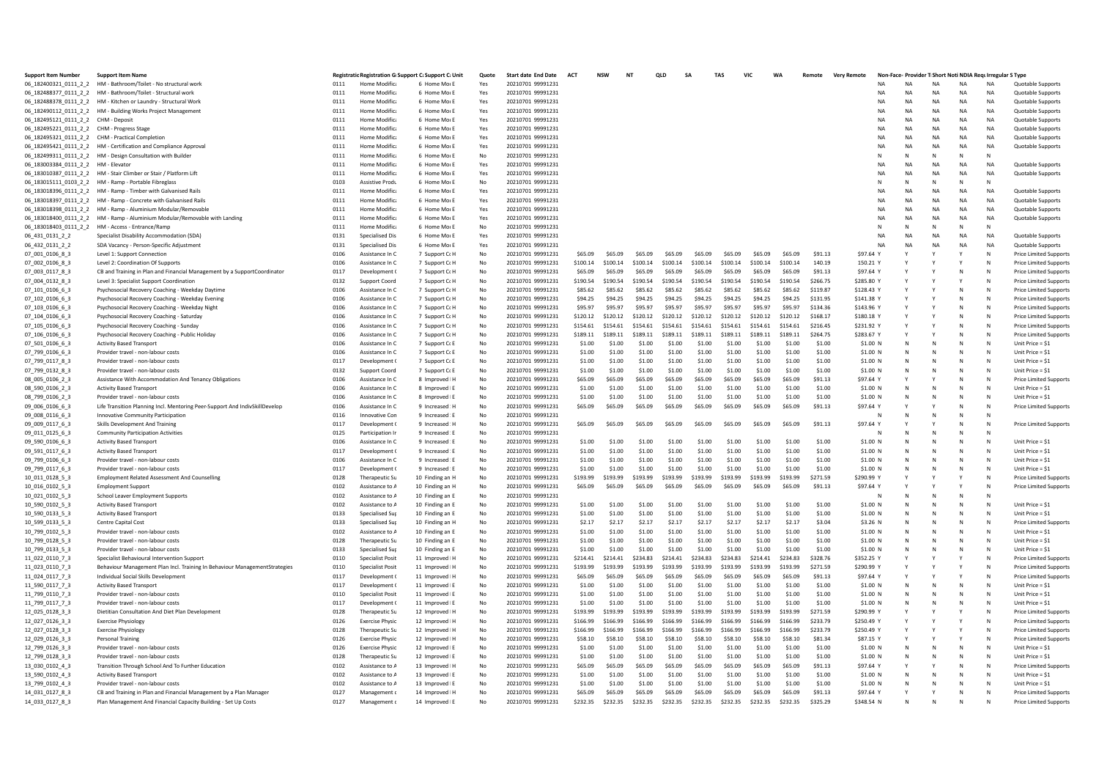| <b>Support Item Number</b>                 | Support Item Name                                                                                                               |              | Registratic Registration G Support C: Support C: Unit |                                    | Quote     | <b>Start date End Date</b>             | ACT                  | <b>NSW</b>           | N <sub>1</sub>       | <b>OLD</b>           | SΑ                   | <b>TAS</b>           | <b>VIC</b>           | <b>WA</b>            | Remote               | <b>Very Remote</b>       |              |                        |                 |                 | Non-Face- Provider T Short Noti NDIA Regulares S Type |                                                               |
|--------------------------------------------|---------------------------------------------------------------------------------------------------------------------------------|--------------|-------------------------------------------------------|------------------------------------|-----------|----------------------------------------|----------------------|----------------------|----------------------|----------------------|----------------------|----------------------|----------------------|----------------------|----------------------|--------------------------|--------------|------------------------|-----------------|-----------------|-------------------------------------------------------|---------------------------------------------------------------|
|                                            | 06_182400321_0111_2_2 HM - Bathroom/Toilet - No structural work                                                                 | 0111         | <b>Home Modific</b>                                   | 6 Home More                        | Yes       | 20210701 99991231                      |                      |                      |                      |                      |                      |                      |                      |                      |                      |                          | NA           | <b>NA</b>              | <b>NA</b>       | <b>NA</b>       | <b>NA</b>                                             | Quotable Support                                              |
|                                            | 06 182488377 0111 2 2 HM - Bathroom/Toilet - Structural work                                                                    | 0111         | Home Modifica                                         | 6 Home More                        | Yes       | 20210701 99991231                      |                      |                      |                      |                      |                      |                      |                      |                      |                      |                          | NA           | <b>NA</b>              | NA              | NA              | NA                                                    | Quotable Supports                                             |
|                                            | 06_182488378_0111_2_2 HM - Kitchen or Laundry - Structural Work                                                                 | 0111         | Home Modifica                                         | 6 Home More                        | Yes       | 20210701 99991231                      |                      |                      |                      |                      |                      |                      |                      |                      |                      |                          | NA           | <b>NA</b>              | <b>NA</b>       | <b>NA</b>       | <b>NA</b>                                             | Quotable Supports                                             |
|                                            | 06_182490112_0111_2_2 HM - Building Works Project Management                                                                    | 0111         | Home Modifica                                         | 6 Home More                        | Yes       | 20210701 99991231                      |                      |                      |                      |                      |                      |                      |                      |                      |                      |                          | NA           | <b>NA</b>              | <b>NA</b>       | <b>NA</b>       | <b>NA</b>                                             | Quotable Supports                                             |
| 06 182495121 0111 2 2 CHM - Deposit        |                                                                                                                                 | 0111         | Home Modifica                                         | 6 Home More                        | Yes       | 20210701 99991231                      |                      |                      |                      |                      |                      |                      |                      |                      |                      |                          | NA           | <b>NA</b>              | <b>NA</b>       | <b>NA</b>       | <b>NA</b>                                             | Quotable Supports                                             |
| 06_182495221_0111_2_2 CHM - Progress Stage |                                                                                                                                 | 0111         | Home Modifica                                         | 6 Home Mor E                       | Yes       | 20210701 99991231                      |                      |                      |                      |                      |                      |                      |                      |                      |                      |                          | NA           | <b>NA</b>              | <b>NA</b>       | <b>NA</b>       | <b>NA</b>                                             | Quotable Supports                                             |
|                                            | 06_182495321_0111_2_2 CHM - Practical Completion                                                                                | 0111         | Home Modifica                                         | 6 Home Mor E                       | Yes       | 20210701 99991231                      |                      |                      |                      |                      |                      |                      |                      |                      |                      |                          | NA<br>NA     | <b>NA</b><br><b>NA</b> | NA<br><b>NA</b> | NA<br><b>NA</b> | <b>NA</b><br><b>NA</b>                                | Quotable Supports                                             |
|                                            | 06_182495421_0111_2_2 HM - Certification and Compliance Approval<br>06 182499311 0111 2 2 HM - Design Consultation with Builder | 0111<br>0111 | Home Modifica<br>Home Modific:                        | 6 Home More<br>6 Home Mor F        | Yes<br>No | 20210701 99991231<br>20210701 99991231 |                      |                      |                      |                      |                      |                      |                      |                      |                      |                          | $\mathsf{N}$ | N                      | N               |                 | N                                                     | Quotable Supports                                             |
| 06_183003384_0111_2_2 HM - Elevator        |                                                                                                                                 | 0111         | Home Modifica                                         | 6 Home More                        | Yes       | 20210701 99991231                      |                      |                      |                      |                      |                      |                      |                      |                      |                      |                          | NA           | <b>NA</b>              | <b>NA</b>       | <b>NA</b>       | <b>NA</b>                                             | Quotable Supports                                             |
|                                            | 06 183010387 0111 2 2 HM - Stair Climber or Stair / Platform Lift                                                               | 0111         | Home Modifica                                         | 6 Home More                        | Yes       | 20210701 99991231                      |                      |                      |                      |                      |                      |                      |                      |                      |                      |                          | NA           | <b>NA</b>              | NA              | <b>NA</b>       | NA                                                    | Quotable Supports                                             |
|                                            | 06_183015111_0103_2_2 HM - Ramp - Portable Fibreglass                                                                           | 0103         | <b>Assistive Produ</b>                                | 6 Home More                        | No        | 20210701 99991231                      |                      |                      |                      |                      |                      |                      |                      |                      |                      |                          | N            | N                      |                 |                 | N                                                     |                                                               |
|                                            | 06 183018396 0111 2 2 HM - Ramp - Timber with Galvanised Rails                                                                  | 0111         | Home Modifica                                         | 6 Home More                        | Yes       | 20210701 99991231                      |                      |                      |                      |                      |                      |                      |                      |                      |                      |                          | NA           | <b>NA</b>              | <b>NA</b>       | <b>NA</b>       | <b>NA</b>                                             | Quotable Supports                                             |
|                                            | 06 183018397 0111 2 2 HM - Ramp - Concrete with Galvanised Rails                                                                | 0111         | Home Modifica                                         | 6 Home More                        | Yes       | 20210701 99991231                      |                      |                      |                      |                      |                      |                      |                      |                      |                      |                          | NA           | <b>NA</b>              | <b>NA</b>       | <b>NA</b>       | <b>NA</b>                                             | Quotable Supports                                             |
|                                            | 06_183018398_0111_2_2 HM - Ramp - Aluminium Modular/Removable                                                                   | 0111         | Home Modifica                                         | 6 Home More                        | Yes       | 20210701 99991231                      |                      |                      |                      |                      |                      |                      |                      |                      |                      |                          | NA           | <b>NA</b>              | <b>NA</b>       | <b>NA</b>       | <b>NA</b>                                             | Quotable Supports                                             |
|                                            | 06 183018400 0111 2 2 HM - Ramp - Aluminium Modular/Removable with Landing                                                      | 0111         | Home Modifica                                         | 6 Home More                        | Yes       | 20210701 99991231                      |                      |                      |                      |                      |                      |                      |                      |                      |                      |                          | NA           | <b>NA</b>              | NA              | <b>NA</b>       | NA                                                    | Quotable Supports                                             |
|                                            | 06_183018403_0111_2_2 HM - Access - Entrance/Ramp                                                                               | 0111         | Home Modifica                                         | 6 Home Mor E                       | No        | 20210701 99991231                      |                      |                      |                      |                      |                      |                      |                      |                      |                      |                          | N            | N                      |                 |                 | N                                                     |                                                               |
| 06_431_0131_2_2                            | Specialist Disability Accommodation (SDA)                                                                                       | 0131         | <b>Specialised Dis</b>                                | 6 Home More                        | Yes       | 20210701 99991231                      |                      |                      |                      |                      |                      |                      |                      |                      |                      |                          | NA           | <b>NA</b>              | <b>NA</b>       | <b>NA</b>       | <b>NA</b>                                             | Quotable Supports                                             |
| 06_432_0131_2_2                            | SDA Vacancy - Person-Specific Adjustment                                                                                        | 0131         | <b>Specialised Dis</b>                                | 6 Home Mor E                       | Yes       | 20210701 99991231                      |                      |                      |                      |                      |                      |                      |                      |                      |                      |                          | NA           | <b>NA</b>              | <b>NA</b>       | <b>NA</b>       | NA                                                    | Quotable Supports                                             |
| 07_001_0106_8_3                            | Level 1: Support Connection                                                                                                     | 0106         | Assistance In C                                       | 7 Support Cr H                     | No        | 20210701 99991231                      | \$65.09              | \$65.09              | \$65.09              | \$65.09              | \$65.09              | \$65.09              | \$65.09              | \$65.09              | \$91.13              | \$97.64 Y                |              |                        |                 |                 | N                                                     | <b>Price Limited Suppor</b>                                   |
| 07_002_0106_8_3                            | Level 2: Coordination Of Supports                                                                                               | 0106         | Assistance In C                                       | 7 Support Cr H                     | No        | 20210701 99991231                      | \$100.14             | \$100.14             | \$100.14             | \$100.14             | \$100.14             | \$100.14             | \$100.14             | \$100.14             | 140.19               | 150.21 Y                 |              |                        |                 |                 | N                                                     | <b>Price Limited Support</b>                                  |
| 07_003_0117_8_3                            | CB and Training in Plan and Financial Management by a SupportCoordinator                                                        | 0117         | Development (                                         | 7 Support Cr H                     | <b>No</b> | 20210701 99991231                      | \$65.09              | \$65.09              | \$65.09              | \$65.09              | \$65.09              | \$65.09              | \$65.09              | \$65.09              | \$91.13              | \$97.64 Y                |              |                        |                 |                 | N                                                     | <b>Price Limited Support</b>                                  |
| 07_004_0132_8_3                            | Level 3: Specialist Support Coordination                                                                                        | 0132         | Support Coord                                         | 7 Support Cr H                     | No        | 20210701 99991231                      | \$190.54             | \$190.54             | \$190.54             | \$190.54             | \$190.54             | \$190.54             | \$190.54             | \$190.54             | \$266.75             | \$285.80 Y               |              |                        |                 |                 | N                                                     | <b>Price Limited Support</b>                                  |
| 07_101_0106_6_3                            | Psychosocial Recovery Coaching - Weekday Daytime                                                                                | 0106         | Assistance In C                                       | 7 Support Cr H                     | No        | 20210701 99991231                      | \$85.62              | \$85.62              | \$85.62              | \$85.62              | \$85.62              | \$85.62              | \$85.62              | \$85.62              | \$119.87             | S128.43 Y                |              |                        |                 | N               | N                                                     | <b>Price Limited Support</b>                                  |
| 07_102_0106_6_3                            | Psychosocial Recovery Coaching - Weekday Evening                                                                                | 0106         | Assistance In C                                       | 7 Support Cr H                     | No        | 20210701 99991231                      | \$94.25              | \$94.25              | \$94.25              | \$94.25              | \$94.25              | \$94.25              | \$94.25              | \$94.25              | \$131.95             | S141.38 \                |              |                        |                 |                 | N                                                     | <b>Price Limited Support</b>                                  |
| 07_103_0106_6_3<br>07_104_0106_6_3         | Psychosocial Recovery Coaching - Weekday Night                                                                                  | 0106<br>0106 | Assistance In C<br>Assistance In C                    | 7 Support CoH<br>7 Support Cr H    | No<br>No  | 20210701 99991231<br>20210701 99991231 | \$95.97<br>\$120.12  | \$95.97<br>\$120.12  | \$95.97<br>\$120.12  | \$95.97<br>\$120.12  | \$95.97<br>\$120.12  | \$95.97<br>\$120.12  | \$95.97<br>\$120.12  | \$95.97<br>\$120.12  | \$134.36<br>\$168.17 | \$143.96<br>\$180.18 \   |              |                        |                 |                 | N<br>N                                                | <b>Price Limited Support</b><br><b>Price Limited Supports</b> |
| 07_105_0106_6_3                            | Psychosocial Recovery Coaching - Saturday                                                                                       | 0106         | Assistance In C                                       | 7 Support Cr H                     | No        | 20210701 99991231                      | \$154.61             | \$154.61             | \$154.61             | \$154.61             | \$154.61             | \$154.61             | \$154.61             | \$154.61             | \$216.45             | \$231.92 Y               |              |                        |                 |                 | N                                                     | <b>Price Limited Supports</b>                                 |
| 07_106_0106_6_3                            | Psychosocial Recovery Coaching - Sunday<br>Psychosocial Recovery Coaching - Public Holiday                                      | 0106         | Assistance In C                                       | 7 Support Cr H                     | No        | 20210701 99991231                      | \$189.11             | \$189.11             | \$189.11             | \$189.11             | \$189.11             | \$189.11             | \$189.11             | \$189.11             | \$264.75             | \$283.67 Y               |              |                        |                 |                 | $\mathbb{N}$                                          | Price Limited Supports                                        |
| 07_501_0106_6_3                            | <b>Activity Based Transport</b>                                                                                                 | 0106         | Assistance In C                                       | 7 Support Cr E                     | <b>No</b> | 20210701 99991231                      | \$1.00               | \$1.00               | \$1.00               | \$1.00               | \$1.00               | \$1.00               | \$1.00               | \$1.00               | \$1.00               | \$1.00 <sub>h</sub>      |              |                        |                 |                 | N                                                     | Unit Price = \$1                                              |
| 07_799_0106_6_3                            | Provider travel - non-labour costs                                                                                              | 0106         | Assistance In C                                       | 7 Support Cr E                     | No        | 20210701 99991231                      | \$1.00               | \$1.00               | \$1.00               | \$1.00               | \$1.00               | \$1.00               | \$1.00               | \$1.00               | \$1.00               | \$1.00 N                 |              |                        |                 |                 | N                                                     | Unit Price = \$1                                              |
| 07 799 0117 8 3                            | Provider travel - non-labour costs                                                                                              | 0117         | Development (                                         | 7 Support Cr E                     | No        | 20210701 99991231                      | \$1.00               | \$1.00               | \$1.00               | \$1.00               | \$1.00               | \$1.00               | \$1.00               | \$1.00               | \$1.00               | \$1.00 N                 |              | N                      |                 | -N              | N                                                     | Unit Price = \$1                                              |
| 07_799_0132_8_3                            | Provider travel - non-labour costs                                                                                              | 0132         | Support Coord                                         | 7 Support Cr E                     | No        | 20210701 99991231                      | \$1.00               | \$1.00               | \$1.00               | \$1.00               | \$1.00               | \$1.00               | \$1.00               | \$1.00               | \$1.00               | \$1.00 N                 |              | N                      |                 |                 | N                                                     | Unit Price = \$1                                              |
| 08_005_0106_2_3                            | Assistance With Accommodation And Tenancy Obligations                                                                           | 0106         | Assistance In C                                       | 8 Improved I H                     | No        | 20210701 99991231                      | \$65.09              | \$65.09              | \$65.09              | \$65.09              | \$65.09              | \$65.09              | \$65.09              | \$65.09              | \$91.13              | \$97.64 Y                |              |                        |                 |                 | N                                                     | <b>Price Limited Supports</b>                                 |
| 08_590_0106_2_3                            | <b>Activity Based Transport</b>                                                                                                 | 0106         | Assistance In C                                       | 8 Improved I E                     | No        | 20210701 99991231                      | \$1.00               | \$1.00               | \$1.00               | \$1.00               | \$1.00               | \$1.00               | \$1.00               | \$1.00               | \$1.00               | $$1.00$ N                |              |                        |                 |                 | N                                                     | Unit Price = \$1                                              |
| 08_799_0106_2_3                            | Provider travel - non-labour costs                                                                                              | 0106         | Assistance In C                                       | 8 Improved I E                     | No        | 20210701 99991231                      | \$1.00               | \$1.00               | \$1.00               | \$1.00               | \$1.00               | \$1.00               | \$1.00               | \$1.00               | \$1.00               | \$1.00 N                 |              |                        |                 |                 | $\mathbb{N}$                                          | Unit Price = \$1                                              |
| 09_006_0106_6_3                            | Life Transition Planning Incl. Mentoring Peer-Support And IndivSkillDevelop                                                     | 0106         | Assistance In C                                       | 9 Increased: H                     | No        | 20210701 99991231                      | \$65.09              | \$65.09              | \$65.09              | \$65.09              | \$65.09              | \$65.09              | \$65.09              | \$65.09              | \$91.13              | \$97.64 Y                |              |                        |                 | <b>N</b>        | $\mathbf N$                                           | <b>Price Limited Supports</b>                                 |
| 09_008_0116_6_3                            | Innovative Community Participation                                                                                              | 0116         | Innovative Con                                        | 9 Increased: E                     | No        | 20210701 99991231                      |                      |                      |                      |                      |                      |                      |                      |                      |                      |                          |              |                        |                 | <b>N</b>        | N                                                     |                                                               |
| 09_009_0117_6_3                            | Skills Development And Training                                                                                                 | 0117         | Development (                                         | 9 Increased: H                     | No        | 20210701 99991231                      | \$65.09              | \$65.09              | \$65.09              | \$65.09              | \$65.09              | \$65.09              | \$65.09              | \$65.09              | \$91.13              | \$97.64 Y                |              |                        |                 |                 |                                                       | <b>Price Limited Supports</b>                                 |
| 09_011_0125_6_3                            | <b>Community Participation Activities</b>                                                                                       | 0125         | Participation In                                      | 9 Increased: B                     | No        | 20210701 99991231                      |                      |                      |                      |                      |                      |                      |                      |                      |                      |                          |              |                        |                 |                 | N                                                     |                                                               |
| 09_590_0106_6_3                            | <b>Activity Based Transport</b>                                                                                                 | 0106         | Assistance In C                                       | 9 Increased: E                     | <b>No</b> | 20210701 99991231                      | \$1.00               | \$1.00               | \$1.00               | \$1.00               | \$1.00               | \$1.00               | \$1.00               | \$1.00               | \$1.00               | \$1.00 N                 |              |                        |                 |                 | $\mathbb{N}$                                          | Unit Price = \$1                                              |
| 09_591_0117_6_3                            | <b>Activity Based Transport</b>                                                                                                 | 0117         | Development (                                         | 9 Increased: E                     | No        | 20210701 99991231                      | \$1.00               | \$1.00               | \$1.00               | \$1.00               | \$1.00               | \$1.00               | \$1.00               | \$1.00               | \$1.00               | $$1.00$ N                |              |                        |                 | -N              | N                                                     | Unit Price = \$1                                              |
| 09_799_0106_6_3                            | Provider travel - non-labour costs                                                                                              | 0106         | Assistance In C                                       | 9 Increased: E                     | No        | 20210701 99991231                      | \$1.00               | \$1.00               | \$1.00               | \$1.00               | \$1.00               | \$1.00               | \$1.00               | \$1.00               | \$1.00               | \$1.00 N                 |              |                        |                 |                 | N                                                     | Unit Price = \$1                                              |
| 09_799_0117_6_3<br>10_011_0128_5_3         | Provider travel - non-labour costs<br><b>Employment Related Assessment And Counselling</b>                                      | 0117<br>0128 | Development (<br>Therapeutic Su                       | 9 Increased: B<br>10 Finding an F  | No<br>No  | 20210701 99991231<br>20210701 99991231 | \$1.00<br>\$193.99   | \$1.00<br>\$193.99   | \$1.00<br>\$193.99   | \$1.00<br>\$193.99   | \$1.00<br>\$193.99   | \$1.00<br>\$193.99   | \$1.00<br>\$193.99   | \$1.00<br>\$193.99   | \$1.00<br>\$271.59   | \$1.00 N<br>\$290.99 Y   |              |                        |                 |                 | N<br>N                                                | Unit Price = \$1<br><b>Price Limited Supports</b>             |
| 10_016_0102_5_3                            | <b>Employment Support</b>                                                                                                       | 0102         | Assistance to A                                       | 10 Finding an H                    | No        | 20210701 99991231                      | \$65.09              | \$65.09              | \$65.09              | \$65.09              | \$65.09              | \$65.09              | \$65.09              | \$65.09              | \$91.13              | \$97.64 Y                |              |                        |                 |                 | $\mathbb{N}$                                          | <b>Price Limited Supports</b>                                 |
| 10_021_0102_5_3                            | School Leaver Employment Supports                                                                                               | 0102         | Assistance to A                                       | 10 Finding an E                    | No        | 20210701 99991231                      |                      |                      |                      |                      |                      |                      |                      |                      |                      |                          |              |                        |                 |                 | $\mathbb{N}$                                          |                                                               |
| 10_590_0102_5_3                            | <b>Activity Based Transport</b>                                                                                                 | 0102         | Assistance to A                                       | 10 Finding an E                    | No        | 20210701 99991231                      | \$1.00               | \$1.00               | \$1.00               | \$1.00               | \$1.00               | \$1.00               | \$1.00               | \$1.00               | \$1.00               | \$1.00 N                 |              |                        |                 |                 | $\mathbb{N}$                                          | Unit Price = \$1                                              |
| 10_590_0133_5_3                            | <b>Activity Based Transport</b>                                                                                                 | 0133         | <b>Specialised Sur</b>                                | 10 Finding an E                    | No        | 20210701 99991231                      | \$1.00               | \$1.00               | \$1.00               | \$1.00               | \$1.00               | \$1.00               | \$1.00               | \$1.00               | \$1.00               | \$1.00 N                 |              |                        |                 |                 | N                                                     | Unit Price = \$1                                              |
| 10_599_0133_5_3                            | Centre Capital Cost                                                                                                             | 0133         | Specialised Sur                                       | 10 Finding an F                    | No        | 20210701 99991231                      | \$2.17               | \$2.17               | \$2.17               | \$2.17               | \$2.17               | \$2.17               | \$2.17               | \$2.17               | \$3.04               | $$3.26$ N                |              |                        |                 |                 | N                                                     | <b>Price Limited Supports</b>                                 |
| 10 799 0102 5 3                            | Provider travel - non-labour costs                                                                                              | 0102         | Assistance to A                                       | 10 Finding an E                    | No        | 20210701 99991231                      | \$1.00               | \$1.00               | \$1.00               | \$1.00               | \$1.00               | \$1.00               | \$1.00               | \$1.00               | \$1.00               | \$1.00 N                 |              | N                      |                 | N               | N                                                     | Unit Price = \$1                                              |
| 10_799_0128_5_3                            | Provider travel - non-labour costs                                                                                              | 0128         | Therapeutic Su                                        | 10 Finding an E                    | No        | 20210701 99991231                      | \$1.00               | \$1.00               | \$1.00               | \$1.00               | \$1.00               | \$1.00               | \$1.00               | \$1.00               | \$1.00               | $$1.00$ N                |              | N                      |                 | <b>N</b>        | N                                                     | Unit Price = \$1                                              |
| 10_799_0133_5_3                            | Provider travel - non-labour costs                                                                                              | 0133         | <b>Specialised Sur</b>                                | 10 Finding an E                    | No        | 20210701 99991231                      | \$1.00               | \$1.00               | \$1.00               | \$1.00               | \$1.00               | \$1.00               | \$1.00               | \$1.00               | \$1.00               | \$1.00 N                 |              |                        |                 |                 | N                                                     | Unit Price = \$1                                              |
| 11 022 0110 7 3                            | Specialist Behavioural Intervention Support                                                                                     | 0110         | <b>Specialist Posit</b>                               | 11 Improved I h                    | No        | 20210701 99991231                      | \$214.41             | \$214.41             | \$234.83             | \$214.41             | \$234.83             | \$234.83             | \$214.41             | \$234.83             | \$328.76             | \$352.25 Y               |              |                        |                 |                 | N                                                     | <b>Price Limited Supports</b>                                 |
| 11_023_0110_7_3                            | Behaviour Management Plan Incl. Training In Behaviour ManagementStrategies                                                      | 0110         | <b>Specialist Posit</b>                               | 11 Improved IF                     | No        | 20210701 99991231                      | \$193.99             | \$193.99             | \$193.99             | \$193.99             | \$193.99             | \$193.99             | \$193.99             | \$193.99             | \$271.59             | \$290.99 Y               |              |                        |                 |                 | N                                                     | <b>Price Limited Support</b>                                  |
| 11_024_0117_7_3                            | Individual Social Skills Development                                                                                            | 0117         | Development (                                         | 11 Improved I h                    | No        | 20210701 99991231                      | \$65.09              | \$65.09              | \$65.09              | \$65.09              | \$65.09              | \$65.09              | \$65.09              | \$65.09              | \$91.13              | \$97.64 Y                |              |                        |                 |                 | N                                                     | <b>Price Limited Support</b>                                  |
| 11_590_0117_7_3                            | <b>Activity Based Transport</b>                                                                                                 | 0117         | Development                                           | 11 Improved I E                    | No        | 20210701 99991231                      | \$1.00               | \$1.00               | \$1.00               | \$1.00               | \$1.00               | \$1.00               | \$1.00               | \$1.00               | \$1.00               | \$1.00 N                 |              |                        |                 |                 | N                                                     | Unit Price = \$1                                              |
| 11_799_0110_7_3                            | Provider travel - non-labour costs                                                                                              | 0110         | <b>Specialist Posit</b>                               | 11 Improved I E                    | No        | 20210701 99991231                      | \$1.00               | \$1.00               | \$1.00<br>\$1.00     | \$1.00               | \$1.00<br>\$1.00     | \$1.00<br>\$1.00     | \$1.00<br>\$1.00     | \$1.00               | \$1.00               | \$1.00 N                 |              |                        |                 |                 | N                                                     | Unit Price = \$1                                              |
| 11 799 0117 7 3                            | Provider travel - non-labour costs                                                                                              | 0117         | Development (                                         | 11 Improved I E                    | No        | 20210701 99991231                      | \$1.00               | \$1.00               |                      | \$1.00               |                      |                      |                      | \$1.00               | \$1.00               | \$1.00 N                 |              |                        |                 | N               | $\mathbb{N}$                                          | Unit Price = \$1                                              |
| 12_025_0128_3_3<br>12_027_0126_3_3         | Dietitian Consultation And Diet Plan Development<br><b>Exercise Physiology</b>                                                  | 0128<br>0126 | Therapeutic Su<br><b>Exercise Physic</b>              | 12 Improved I H<br>12 Improved I H | No<br>No  | 20210701 99991231<br>20210701 99991231 | \$193.99<br>\$166.99 | \$193.99<br>\$166.99 | \$193.99<br>\$166.99 | \$193.99<br>\$166.99 | \$193.99<br>\$166.99 | \$193.99<br>\$166.99 | \$193.99<br>\$166.99 | \$193.99<br>\$166.99 | \$271.59<br>\$233.79 | \$290.99 Y<br>\$250.49 Y |              |                        |                 |                 | N<br>N                                                | <b>Price Limited Support</b><br>Price Limited Supports        |
| 12_027_0128_3_3                            | <b>Exercise Physiology</b>                                                                                                      | 0128         | Therapeutic Su                                        | 12 Improved I H                    | No        | 20210701 99991231                      | \$166.99             | \$166.99             | \$166.99             | \$166.99             | \$166.99             | \$166.99             | \$166.99             | \$166.99             | \$233.79             | \$250.49 Y               |              |                        |                 |                 | N                                                     | <b>Price Limited Support</b>                                  |
| 12_029_0126_3_3                            | Personal Training                                                                                                               | 0126         | Exercise Physic                                       | 12 Improved   H                    | No        | 20210701 99991231                      | \$58.10              | \$58.10              | \$58.10              | \$58.10              | \$58.10              | \$58.10              | \$58.10              | \$58.10              | \$81.34              | \$87.15 Y                |              |                        |                 |                 | N                                                     | <b>Price Limited Support</b>                                  |
| 12_799_0126_3_3                            | Provider travel - non-labour costs                                                                                              | 0126         | <b>Exercise Physic</b>                                | 12 Improved I E                    | No        | 20210701 99991231                      | \$1.00               | \$1.00               | \$1.00               | \$1.00               | \$1.00               | \$1.00               | \$1.00               | \$1.00               | \$1.00               | \$1.00 N                 |              |                        |                 | $\sim$          | N                                                     | Unit Price = \$1                                              |
| 12_799_0128_3_3                            | Provider travel - non-labour costs                                                                                              | 0128         | Therapeutic Su                                        | 12 Improved I E                    | No        | 20210701 99991231                      | \$1.00               | \$1.00               | \$1.00               | \$1.00               | \$1.00               | \$1.00               | \$1.00               | \$1.00               | \$1.00               | $$1.00$ N                |              |                        |                 | $\mathbf{N}$    | N                                                     | Unit Price = \$1                                              |
| 13_030_0102_4_3                            | Transition Through School And To Further Education                                                                              | 0102         | Assistance to A                                       | 13 Improved I h                    | No        | 20210701 99991231                      | \$65.09              | \$65.09              | \$65.09              | \$65.09              | \$65.09              | \$65.09              | \$65.09              | \$65.09              | \$91.13              | \$97.64 Y                |              |                        |                 |                 | N                                                     | <b>Price Limited Supports</b>                                 |
| 13_590_0102_4_3                            | <b>Activity Based Transport</b>                                                                                                 | 0102         | Assistance to A                                       | 13 Improved I E                    | No        | 20210701 99991231                      | \$1.00               | \$1.00               | \$1.00               | \$1.00               | \$1.00               | \$1.00               | \$1.00               | \$1.00               | \$1.00               | \$1.00 N                 |              |                        |                 |                 | N                                                     | Unit Price = \$1                                              |
| 13 799 0102 4 3                            | Provider travel - non-labour costs                                                                                              | 0102         | Assistance to A                                       | 13 Improved I E                    | No        | 20210701 99991231                      | \$1.00               | \$1.00               | \$1.00               | \$1.00               | \$1.00               | \$1.00               | \$1.00               | \$1.00               | \$1.00               | \$1.00 N                 |              |                        |                 |                 | $\mathbf N$                                           | Unit Price = \$1                                              |
| 14_031_0127_8_3                            | CB and Training in Plan and Financial Management by a Plan Manage                                                               | 0127         | Management c                                          | 14 Improved I H                    | No        | 20210701 99991231                      | \$65.09              | \$65.09              | \$65.09              | \$65.09              | \$65.09              | \$65.09              | \$65.09              | \$65.09              | \$91.13              | \$97.64 Y                |              |                        |                 |                 | N                                                     | <b>Price Limited Supports</b>                                 |
| 14_033_0127_8_3                            | Plan Management And Financial Capacity Building - Set Up Costs                                                                  | 0127         | Management c                                          | 14 Improved I F                    | No        | 20210701 99991231                      | \$232.35             | \$232.35             | \$232.35             | \$232.35             | \$232.35             | \$232.35             | \$232.35             | \$232.35             | \$325.29             | \$348.54 N               |              | N                      |                 |                 | N                                                     | <b>Price Limited Supports</b>                                 |